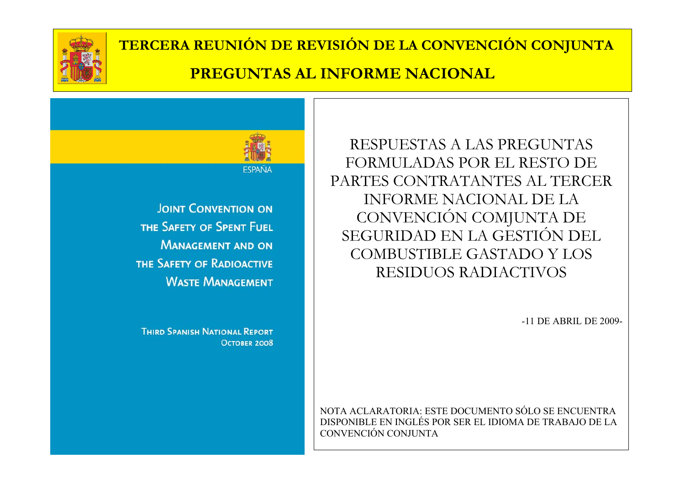



**JOINT CONVENTION ON** THE SAFETY OF SPENT FUEL **MANAGEMENT AND ON** THE SAFETY OF RADIOACTIVE **WASTE MANAGEMENT** 

**THIRD SPANISH NATIONAL REPORT OCTOBER 2008** 

RESPUESTAS A LAS PREGUNTAS FORMULADAS POR EL RESTO DE PARTES CONTRATANTES AL TERCER INFORME NACIONAL DE LA CONVENCIÓN COMJUNTA DE SEGURIDAD EN LA GESTIÓN DEL COMBUSTIBLE GASTADO Y LOS RESIDUOS RADIACTIVOS

-11 DE ABRIL DE 2009-

NOTA ACLARATORIA: ESTE DOCUMENTO SÓLO SE ENCUENTRA DISPONIBLE EN INGLÉS POR SER EL IDIOMA DE TRABAJO DE LA CONVENCIÓN CONJUNTA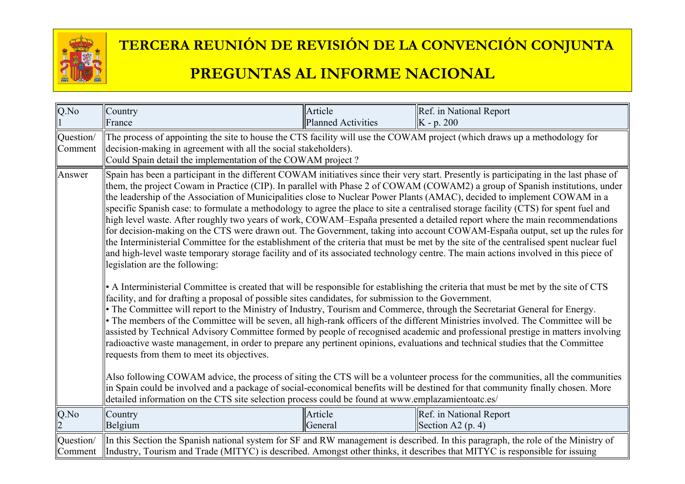

# **TERCERA REUNIÓN DE REVISIÓN DE LA CONVENCIÓN CONJUNTA**

#### **PREGUNTAS AL INFORME NACIONAL**

| $\overline{Q.No}$                                                                                           | Country                                                                                                                                                                                                                                                                                                                                                                                                                                                                                                                                                                                                                                                                                                                                                                                                                                                                                                                                                                                                                                                                                                                                                                                                                                                                                                                                                                                                                                                                                                                                                                                                                                                                                                                                                                                                                                                                                                                                                                                                                                                                                                                                                                                                                                                                                                 | Article                   | Ref. in National Report                                                                                                           |
|-------------------------------------------------------------------------------------------------------------|---------------------------------------------------------------------------------------------------------------------------------------------------------------------------------------------------------------------------------------------------------------------------------------------------------------------------------------------------------------------------------------------------------------------------------------------------------------------------------------------------------------------------------------------------------------------------------------------------------------------------------------------------------------------------------------------------------------------------------------------------------------------------------------------------------------------------------------------------------------------------------------------------------------------------------------------------------------------------------------------------------------------------------------------------------------------------------------------------------------------------------------------------------------------------------------------------------------------------------------------------------------------------------------------------------------------------------------------------------------------------------------------------------------------------------------------------------------------------------------------------------------------------------------------------------------------------------------------------------------------------------------------------------------------------------------------------------------------------------------------------------------------------------------------------------------------------------------------------------------------------------------------------------------------------------------------------------------------------------------------------------------------------------------------------------------------------------------------------------------------------------------------------------------------------------------------------------------------------------------------------------------------------------------------------------|---------------------------|-----------------------------------------------------------------------------------------------------------------------------------|
|                                                                                                             | France                                                                                                                                                                                                                                                                                                                                                                                                                                                                                                                                                                                                                                                                                                                                                                                                                                                                                                                                                                                                                                                                                                                                                                                                                                                                                                                                                                                                                                                                                                                                                                                                                                                                                                                                                                                                                                                                                                                                                                                                                                                                                                                                                                                                                                                                                                  | <b>Planned Activities</b> | $ K - p. 200 $                                                                                                                    |
| Question/                                                                                                   | The process of appointing the site to house the CTS facility will use the COWAM project (which draws up a methodology for                                                                                                                                                                                                                                                                                                                                                                                                                                                                                                                                                                                                                                                                                                                                                                                                                                                                                                                                                                                                                                                                                                                                                                                                                                                                                                                                                                                                                                                                                                                                                                                                                                                                                                                                                                                                                                                                                                                                                                                                                                                                                                                                                                               |                           |                                                                                                                                   |
| Comment                                                                                                     | decision-making in agreement with all the social stakeholders).                                                                                                                                                                                                                                                                                                                                                                                                                                                                                                                                                                                                                                                                                                                                                                                                                                                                                                                                                                                                                                                                                                                                                                                                                                                                                                                                                                                                                                                                                                                                                                                                                                                                                                                                                                                                                                                                                                                                                                                                                                                                                                                                                                                                                                         |                           |                                                                                                                                   |
| Answer<br>detailed information on the CTS site selection process could be found at www.emplazamientoatc.es/ | Could Spain detail the implementation of the COWAM project?<br>Spain has been a participant in the different COWAM initiatives since their very start. Presently is participating in the last phase of<br>them, the project Cowam in Practice (CIP). In parallel with Phase 2 of COWAM (COWAM2) a group of Spanish institutions, under<br>the leadership of the Association of Municipalities close to Nuclear Power Plants (AMAC), decided to implement COWAM in a<br>specific Spanish case: to formulate a methodology to agree the place to site a centralised storage facility (CTS) for spent fuel and<br>high level waste. After roughly two years of work, COWAM–España presented a detailed report where the main recommendations<br>for decision-making on the CTS were drawn out. The Government, taking into account COWAM-España output, set up the rules for<br>the Interministerial Committee for the establishment of the criteria that must be met by the site of the centralised spent nuclear fuel<br>and high-level waste temporary storage facility and of its associated technology centre. The main actions involved in this piece of<br>legislation are the following:<br>A Interministerial Committee is created that will be responsible for establishing the criteria that must be met by the site of CTS<br>facility, and for drafting a proposal of possible sites candidates, for submission to the Government.<br>• The Committee will report to the Ministry of Industry, Tourism and Commerce, through the Secretariat General for Energy.<br>• The members of the Committee will be seven, all high-rank officers of the different Ministries involved. The Committee will be<br>assisted by Technical Advisory Committee formed by people of recognised academic and professional prestige in matters involving<br>radioactive waste management, in order to prepare any pertinent opinions, evaluations and technical studies that the Committee<br>requests from them to meet its objectives.<br>Also following COWAM advice, the process of siting the CTS will be a volunteer process for the communities, all the communities<br>in Spain could be involved and a package of social-economical benefits will be destined for that community finally chosen. More |                           |                                                                                                                                   |
| Q.No                                                                                                        | Country                                                                                                                                                                                                                                                                                                                                                                                                                                                                                                                                                                                                                                                                                                                                                                                                                                                                                                                                                                                                                                                                                                                                                                                                                                                                                                                                                                                                                                                                                                                                                                                                                                                                                                                                                                                                                                                                                                                                                                                                                                                                                                                                                                                                                                                                                                 | Article                   | Ref. in National Report                                                                                                           |
|                                                                                                             | Belgium                                                                                                                                                                                                                                                                                                                                                                                                                                                                                                                                                                                                                                                                                                                                                                                                                                                                                                                                                                                                                                                                                                                                                                                                                                                                                                                                                                                                                                                                                                                                                                                                                                                                                                                                                                                                                                                                                                                                                                                                                                                                                                                                                                                                                                                                                                 | General                   | Section A2 $(p. 4)$                                                                                                               |
| Question/<br>Comment                                                                                        | Industry, Tourism and Trade (MITYC) is described. Amongst other thinks, it describes that MITYC is responsible for issuing                                                                                                                                                                                                                                                                                                                                                                                                                                                                                                                                                                                                                                                                                                                                                                                                                                                                                                                                                                                                                                                                                                                                                                                                                                                                                                                                                                                                                                                                                                                                                                                                                                                                                                                                                                                                                                                                                                                                                                                                                                                                                                                                                                              |                           | In this Section the Spanish national system for SF and RW management is described. In this paragraph, the role of the Ministry of |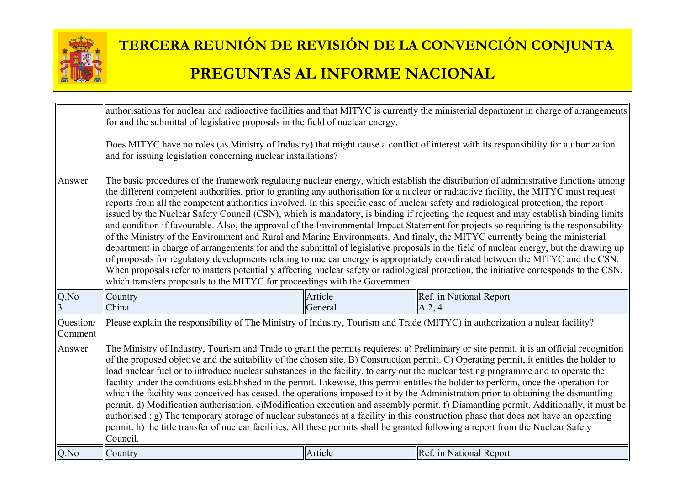

|                      | authorisations for nuclear and radioactive facilities and that MITYC is currently the ministerial department in charge of arrangements<br>for and the submittal of legislative proposals in the field of nuclear energy.                                                                                                                                                                                                                                                                                                                                                                                                                                                                                                                                                                                                                                                                                                                                                                                                                                                                                                                    |         |                                                                                                                                                                                                                                                                                                                                                                                                                                                                                                                                                                                                                                                                                                                                                                                                                                                                                                                                                                                       |
|----------------------|---------------------------------------------------------------------------------------------------------------------------------------------------------------------------------------------------------------------------------------------------------------------------------------------------------------------------------------------------------------------------------------------------------------------------------------------------------------------------------------------------------------------------------------------------------------------------------------------------------------------------------------------------------------------------------------------------------------------------------------------------------------------------------------------------------------------------------------------------------------------------------------------------------------------------------------------------------------------------------------------------------------------------------------------------------------------------------------------------------------------------------------------|---------|---------------------------------------------------------------------------------------------------------------------------------------------------------------------------------------------------------------------------------------------------------------------------------------------------------------------------------------------------------------------------------------------------------------------------------------------------------------------------------------------------------------------------------------------------------------------------------------------------------------------------------------------------------------------------------------------------------------------------------------------------------------------------------------------------------------------------------------------------------------------------------------------------------------------------------------------------------------------------------------|
|                      | and for issuing legislation concerning nuclear installations?                                                                                                                                                                                                                                                                                                                                                                                                                                                                                                                                                                                                                                                                                                                                                                                                                                                                                                                                                                                                                                                                               |         | Does MITYC have no roles (as Ministry of Industry) that might cause a conflict of interest with its responsibility for authorization                                                                                                                                                                                                                                                                                                                                                                                                                                                                                                                                                                                                                                                                                                                                                                                                                                                  |
| Answer               | reports from all the competent authorities involved. In this specific case of nuclear safety and radiological protection, the report<br>of the Ministry of the Environment and Rural and Marine Environments. And finaly, the MITYC currently being the ministerial<br>which transfers proposals to the MITYC for proceedings with the Government.                                                                                                                                                                                                                                                                                                                                                                                                                                                                                                                                                                                                                                                                                                                                                                                          |         | The basic procedures of the framework regulating nuclear energy, which establish the distribution of administrative functions among<br>the different competent authorities, prior to granting any authorisation for a nuclear or radiactive facility, the MITYC must request<br>issued by the Nuclear Safety Council (CSN), which is mandatory, is binding if rejecting the request and may establish binding limits<br>and condition if favourable. Also, the approval of the Environmental Impact Statement for projects so requiring is the responsability<br>department in charge of arrangements for and the submittal of legislative proposals in the field of nuclear energy, but the drawing up<br>of proposals for regulatory developments relating to nuclear energy is appropriately coordinated between the MITYC and the CSN.<br>When proposals refer to matters potentially affecting nuclear safety or radiological protection, the initiative corresponds to the CSN, |
| Q.No                 | Country                                                                                                                                                                                                                                                                                                                                                                                                                                                                                                                                                                                                                                                                                                                                                                                                                                                                                                                                                                                                                                                                                                                                     | Article | Ref. in National Report                                                                                                                                                                                                                                                                                                                                                                                                                                                                                                                                                                                                                                                                                                                                                                                                                                                                                                                                                               |
| Question/<br>Comment | China<br>A.2, 4<br>General<br>Please explain the responsibility of The Ministry of Industry, Tourism and Trade (MITYC) in authorization a nulear facility?                                                                                                                                                                                                                                                                                                                                                                                                                                                                                                                                                                                                                                                                                                                                                                                                                                                                                                                                                                                  |         |                                                                                                                                                                                                                                                                                                                                                                                                                                                                                                                                                                                                                                                                                                                                                                                                                                                                                                                                                                                       |
| Answer               | The Ministry of Industry, Tourism and Trade to grant the permits requieres: a) Preliminary or site permit, it is an official recognition<br>of the proposed objetive and the suitability of the chosen site. B) Construction permit. C) Operating permit, it entitles the holder to<br>load nuclear fuel or to introduce nuclear substances in the facility, to carry out the nuclear testing programme and to operate the<br>facility under the conditions established in the permit. Likewise, this permit entitles the holder to perform, once the operation for<br>which the facility was conceived has ceased, the operations imposed to it by the Administration prior to obtaining the dismantling<br>permit. d) Modification authorisation, e)Modification execution and assembly permit. f) Dismantling permit. Additionally, it must be<br>authorised : g) The temporary storage of nuclear substances at a facility in this construction phase that does not have an operating<br>permit. h) the title transfer of nuclear facilities. All these permits shall be granted following a report from the Nuclear Safety<br>Council. |         |                                                                                                                                                                                                                                                                                                                                                                                                                                                                                                                                                                                                                                                                                                                                                                                                                                                                                                                                                                                       |
| Q.No                 | Country                                                                                                                                                                                                                                                                                                                                                                                                                                                                                                                                                                                                                                                                                                                                                                                                                                                                                                                                                                                                                                                                                                                                     | Article | Ref. in National Report                                                                                                                                                                                                                                                                                                                                                                                                                                                                                                                                                                                                                                                                                                                                                                                                                                                                                                                                                               |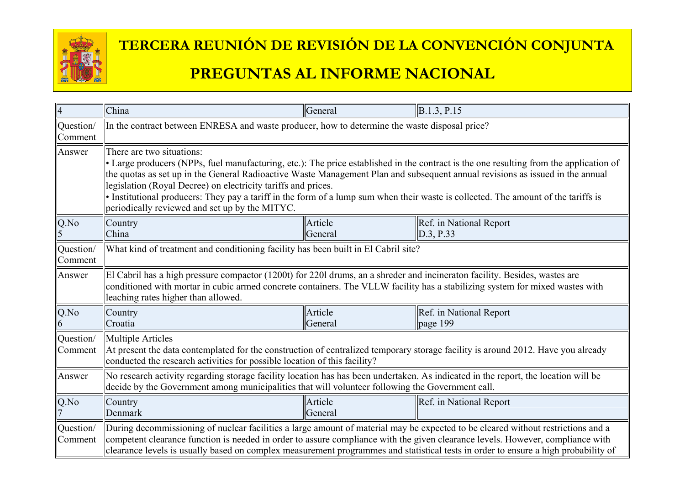

| $\overline{4}$       | China                                                                                                                                                                                                                                                                                                                                                                                                                                                                                                                                                         | General            | B.1.3, P.15                                                                                                                        |
|----------------------|---------------------------------------------------------------------------------------------------------------------------------------------------------------------------------------------------------------------------------------------------------------------------------------------------------------------------------------------------------------------------------------------------------------------------------------------------------------------------------------------------------------------------------------------------------------|--------------------|------------------------------------------------------------------------------------------------------------------------------------|
| Question/<br>Comment | In the contract between ENRESA and waste producer, how to determine the waste disposal price?                                                                                                                                                                                                                                                                                                                                                                                                                                                                 |                    |                                                                                                                                    |
| Answer               | There are two situations:<br>• Large producers (NPPs, fuel manufacturing, etc.): The price established in the contract is the one resulting from the application of<br>the quotas as set up in the General Radioactive Waste Management Plan and subsequent annual revisions as issued in the annual<br>legislation (Royal Decree) on electricity tariffs and prices.<br>• Institutional producers: They pay a tariff in the form of a lump sum when their waste is collected. The amount of the tariffs is<br>periodically reviewed and set up by the MITYC. |                    |                                                                                                                                    |
| Q.No                 | Country<br>China                                                                                                                                                                                                                                                                                                                                                                                                                                                                                                                                              | Article<br>General | Ref. in National Report<br>D.3, P.33                                                                                               |
| Question/<br>Comment | What kind of treatment and conditioning facility has been built in El Cabril site?                                                                                                                                                                                                                                                                                                                                                                                                                                                                            |                    |                                                                                                                                    |
| Answer               | El Cabril has a high pressure compactor (1200t) for 2201 drums, an a shreder and incineraton facility. Besides, wastes are<br>conditioned with mortar in cubic armed concrete containers. The VLLW facility has a stabilizing system for mixed wastes with<br>leaching rates higher than allowed.                                                                                                                                                                                                                                                             |                    |                                                                                                                                    |
| Q.No<br>6            | Country<br>Croatia                                                                                                                                                                                                                                                                                                                                                                                                                                                                                                                                            | Article<br>General | Ref. in National Report<br>page $199$                                                                                              |
| Question/<br>Comment | <b>Multiple Articles</b><br>At present the data contemplated for the construction of centralized temporary storage facility is around 2012. Have you already<br>conducted the research activities for possible location of this facility?                                                                                                                                                                                                                                                                                                                     |                    |                                                                                                                                    |
| Answer               | No research activity regarding storage facility location has has been undertaken. As indicated in the report, the location will be<br>decide by the Government among municipalities that will volunteer following the Government call.                                                                                                                                                                                                                                                                                                                        |                    |                                                                                                                                    |
| Q.No                 | Country<br>Denmark                                                                                                                                                                                                                                                                                                                                                                                                                                                                                                                                            | Article<br>General | Ref. in National Report                                                                                                            |
| Question/<br>Comment | During decommissioning of nuclear facilities a large amount of material may be expected to be cleared without restrictions and a<br>competent clearance function is needed in order to assure compliance with the given clearance levels. However, compliance with                                                                                                                                                                                                                                                                                            |                    | clearance levels is usually based on complex measurement programmes and statistical tests in order to ensure a high probability of |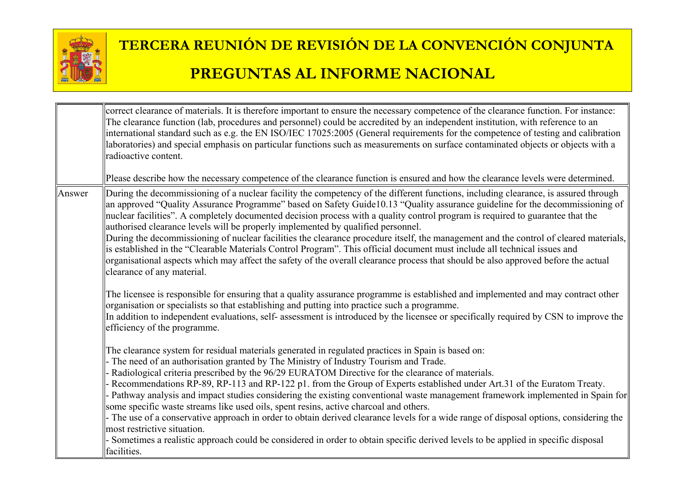

|        | correct clearance of materials. It is therefore important to ensure the necessary competence of the clearance function. For instance:<br>The clearance function (lab, procedures and personnel) could be accredited by an independent institution, with reference to an<br>international standard such as e.g. the EN ISO/IEC 17025:2005 (General requirements for the competence of testing and calibration<br>laboratories) and special emphasis on particular functions such as measurements on surface contaminated objects or objects with a<br>radioactive content.                                                                                                                                                                                                                                                                                                                                                                                                      |
|--------|--------------------------------------------------------------------------------------------------------------------------------------------------------------------------------------------------------------------------------------------------------------------------------------------------------------------------------------------------------------------------------------------------------------------------------------------------------------------------------------------------------------------------------------------------------------------------------------------------------------------------------------------------------------------------------------------------------------------------------------------------------------------------------------------------------------------------------------------------------------------------------------------------------------------------------------------------------------------------------|
|        | Please describe how the necessary competence of the clearance function is ensured and how the clearance levels were determined.                                                                                                                                                                                                                                                                                                                                                                                                                                                                                                                                                                                                                                                                                                                                                                                                                                                |
| Answer | During the decommissioning of a nuclear facility the competency of the different functions, including clearance, is assured through<br>an approved "Quality Assurance Programme" based on Safety Guide10.13 "Quality assurance guideline for the decommissioning of<br>nuclear facilities". A completely documented decision process with a quality control program is required to guarantee that the<br>authorised clearance levels will be properly implemented by qualified personnel.<br>During the decommissioning of nuclear facilities the clearance procedure itself, the management and the control of cleared materials,<br>is established in the "Clearable Materials Control Program". This official document must include all technical issues and<br>organisational aspects which may affect the safety of the overall clearance process that should be also approved before the actual<br>clearance of any material.                                            |
|        | The licensee is responsible for ensuring that a quality assurance programme is established and implemented and may contract other<br>organisation or specialists so that establishing and putting into practice such a programme.<br>In addition to independent evaluations, self- assessment is introduced by the licensee or specifically required by CSN to improve the<br>efficiency of the programme.                                                                                                                                                                                                                                                                                                                                                                                                                                                                                                                                                                     |
|        | The clearance system for residual materials generated in regulated practices in Spain is based on:<br>- The need of an authorisation granted by The Ministry of Industry Tourism and Trade.<br>Radiological criteria prescribed by the 96/29 EURATOM Directive for the clearance of materials.<br>Recommendations RP-89, RP-113 and RP-122 p1. from the Group of Experts established under Art.31 of the Euratom Treaty.<br>Pathway analysis and impact studies considering the existing conventional waste management framework implemented in Spain for<br>some specific waste streams like used oils, spent resins, active charcoal and others.<br>- The use of a conservative approach in order to obtain derived clearance levels for a wide range of disposal options, considering the<br>most restrictive situation.<br>Sometimes a realistic approach could be considered in order to obtain specific derived levels to be applied in specific disposal<br>facilities. |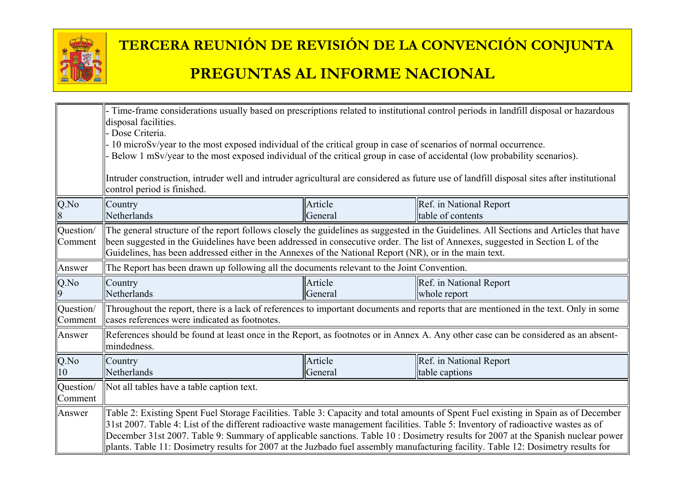

|                      | - Time-frame considerations usually based on prescriptions related to institutional control periods in landfill disposal or hazardous<br>disposal facilities.<br>- Dose Criteria.<br>- 10 microSv/year to the most exposed individual of the critical group in case of scenarios of normal occurrence.<br>Below 1 mSv/year to the most exposed individual of the critical group in case of accidental (low probability scenarios).<br>Intruder construction, intruder well and intruder agricultural are considered as future use of landfill disposal sites after institutional<br>control period is finished. |                    |                                                                                                                                                                                                                                                                         |
|----------------------|-----------------------------------------------------------------------------------------------------------------------------------------------------------------------------------------------------------------------------------------------------------------------------------------------------------------------------------------------------------------------------------------------------------------------------------------------------------------------------------------------------------------------------------------------------------------------------------------------------------------|--------------------|-------------------------------------------------------------------------------------------------------------------------------------------------------------------------------------------------------------------------------------------------------------------------|
| Q.No                 | Country<br>Netherlands                                                                                                                                                                                                                                                                                                                                                                                                                                                                                                                                                                                          | Article<br>General | Ref. in National Report<br>table of contents                                                                                                                                                                                                                            |
| Question/<br>Comment | The general structure of the report follows closely the guidelines as suggested in the Guidelines. All Sections and Articles that have<br>been suggested in the Guidelines have been addressed in consecutive order. The list of Annexes, suggested in Section L of the<br>Guidelines, has been addressed either in the Annexes of the National Report (NR), or in the main text.                                                                                                                                                                                                                               |                    |                                                                                                                                                                                                                                                                         |
| Answer               | The Report has been drawn up following all the documents relevant to the Joint Convention.                                                                                                                                                                                                                                                                                                                                                                                                                                                                                                                      |                    |                                                                                                                                                                                                                                                                         |
| Q.No<br>$\mathbf Q$  | Country<br>Netherlands                                                                                                                                                                                                                                                                                                                                                                                                                                                                                                                                                                                          | Article<br>General | Ref. in National Report<br>whole report                                                                                                                                                                                                                                 |
| Question/<br>Comment | Throughout the report, there is a lack of references to important documents and reports that are mentioned in the text. Only in some<br>cases references were indicated as footnotes.                                                                                                                                                                                                                                                                                                                                                                                                                           |                    |                                                                                                                                                                                                                                                                         |
| Answer               | mindedness.                                                                                                                                                                                                                                                                                                                                                                                                                                                                                                                                                                                                     |                    | References should be found at least once in the Report, as footnotes or in Annex A. Any other case can be considered as an absent-                                                                                                                                      |
| Q.No<br>10           | Country<br>Netherlands                                                                                                                                                                                                                                                                                                                                                                                                                                                                                                                                                                                          | Article<br>General | Ref. in National Report<br>table captions                                                                                                                                                                                                                               |
| Question/<br>Comment | Not all tables have a table caption text.                                                                                                                                                                                                                                                                                                                                                                                                                                                                                                                                                                       |                    |                                                                                                                                                                                                                                                                         |
| Answer               | 31st 2007. Table 4: List of the different radioactive waste management facilities. Table 5: Inventory of radioactive wastes as of<br>plants. Table 11: Dosimetry results for 2007 at the Juzbado fuel assembly manufacturing facility. Table 12: Dosimetry results for                                                                                                                                                                                                                                                                                                                                          |                    | Table 2: Existing Spent Fuel Storage Facilities. Table 3: Capacity and total amounts of Spent Fuel existing in Spain as of December<br>December 31st 2007. Table 9: Summary of applicable sanctions. Table 10 : Dosimetry results for 2007 at the Spanish nuclear power |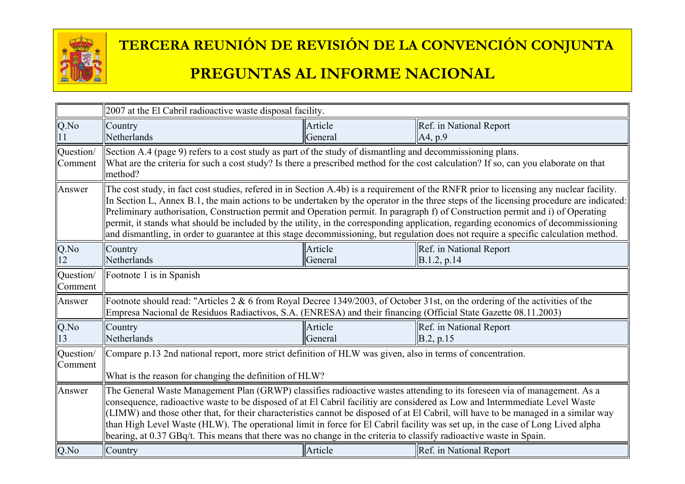

|                      | 2007 at the El Cabril radioactive waste disposal facility.                                                                                                                                                                                                                                                                                                                                                                                                                                                                                                                                                                                                                                          |                    |                                              |
|----------------------|-----------------------------------------------------------------------------------------------------------------------------------------------------------------------------------------------------------------------------------------------------------------------------------------------------------------------------------------------------------------------------------------------------------------------------------------------------------------------------------------------------------------------------------------------------------------------------------------------------------------------------------------------------------------------------------------------------|--------------------|----------------------------------------------|
| Q.No                 | Country<br>Netherlands                                                                                                                                                                                                                                                                                                                                                                                                                                                                                                                                                                                                                                                                              | Article<br>General | Ref. in National Report<br>A4, p.9           |
| Question/<br>Comment | Section A.4 (page 9) refers to a cost study as part of the study of dismantling and decommissioning plans.<br>What are the criteria for such a cost study? Is there a prescribed method for the cost calculation? If so, can you elaborate on that<br>method?                                                                                                                                                                                                                                                                                                                                                                                                                                       |                    |                                              |
| Answer               | The cost study, in fact cost studies, refered in in Section A.4b) is a requirement of the RNFR prior to licensing any nuclear facility.<br>In Section L, Annex B.1, the main actions to be undertaken by the operator in the three steps of the licensing procedure are indicated:<br>Preliminary authorisation, Construction permit and Operation permit. In paragraph f) of Construction permit and i) of Operating<br>permit, it stands what should be included by the utility, in the corresponding application, regarding economics of decommissioning<br>and dismantling, in order to guarantee at this stage decommissioning, but regulation does not require a specific calculation method. |                    |                                              |
| Q.No<br>12           | Country<br>Netherlands                                                                                                                                                                                                                                                                                                                                                                                                                                                                                                                                                                                                                                                                              | Article<br>General | Ref. in National Report<br>B.1.2, p.14       |
| Question/<br>Comment | Footnote 1 is in Spanish                                                                                                                                                                                                                                                                                                                                                                                                                                                                                                                                                                                                                                                                            |                    |                                              |
| Answer               | Footnote should read: "Articles $2 \& 6$ from Royal Decree 1349/2003, of October 31st, on the ordering of the activities of the<br>Empresa Nacional de Residuos Radiactivos, S.A. (ENRESA) and their financing (Official State Gazette 08.11.2003)                                                                                                                                                                                                                                                                                                                                                                                                                                                  |                    |                                              |
| Q.No<br>13           | Country<br>Netherlands                                                                                                                                                                                                                                                                                                                                                                                                                                                                                                                                                                                                                                                                              | Article<br>General | Ref. in National Report<br>$\vert$ B.2, p.15 |
| Question/<br>Comment | Compare p.13 2nd national report, more strict definition of HLW was given, also in terms of concentration.<br>What is the reason for changing the definition of HLW?                                                                                                                                                                                                                                                                                                                                                                                                                                                                                                                                |                    |                                              |
| Answer               | The General Waste Management Plan (GRWP) classifies radioactive wastes attending to its foreseen via of management. As a<br>consequence, radioactive waste to be disposed of at El Cabril facilitiy are considered as Low and Intermmediate Level Waste<br>(LIMW) and those other that, for their characteristics cannot be disposed of at El Cabril, will have to be managed in a similar way<br>than High Level Waste (HLW). The operational limit in force for El Cabril facility was set up, in the case of Long Lived alpha<br>bearing, at 0.37 GBq/t. This means that there was no change in the criteria to classify radioactive waste in Spain.                                             |                    |                                              |
| Q.No                 | Country                                                                                                                                                                                                                                                                                                                                                                                                                                                                                                                                                                                                                                                                                             | Article            | Ref. in National Report                      |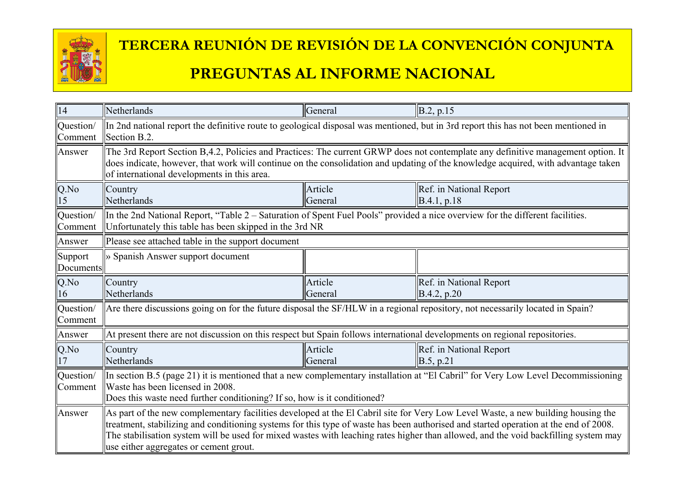

| 14                   | Netherlands                                                                                                                                                                                                                                                                                                                                                                                                                                               | General            | B.2, p.15                              |
|----------------------|-----------------------------------------------------------------------------------------------------------------------------------------------------------------------------------------------------------------------------------------------------------------------------------------------------------------------------------------------------------------------------------------------------------------------------------------------------------|--------------------|----------------------------------------|
| Question/<br>Comment | In 2nd national report the definitive route to geological disposal was mentioned, but in 3rd report this has not been mentioned in<br>Section B.2.                                                                                                                                                                                                                                                                                                        |                    |                                        |
| Answer               | The 3rd Report Section B,4.2, Policies and Practices: The current GRWP does not contemplate any definitive management option. It<br>does indicate, however, that work will continue on the consolidation and updating of the knowledge acquired, with advantage taken<br>of international developments in this area.                                                                                                                                      |                    |                                        |
| Q.No<br>15           | Country<br>Netherlands                                                                                                                                                                                                                                                                                                                                                                                                                                    | Article<br>General | Ref. in National Report<br>B.4.1, p.18 |
| Question/<br>Comment | In the 2nd National Report, "Table 2 – Saturation of Spent Fuel Pools" provided a nice overview for the different facilities.<br>Unfortunately this table has been skipped in the 3rd NR                                                                                                                                                                                                                                                                  |                    |                                        |
| Answer               | Please see attached table in the support document                                                                                                                                                                                                                                                                                                                                                                                                         |                    |                                        |
| Support<br>Documents | » Spanish Answer support document                                                                                                                                                                                                                                                                                                                                                                                                                         |                    |                                        |
| Q.No<br>16           | Country<br>Netherlands                                                                                                                                                                                                                                                                                                                                                                                                                                    | Article<br>General | Ref. in National Report<br>B.4.2, p.20 |
| Question/<br>Comment | Are there discussions going on for the future disposal the SF/HLW in a regional repository, not necessarily located in Spain?                                                                                                                                                                                                                                                                                                                             |                    |                                        |
| Answer               | At present there are not discussion on this respect but Spain follows international developments on regional repositories.                                                                                                                                                                                                                                                                                                                                |                    |                                        |
| $Q$ .No<br>17        | Country<br>Netherlands                                                                                                                                                                                                                                                                                                                                                                                                                                    | Article<br>General | Ref. in National Report<br>B.5, p.21   |
| Question/<br>Comment | In section B.5 (page 21) it is mentioned that a new complementary installation at "El Cabril" for Very Low Level Decommissioning<br>Waste has been licensed in 2008.<br>Does this waste need further conditioning? If so, how is it conditioned?                                                                                                                                                                                                          |                    |                                        |
| Answer               | As part of the new complementary facilities developed at the El Cabril site for Very Low Level Waste, a new building housing the<br>treatment, stabilizing and conditioning systems for this type of waste has been authorised and started operation at the end of 2008.<br>The stabilisation system will be used for mixed wastes with leaching rates higher than allowed, and the void backfilling system may<br>use either aggregates or cement grout. |                    |                                        |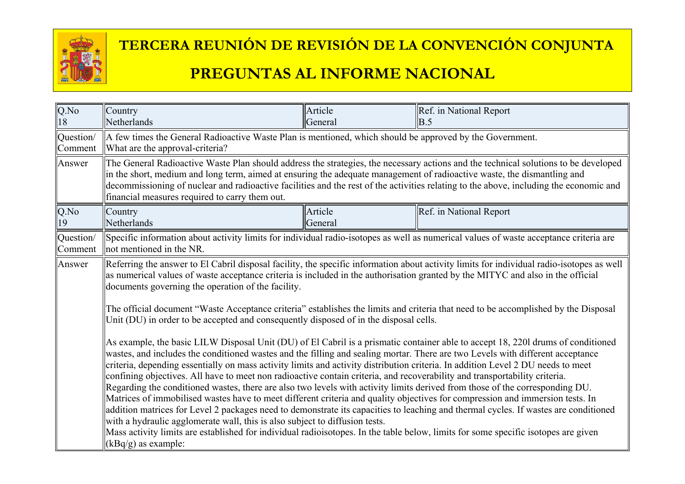

#### Q.No 18 **Country** Netherlands Article **General** Ref. in National Report B.5 Question/ Comment A few times the General Radioactive Waste Plan is mentioned, which should be approved by the Government. What are the approval-criteria? Answer ||The General Radioactive Waste Plan should address the strategies, the necessary actions and the technical solutions to be developed in the short, medium and long term, aimed at ensuring the adequate management of radioactive waste, the dismantling and decommissioning of nuclear and radioactive facilities and the rest of the activities relating to the above, including the economic and financial measures required to carry them out. Q.No 19 **Country** Netherlands Article General Ref. in National Report Question/ Comment Specific information about activity limits for individual radio-isotopes as well as numerical values of waste acceptance criteria are not mentioned in the NR. Answer  $\|$ Referring the answer to El Cabril disposal facility, the specific information about activity limits for individual radio-isotopes as well as numerical values of waste acceptance criteria is included in the authorisation granted by the MITYC and also in the official documents governing the operation of the facility. The official document "Waste Acceptance criteria" establishes the limits and criteria that need to be accomplished by the Disposal Unit (DU) in order to be accepted and consequently disposed of in the disposal cells. As example, the basic LILW Disposal Unit (DU) of El Cabril is a prismatic container able to accept 18, 220l drums of conditioned wastes, and includes the conditioned wastes and the filling and sealing mortar. There are two Levels with different acceptance criteria, depending essentially on mass activity limits and activity distribution criteria. In addition Level 2 DU needs to meet confining objectives. All have to meet non radioactive contain criteria, and recoverability and transportability criteria. Regarding the conditioned wastes, there are also two levels with activity limits derived from those of the corresponding DU. Matrices of immobilised wastes have to meet different criteria and quality objectives for compression and immersion tests. In addition matrices for Level 2 packages need to demonstrate its capacities to leaching and thermal cycles. If wastes are conditioned with a hydraulic agglomerate wall, this is also subject to diffusion tests. Mass activity limits are established for individual radioisotopes. In the table below, limits for some specific isotopes are given (kBq/g) as example: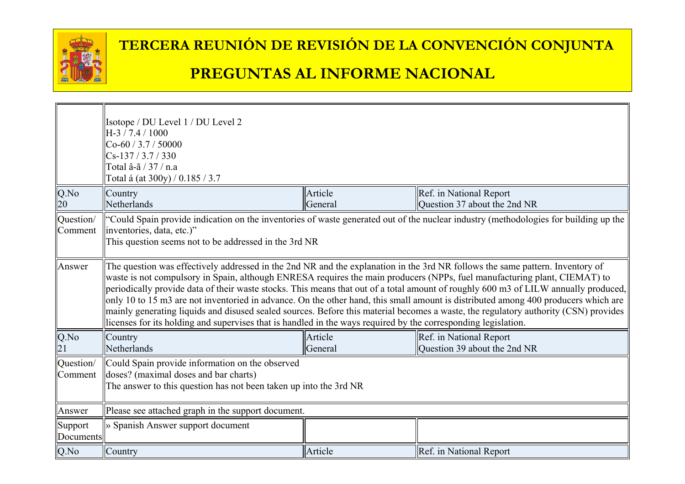

|                      | Isotope / DU Level 1 / DU Level 2<br>H-3 / 7.4 / 1000<br>$Co-60/3.7/50000$<br>$Cs-137/3.7/330$<br>Total â-ã / 37 / n.a<br>Total á (at 300y) / 0.185 / 3.7                                                                                                                                                                                                                                                                                                                                                                                                                                                                                                                                                                                                                                        |         |                              |
|----------------------|--------------------------------------------------------------------------------------------------------------------------------------------------------------------------------------------------------------------------------------------------------------------------------------------------------------------------------------------------------------------------------------------------------------------------------------------------------------------------------------------------------------------------------------------------------------------------------------------------------------------------------------------------------------------------------------------------------------------------------------------------------------------------------------------------|---------|------------------------------|
| Q.No                 | Country                                                                                                                                                                                                                                                                                                                                                                                                                                                                                                                                                                                                                                                                                                                                                                                          | Article | Ref. in National Report      |
| 20                   | Netherlands                                                                                                                                                                                                                                                                                                                                                                                                                                                                                                                                                                                                                                                                                                                                                                                      | General | Question 37 about the 2nd NR |
| Question/<br>Comment | "Could Spain provide indication on the inventories of waste generated out of the nuclear industry (methodologies for building up the<br>linventories, data, etc.)"<br>This question seems not to be addressed in the 3rd NR                                                                                                                                                                                                                                                                                                                                                                                                                                                                                                                                                                      |         |                              |
| Answer               | The question was effectively addressed in the 2nd NR and the explanation in the 3rd NR follows the same pattern. Inventory of<br>waste is not compulsory in Spain, although ENRESA requires the main producers (NPPs, fuel manufacturing plant, CIEMAT) to<br>periodically provide data of their waste stocks. This means that out of a total amount of roughly 600 m3 of LILW annually produced,<br>only 10 to 15 m3 are not inventoried in advance. On the other hand, this small amount is distributed among 400 producers which are<br>mainly generating liquids and disused sealed sources. Before this material becomes a waste, the regulatory authority (CSN) provides<br>licenses for its holding and supervises that is handled in the ways required by the corresponding legislation. |         |                              |
| Q.No                 | Country                                                                                                                                                                                                                                                                                                                                                                                                                                                                                                                                                                                                                                                                                                                                                                                          | Article | Ref. in National Report      |
|                      | Netherlands                                                                                                                                                                                                                                                                                                                                                                                                                                                                                                                                                                                                                                                                                                                                                                                      | General | Question 39 about the 2nd NR |
| Question/<br>Comment | Could Spain provide information on the observed<br>doses? (maximal doses and bar charts)<br>The answer to this question has not been taken up into the 3rd NR                                                                                                                                                                                                                                                                                                                                                                                                                                                                                                                                                                                                                                    |         |                              |
| Answer               | Please see attached graph in the support document.                                                                                                                                                                                                                                                                                                                                                                                                                                                                                                                                                                                                                                                                                                                                               |         |                              |
| Support<br>Documents | » Spanish Answer support document                                                                                                                                                                                                                                                                                                                                                                                                                                                                                                                                                                                                                                                                                                                                                                |         |                              |
| $Q$ .No              | Country                                                                                                                                                                                                                                                                                                                                                                                                                                                                                                                                                                                                                                                                                                                                                                                          | Article | Ref. in National Report      |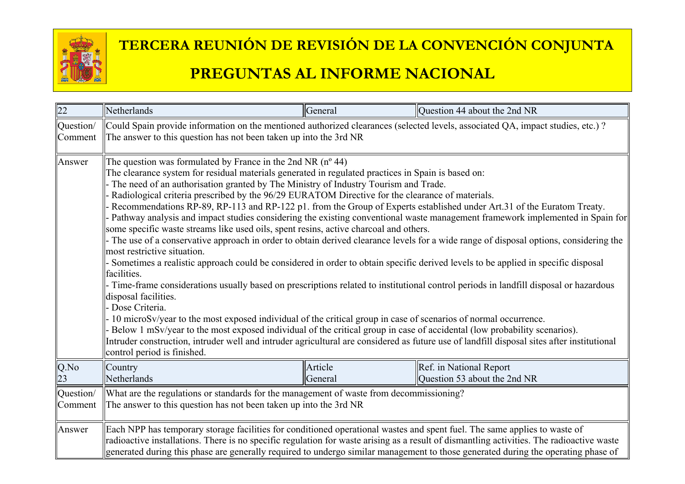

| 22        | Netherlands                                                                                                                                                                                                                                                                                                                                                                                                                                                                                                                                                                                                                                                                                                                                                                                                                                                                                                                                                                                                                                                                                                                                                                                                                                                                                                                                                                                                                                                                                                                                                                                                                        | General | Question 44 about the 2nd NR                                                                                                                                                                                                                                                   |
|-----------|------------------------------------------------------------------------------------------------------------------------------------------------------------------------------------------------------------------------------------------------------------------------------------------------------------------------------------------------------------------------------------------------------------------------------------------------------------------------------------------------------------------------------------------------------------------------------------------------------------------------------------------------------------------------------------------------------------------------------------------------------------------------------------------------------------------------------------------------------------------------------------------------------------------------------------------------------------------------------------------------------------------------------------------------------------------------------------------------------------------------------------------------------------------------------------------------------------------------------------------------------------------------------------------------------------------------------------------------------------------------------------------------------------------------------------------------------------------------------------------------------------------------------------------------------------------------------------------------------------------------------------|---------|--------------------------------------------------------------------------------------------------------------------------------------------------------------------------------------------------------------------------------------------------------------------------------|
| Question/ | Could Spain provide information on the mentioned authorized clearances (selected levels, associated QA, impact studies, etc.)?                                                                                                                                                                                                                                                                                                                                                                                                                                                                                                                                                                                                                                                                                                                                                                                                                                                                                                                                                                                                                                                                                                                                                                                                                                                                                                                                                                                                                                                                                                     |         |                                                                                                                                                                                                                                                                                |
| Comment   | The answer to this question has not been taken up into the 3rd NR                                                                                                                                                                                                                                                                                                                                                                                                                                                                                                                                                                                                                                                                                                                                                                                                                                                                                                                                                                                                                                                                                                                                                                                                                                                                                                                                                                                                                                                                                                                                                                  |         |                                                                                                                                                                                                                                                                                |
| Answer    | The question was formulated by France in the 2nd NR $(n^{\circ} 44)$<br>The clearance system for residual materials generated in regulated practices in Spain is based on:<br>The need of an authorisation granted by The Ministry of Industry Tourism and Trade.<br>Radiological criteria prescribed by the 96/29 EURATOM Directive for the clearance of materials.<br>Recommendations RP-89, RP-113 and RP-122 p1. from the Group of Experts established under Art.31 of the Euratom Treaty.<br>Pathway analysis and impact studies considering the existing conventional waste management framework implemented in Spain for<br>some specific waste streams like used oils, spent resins, active charcoal and others.<br>- The use of a conservative approach in order to obtain derived clearance levels for a wide range of disposal options, considering the<br>most restrictive situation.<br>Sometimes a realistic approach could be considered in order to obtain specific derived levels to be applied in specific disposal<br>facilities.<br>Time-frame considerations usually based on prescriptions related to institutional control periods in landfill disposal or hazardous<br>disposal facilities.<br>Dose Criteria.<br>10 microSv/year to the most exposed individual of the critical group in case of scenarios of normal occurrence.<br>Below 1 mSv/year to the most exposed individual of the critical group in case of accidental (low probability scenarios).<br>Intruder construction, intruder well and intruder agricultural are considered as future use of landfill disposal sites after institutional |         |                                                                                                                                                                                                                                                                                |
| Q.No      | Country                                                                                                                                                                                                                                                                                                                                                                                                                                                                                                                                                                                                                                                                                                                                                                                                                                                                                                                                                                                                                                                                                                                                                                                                                                                                                                                                                                                                                                                                                                                                                                                                                            | Article | Ref. in National Report                                                                                                                                                                                                                                                        |
| 23        | Netherlands                                                                                                                                                                                                                                                                                                                                                                                                                                                                                                                                                                                                                                                                                                                                                                                                                                                                                                                                                                                                                                                                                                                                                                                                                                                                                                                                                                                                                                                                                                                                                                                                                        | General | Question 53 about the 2nd NR                                                                                                                                                                                                                                                   |
| Question/ | What are the regulations or standards for the management of waste from decommissioning?                                                                                                                                                                                                                                                                                                                                                                                                                                                                                                                                                                                                                                                                                                                                                                                                                                                                                                                                                                                                                                                                                                                                                                                                                                                                                                                                                                                                                                                                                                                                            |         |                                                                                                                                                                                                                                                                                |
| Comment   | The answer to this question has not been taken up into the 3rd NR                                                                                                                                                                                                                                                                                                                                                                                                                                                                                                                                                                                                                                                                                                                                                                                                                                                                                                                                                                                                                                                                                                                                                                                                                                                                                                                                                                                                                                                                                                                                                                  |         |                                                                                                                                                                                                                                                                                |
| Answer    | Each NPP has temporary storage facilities for conditioned operational wastes and spent fuel. The same applies to waste of                                                                                                                                                                                                                                                                                                                                                                                                                                                                                                                                                                                                                                                                                                                                                                                                                                                                                                                                                                                                                                                                                                                                                                                                                                                                                                                                                                                                                                                                                                          |         | radioactive installations. There is no specific regulation for waste arising as a result of dismantling activities. The radioactive waste<br>generated during this phase are generally required to undergo similar management to those generated during the operating phase of |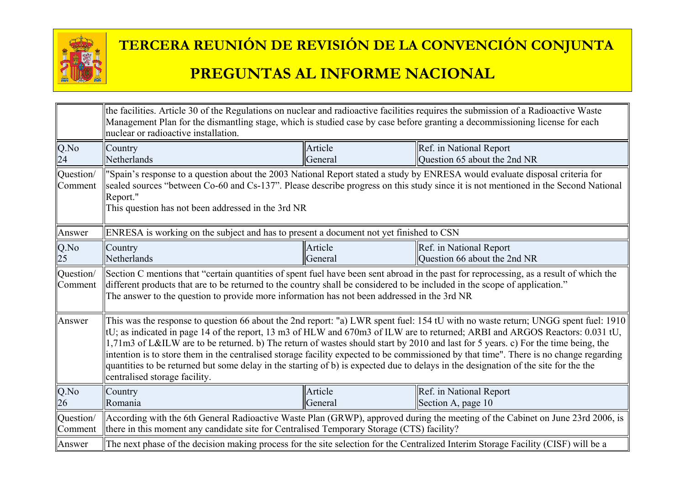

|                      | the facilities. Article 30 of the Regulations on nuclear and radioactive facilities requires the submission of a Radioactive Waste<br>Management Plan for the dismantling stage, which is studied case by case before granting a decommissioning license for each<br>nuclear or radioactive installation.                                                                                                                                                                                                                                                                                                                                                                                                                 |                    |                                                         |
|----------------------|---------------------------------------------------------------------------------------------------------------------------------------------------------------------------------------------------------------------------------------------------------------------------------------------------------------------------------------------------------------------------------------------------------------------------------------------------------------------------------------------------------------------------------------------------------------------------------------------------------------------------------------------------------------------------------------------------------------------------|--------------------|---------------------------------------------------------|
| Q.No<br>24           | Country<br>Netherlands                                                                                                                                                                                                                                                                                                                                                                                                                                                                                                                                                                                                                                                                                                    | Article<br>General | Ref. in National Report<br>Question 65 about the 2nd NR |
| Question/<br>Comment | "Spain's response to a question about the 2003 National Report stated a study by ENRESA would evaluate disposal criteria for<br>sealed sources "between Co-60 and Cs-137". Please describe progress on this study since it is not mentioned in the Second National<br>Report."<br>This question has not been addressed in the 3rd NR                                                                                                                                                                                                                                                                                                                                                                                      |                    |                                                         |
| Answer               | ENRESA is working on the subject and has to present a document not yet finished to CSN                                                                                                                                                                                                                                                                                                                                                                                                                                                                                                                                                                                                                                    |                    |                                                         |
| Q.No                 | Country                                                                                                                                                                                                                                                                                                                                                                                                                                                                                                                                                                                                                                                                                                                   | Article            | Ref. in National Report                                 |
| 25                   | Netherlands                                                                                                                                                                                                                                                                                                                                                                                                                                                                                                                                                                                                                                                                                                               | General            | Question 66 about the 2nd NR                            |
| Question/<br>Comment | Section C mentions that "certain quantities of spent fuel have been sent abroad in the past for reprocessing, as a result of which the<br>different products that are to be returned to the country shall be considered to be included in the scope of application."<br>The answer to the question to provide more information has not been addressed in the 3rd NR                                                                                                                                                                                                                                                                                                                                                       |                    |                                                         |
| Answer               | This was the response to question 66 about the 2nd report: "a) LWR spent fuel: 154 tU with no waste return; UNGG spent fuel: 1910<br>(tU; as indicated in page 14 of the report, 13 m3 of HLW and 670m3 of ILW are to returned; ARBI and ARGOS Reactors: 0.031 tU,<br>1,71m3 of L&ILW are to be returned. b) The return of wastes should start by 2010 and last for 5 years. c) For the time being, the<br>intention is to store them in the centralised storage facility expected to be commissioned by that time". There is no change regarding<br>quantities to be returned but some delay in the starting of b) is expected due to delays in the designation of the site for the the<br>centralised storage facility. |                    |                                                         |
| Q.No<br>26           | Country<br>Romania                                                                                                                                                                                                                                                                                                                                                                                                                                                                                                                                                                                                                                                                                                        | Article<br>General | Ref. in National Report<br>Section A, page 10           |
| Question/<br>Comment | According with the 6th General Radioactive Waste Plan (GRWP), approved during the meeting of the Cabinet on June 23rd 2006, is<br>there in this moment any candidate site for Centralised Temporary Storage (CTS) facility?                                                                                                                                                                                                                                                                                                                                                                                                                                                                                               |                    |                                                         |
| Answer               | The next phase of the decision making process for the site selection for the Centralized Interim Storage Facility (CISF) will be a                                                                                                                                                                                                                                                                                                                                                                                                                                                                                                                                                                                        |                    |                                                         |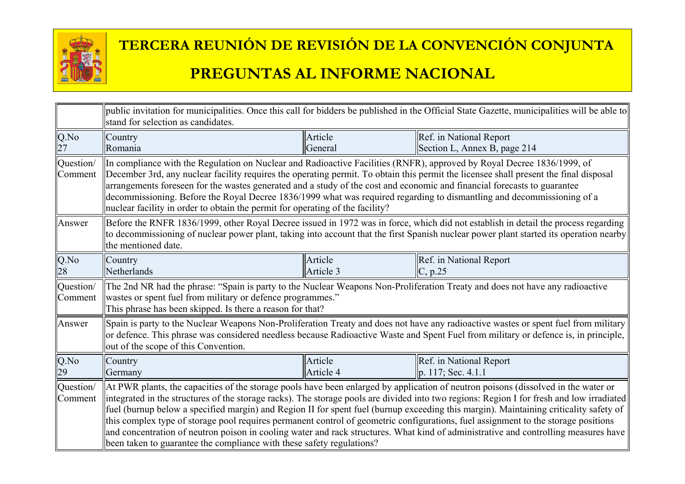

|                      | public invitation for municipalities. Once this call for bidders be published in the Official State Gazette, municipalities will be able to<br>stand for selection as candidates.                                                                                                                                                                                                                                                                                                                                                                                                                                                                                                                                                                                              |                      |                                                                                                                                                                                                                                                                            |
|----------------------|--------------------------------------------------------------------------------------------------------------------------------------------------------------------------------------------------------------------------------------------------------------------------------------------------------------------------------------------------------------------------------------------------------------------------------------------------------------------------------------------------------------------------------------------------------------------------------------------------------------------------------------------------------------------------------------------------------------------------------------------------------------------------------|----------------------|----------------------------------------------------------------------------------------------------------------------------------------------------------------------------------------------------------------------------------------------------------------------------|
| Q.No                 | Country                                                                                                                                                                                                                                                                                                                                                                                                                                                                                                                                                                                                                                                                                                                                                                        | Article              | Ref. in National Report                                                                                                                                                                                                                                                    |
|                      | Romania                                                                                                                                                                                                                                                                                                                                                                                                                                                                                                                                                                                                                                                                                                                                                                        | General              | Section L, Annex B, page 214                                                                                                                                                                                                                                               |
| Question/<br>Comment | In compliance with the Regulation on Nuclear and Radioactive Facilities (RNFR), approved by Royal Decree 1836/1999, of<br>December 3rd, any nuclear facility requires the operating permit. To obtain this permit the licensee shall present the final disposal<br>arrangements foreseen for the wastes generated and a study of the cost and economic and financial forecasts to guarantee<br>decommissioning. Before the Royal Decree 1836/1999 what was required regarding to dismantling and decommissioning of a<br>nuclear facility in order to obtain the permit for operating of the facility?                                                                                                                                                                         |                      |                                                                                                                                                                                                                                                                            |
| Answer               | Before the RNFR 1836/1999, other Royal Decree issued in 1972 was in force, which did not establish in detail the process regarding<br>to decommissioning of nuclear power plant, taking into account that the first Spanish nuclear power plant started its operation nearby<br>the mentioned date.                                                                                                                                                                                                                                                                                                                                                                                                                                                                            |                      |                                                                                                                                                                                                                                                                            |
| Q.No<br>28           | Country<br>Netherlands                                                                                                                                                                                                                                                                                                                                                                                                                                                                                                                                                                                                                                                                                                                                                         | Article<br>Article 3 | Ref. in National Report<br> C, p.25                                                                                                                                                                                                                                        |
| Question/<br>Comment | The 2nd NR had the phrase: "Spain is party to the Nuclear Weapons Non-Proliferation Treaty and does not have any radioactive<br>wastes or spent fuel from military or defence programmes."<br>This phrase has been skipped. Is there a reason for that?                                                                                                                                                                                                                                                                                                                                                                                                                                                                                                                        |                      |                                                                                                                                                                                                                                                                            |
| Answer               | out of the scope of this Convention.                                                                                                                                                                                                                                                                                                                                                                                                                                                                                                                                                                                                                                                                                                                                           |                      | Spain is party to the Nuclear Weapons Non-Proliferation Treaty and does not have any radioactive wastes or spent fuel from military<br>or defence. This phrase was considered needless because Radioactive Waste and Spent Fuel from military or defence is, in principle, |
| Q.No                 | Country                                                                                                                                                                                                                                                                                                                                                                                                                                                                                                                                                                                                                                                                                                                                                                        | Article              | Ref. in National Report                                                                                                                                                                                                                                                    |
| 29                   | Germany                                                                                                                                                                                                                                                                                                                                                                                                                                                                                                                                                                                                                                                                                                                                                                        | Article 4            | $\ p. 117;$ Sec. 4.1.1                                                                                                                                                                                                                                                     |
| Question/<br>Comment | At PWR plants, the capacities of the storage pools have been enlarged by application of neutron poisons (dissolved in the water or<br>integrated in the structures of the storage racks). The storage pools are divided into two regions: Region I for fresh and low irradiated<br>fuel (burnup below a specified margin) and Region II for spent fuel (burnup exceeding this margin). Maintaining criticality safety of<br>this complex type of storage pool requires permanent control of geometric configurations, fuel assignment to the storage positions<br>and concentration of neutron poison in cooling water and rack structures. What kind of administrative and controlling measures have<br>been taken to guarantee the compliance with these safety regulations? |                      |                                                                                                                                                                                                                                                                            |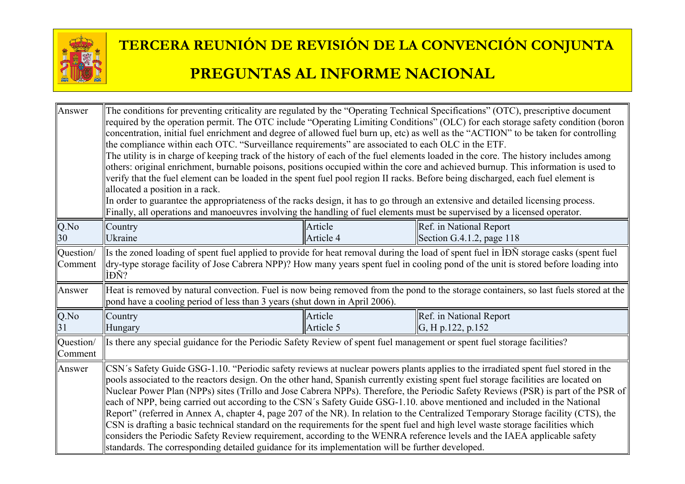

| Answer               | The conditions for preventing criticality are regulated by the "Operating Technical Specifications" (OTC), prescriptive document<br>required by the operation permit. The OTC include "Operating Limiting Conditions" (OLC) for each storage safety condition (boron<br>concentration, initial fuel enrichment and degree of allowed fuel burn up, etc) as well as the "ACTION" to be taken for controlling<br>the compliance within each OTC. "Surveillance requirements" are associated to each OLC in the ETF.<br>The utility is in charge of keeping track of the history of each of the fuel elements loaded in the core. The history includes among<br>others: original enrichment, burnable poisons, positions occupied within the core and achieved burnup. This information is used to<br>verify that the fuel element can be loaded in the spent fuel pool region II racks. Before being discharged, each fuel element is<br>allocated a position in a rack.<br>In order to guarantee the appropriateness of the racks design, it has to go through an extensive and detailed licensing process.<br>Finally, all operations and manoeuvres involving the handling of fuel elements must be supervised by a licensed operator. |                      |                                                                                                                                                                                                                                                                               |
|----------------------|-----------------------------------------------------------------------------------------------------------------------------------------------------------------------------------------------------------------------------------------------------------------------------------------------------------------------------------------------------------------------------------------------------------------------------------------------------------------------------------------------------------------------------------------------------------------------------------------------------------------------------------------------------------------------------------------------------------------------------------------------------------------------------------------------------------------------------------------------------------------------------------------------------------------------------------------------------------------------------------------------------------------------------------------------------------------------------------------------------------------------------------------------------------------------------------------------------------------------------------------|----------------------|-------------------------------------------------------------------------------------------------------------------------------------------------------------------------------------------------------------------------------------------------------------------------------|
| $Q$ .No              | Country                                                                                                                                                                                                                                                                                                                                                                                                                                                                                                                                                                                                                                                                                                                                                                                                                                                                                                                                                                                                                                                                                                                                                                                                                                 | Article              | Ref. in National Report                                                                                                                                                                                                                                                       |
| 30                   | Ukraine                                                                                                                                                                                                                                                                                                                                                                                                                                                                                                                                                                                                                                                                                                                                                                                                                                                                                                                                                                                                                                                                                                                                                                                                                                 | Article 4            | Section G.4.1.2, page 118                                                                                                                                                                                                                                                     |
| Question/<br>Comment | ÌĐÑ?                                                                                                                                                                                                                                                                                                                                                                                                                                                                                                                                                                                                                                                                                                                                                                                                                                                                                                                                                                                                                                                                                                                                                                                                                                    |                      | Its the zoned loading of spent fuel applied to provide for heat removal during the load of spent fuel in IDN storage casks (spent fuel<br>dry-type storage facility of Jose Cabrera NPP)? How many years spent fuel in cooling pond of the unit is stored before loading into |
| Answer               | pond have a cooling period of less than 3 years (shut down in April 2006).                                                                                                                                                                                                                                                                                                                                                                                                                                                                                                                                                                                                                                                                                                                                                                                                                                                                                                                                                                                                                                                                                                                                                              |                      | Heat is removed by natural convection. Fuel is now being removed from the pond to the storage containers, so last fuels stored at the                                                                                                                                         |
| Q.No<br>31           | Country<br>Hungary                                                                                                                                                                                                                                                                                                                                                                                                                                                                                                                                                                                                                                                                                                                                                                                                                                                                                                                                                                                                                                                                                                                                                                                                                      | Article<br>Article 5 | Ref. in National Report<br>G, H p.122, p.152                                                                                                                                                                                                                                  |
| Question/<br>Comment | Is there any special guidance for the Periodic Safety Review of spent fuel management or spent fuel storage facilities?                                                                                                                                                                                                                                                                                                                                                                                                                                                                                                                                                                                                                                                                                                                                                                                                                                                                                                                                                                                                                                                                                                                 |                      |                                                                                                                                                                                                                                                                               |
| Answer               | CSN's Safety Guide GSG-1.10. "Periodic safety reviews at nuclear powers plants applies to the irradiated spent fuel stored in the<br>pools associated to the reactors design. On the other hand, Spanish currently existing spent fuel storage facilities are located on<br>Nuclear Power Plan (NPPs) sites (Trillo and Jose Cabrera NPPs). Therefore, the Periodic Safety Reviews (PSR) is part of the PSR of<br>each of NPP, being carried out according to the CSN's Safety Guide GSG-1.10. above mentioned and included in the National<br>Report" (referred in Annex A, chapter 4, page 207 of the NR). In relation to the Centralized Temporary Storage facility (CTS), the<br>CSN is drafting a basic technical standard on the requirements for the spent fuel and high level waste storage facilities which<br>considers the Periodic Safety Review requirement, according to the WENRA reference levels and the IAEA applicable safety<br>standards. The corresponding detailed guidance for its implementation will be further developed.                                                                                                                                                                                    |                      |                                                                                                                                                                                                                                                                               |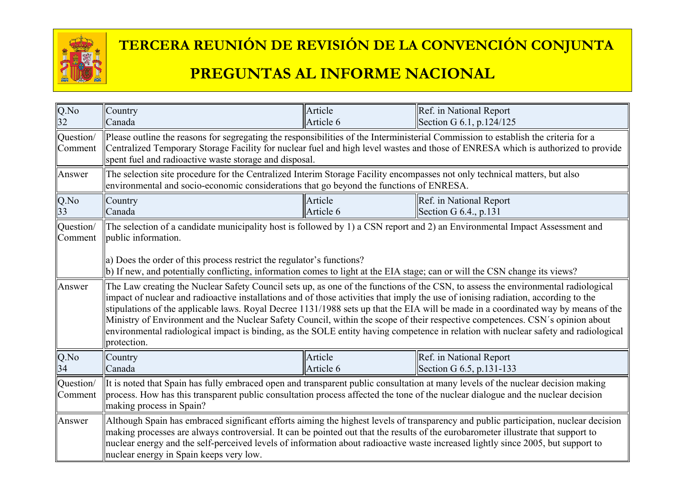

# **TERCERA REUNIÓN DE REVISIÓN DE LA CONVENCIÓN CONJUNTA**

#### **PREGUNTAS AL INFORME NACIONAL**

| Q.No<br>32           | Country<br>Canada                                                                                                                                                                                                                                                                                                                                                                                                                                                                                                                                                                                                                                                                                    | Article<br>Article 6 | Ref. in National Report<br>Section G 6.1, p.124/125 |  |
|----------------------|------------------------------------------------------------------------------------------------------------------------------------------------------------------------------------------------------------------------------------------------------------------------------------------------------------------------------------------------------------------------------------------------------------------------------------------------------------------------------------------------------------------------------------------------------------------------------------------------------------------------------------------------------------------------------------------------------|----------------------|-----------------------------------------------------|--|
| Question/<br>Comment | Please outline the reasons for segregating the responsibilities of the Interministerial Commission to establish the criteria for a<br>Centralized Temporary Storage Facility for nuclear fuel and high level wastes and those of ENRESA which is authorized to provide<br>spent fuel and radioactive waste storage and disposal.                                                                                                                                                                                                                                                                                                                                                                     |                      |                                                     |  |
| Answer               | The selection site procedure for the Centralized Interim Storage Facility encompasses not only technical matters, but also<br>environmental and socio-economic considerations that go beyond the functions of ENRESA.                                                                                                                                                                                                                                                                                                                                                                                                                                                                                |                      |                                                     |  |
| Q.No<br>33           | Country<br>Canada                                                                                                                                                                                                                                                                                                                                                                                                                                                                                                                                                                                                                                                                                    | Article<br>Article 6 | Ref. in National Report<br>Section G $6.4$ , p.131  |  |
| Question/<br>Comment | The selection of a candidate municipality host is followed by 1) a CSN report and 2) an Environmental Impact Assessment and<br>public information.<br>a) Does the order of this process restrict the regulator's functions?<br>(b) If new, and potentially conflicting, information comes to light at the EIA stage; can or will the CSN change its views?                                                                                                                                                                                                                                                                                                                                           |                      |                                                     |  |
| Answer               | The Law creating the Nuclear Safety Council sets up, as one of the functions of the CSN, to assess the environmental radiological<br>impact of nuclear and radioactive installations and of those activities that imply the use of ionising radiation, according to the<br>stipulations of the applicable laws. Royal Decree 1131/1988 sets up that the EIA will be made in a coordinated way by means of the<br>Ministry of Environment and the Nuclear Safety Council, within the scope of their respective competences. CSN's opinion about<br>environmental radiological impact is binding, as the SOLE entity having competence in relation with nuclear safety and radiological<br>protection. |                      |                                                     |  |
| Q.No<br>34           | Country<br>Canada                                                                                                                                                                                                                                                                                                                                                                                                                                                                                                                                                                                                                                                                                    | Article<br>Article 6 | Ref. in National Report<br>Section G 6.5, p.131-133 |  |
| Question/<br>Comment | It is noted that Spain has fully embraced open and transparent public consultation at many levels of the nuclear decision making<br>process. How has this transparent public consultation process affected the tone of the nuclear dialogue and the nuclear decision<br>making process in Spain?                                                                                                                                                                                                                                                                                                                                                                                                     |                      |                                                     |  |
| Answer               | Although Spain has embraced significant efforts aiming the highest levels of transparency and public participation, nuclear decision<br>making processes are always controversial. It can be pointed out that the results of the eurobarometer illustrate that support to<br>nuclear energy and the self-perceived levels of information about radioactive waste increased lightly since 2005, but support to<br>nuclear energy in Spain keeps very low.                                                                                                                                                                                                                                             |                      |                                                     |  |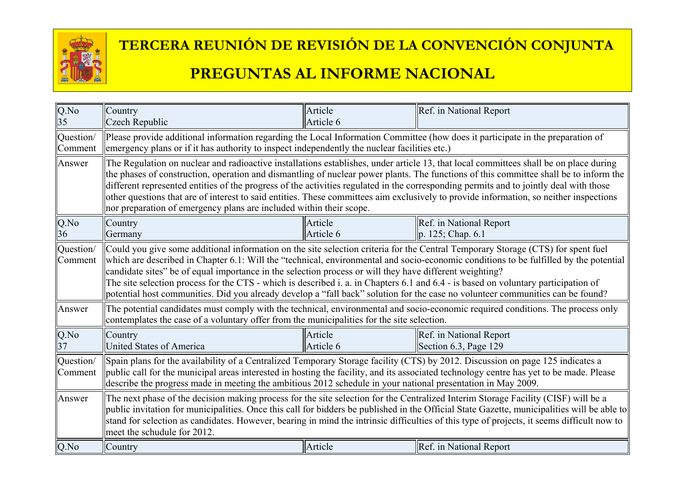

# **TERCERA REUNIÓN DE REVISIÓN DE LA CONVENCIÓN CONJUNTA**

#### **PREGUNTAS AL INFORME NACIONAL**

| Q.No<br>35           | Country<br>Czech Republic                                                                                                                                                                                                                                                                                                                                                                                                                                                                                                                                                                                                                                    | Article<br>Article 6 | Ref. in National Report                                                                                                         |  |
|----------------------|--------------------------------------------------------------------------------------------------------------------------------------------------------------------------------------------------------------------------------------------------------------------------------------------------------------------------------------------------------------------------------------------------------------------------------------------------------------------------------------------------------------------------------------------------------------------------------------------------------------------------------------------------------------|----------------------|---------------------------------------------------------------------------------------------------------------------------------|--|
| Question/<br>Comment | Please provide additional information regarding the Local Information Committee (how does it participate in the preparation of<br>emergency plans or if it has authority to inspect independently the nuclear facilities etc.)                                                                                                                                                                                                                                                                                                                                                                                                                               |                      |                                                                                                                                 |  |
| Answer               | The Regulation on nuclear and radioactive installations establishes, under article 13, that local committees shall be on place during<br>the phases of construction, operation and dismantling of nuclear power plants. The functions of this committee shall be to inform the<br>different represented entities of the progress of the activities regulated in the corresponding permits and to jointly deal with those<br>other questions that are of interest to said entities. These committees aim exclusively to provide information, so neither inspections<br>nor preparation of emergency plans are included within their scope.                    |                      |                                                                                                                                 |  |
| Q.No<br>36           | Country<br>Germany                                                                                                                                                                                                                                                                                                                                                                                                                                                                                                                                                                                                                                           | Article<br>Article 6 | Ref. in National Report<br>p. 125; Chap. 6.1                                                                                    |  |
| Question/<br>Comment | Could you give some additional information on the site selection criteria for the Central Temporary Storage (CTS) for spent fuel<br>which are described in Chapter 6.1: Will the "technical, environmental and socio-economic conditions to be fulfilled by the potential<br>candidate sites" be of equal importance in the selection process or will they have different weighting?<br>The site selection process for the CTS - which is described i. a. in Chapters 6.1 and 6.4 - is based on voluntary participation of<br>potential host communities. Did you already develop a "fall back" solution for the case no volunteer communities can be found? |                      |                                                                                                                                 |  |
| Answer               | contemplates the case of a voluntary offer from the municipalities for the site selection.                                                                                                                                                                                                                                                                                                                                                                                                                                                                                                                                                                   |                      | The potential candidates must comply with the technical, environmental and socio-economic required conditions. The process only |  |
| Q.No<br>37           | Country<br><b>United States of America</b>                                                                                                                                                                                                                                                                                                                                                                                                                                                                                                                                                                                                                   | Article<br>Article 6 | Ref. in National Report<br>Section 6.3, Page 129                                                                                |  |
| Question/<br>Comment | Spain plans for the availability of a Centralized Temporary Storage facility (CTS) by 2012. Discussion on page 125 indicates a<br>public call for the municipal areas interested in hosting the facility, and its associated technology centre has yet to be made. Please<br>describe the progress made in meeting the ambitious 2012 schedule in your national presentation in May 2009.                                                                                                                                                                                                                                                                    |                      |                                                                                                                                 |  |
| Answer               | The next phase of the decision making process for the site selection for the Centralized Interim Storage Facility (CISF) will be a<br>public invitation for municipalities. Once this call for bidders be published in the Official State Gazette, municipalities will be able to<br>stand for selection as candidates. However, bearing in mind the intrinsic difficulties of this type of projects, it seems difficult now to<br>meet the schudule for 2012.                                                                                                                                                                                               |                      |                                                                                                                                 |  |
| Q.No                 | Country                                                                                                                                                                                                                                                                                                                                                                                                                                                                                                                                                                                                                                                      | Article              | Ref. in National Report                                                                                                         |  |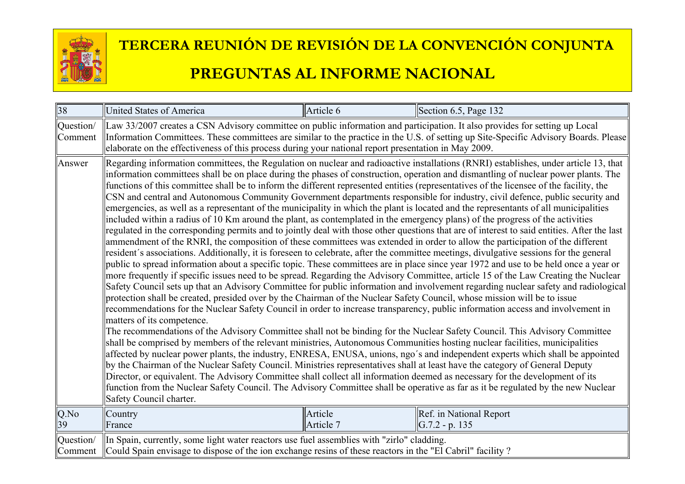

| 38                   | <b>United States of America</b>                                                                                                                                                                                                                                                                                                                                                                                                                                                                                                                                                                                                                                                                                                                                                                                                                                                                                                                                                                                                                                                                                                                                                                                                                                                                                                                                                                                                                                                                                                                                                                                                                                                                                                                                                                                                                                                                                                                                                                                                                                                                                                                                                                                                                                                                                                                                                                                                                                                                                                                                                                                                                                                                                                                                                                       | Article 6            | Section 6.5, Page 132                       |
|----------------------|-------------------------------------------------------------------------------------------------------------------------------------------------------------------------------------------------------------------------------------------------------------------------------------------------------------------------------------------------------------------------------------------------------------------------------------------------------------------------------------------------------------------------------------------------------------------------------------------------------------------------------------------------------------------------------------------------------------------------------------------------------------------------------------------------------------------------------------------------------------------------------------------------------------------------------------------------------------------------------------------------------------------------------------------------------------------------------------------------------------------------------------------------------------------------------------------------------------------------------------------------------------------------------------------------------------------------------------------------------------------------------------------------------------------------------------------------------------------------------------------------------------------------------------------------------------------------------------------------------------------------------------------------------------------------------------------------------------------------------------------------------------------------------------------------------------------------------------------------------------------------------------------------------------------------------------------------------------------------------------------------------------------------------------------------------------------------------------------------------------------------------------------------------------------------------------------------------------------------------------------------------------------------------------------------------------------------------------------------------------------------------------------------------------------------------------------------------------------------------------------------------------------------------------------------------------------------------------------------------------------------------------------------------------------------------------------------------------------------------------------------------------------------------------------------------|----------------------|---------------------------------------------|
| Question/<br>Comment | Law 33/2007 creates a CSN Advisory committee on public information and participation. It also provides for setting up Local<br>Information Committees. These committees are similar to the practice in the U.S. of setting up Site-Specific Advisory Boards. Please<br>elaborate on the effectiveness of this process during your national report presentation in May 2009.                                                                                                                                                                                                                                                                                                                                                                                                                                                                                                                                                                                                                                                                                                                                                                                                                                                                                                                                                                                                                                                                                                                                                                                                                                                                                                                                                                                                                                                                                                                                                                                                                                                                                                                                                                                                                                                                                                                                                                                                                                                                                                                                                                                                                                                                                                                                                                                                                           |                      |                                             |
| Answer               | Regarding information committees, the Regulation on nuclear and radioactive installations (RNRI) establishes, under article 13, that<br>information committees shall be on place during the phases of construction, operation and dismantling of nuclear power plants. The<br>functions of this committee shall be to inform the different represented entities (representatives of the licensee of the facility, the<br>CSN and central and Autonomous Community Government departments responsible for industry, civil defence, public security and<br>emergencies, as well as a representant of the municipality in which the plant is located and the representants of all municipalities<br>included within a radius of 10 Km around the plant, as contemplated in the emergency plans) of the progress of the activities<br>regulated in the corresponding permits and to jointly deal with those other questions that are of interest to said entities. After the last<br>ammendment of the RNRI, the composition of these committees was extended in order to allow the participation of the different<br>resident's associations. Additionally, it is foreseen to celebrate, after the committee meetings, divulgative sessions for the general<br>public to spread information about a specific topic. These committees are in place since year 1972 and use to be held once a year or<br>more frequently if specific issues need to be spread. Regarding the Advisory Committee, article 15 of the Law Creating the Nuclear<br>Safety Council sets up that an Advisory Committee for public information and involvement regarding nuclear safety and radiological<br>protection shall be created, presided over by the Chairman of the Nuclear Safety Council, whose mission will be to issue<br>recommendations for the Nuclear Safety Council in order to increase transparency, public information access and involvement in<br>matters of its competence.<br>The recommendations of the Advisory Committee shall not be binding for the Nuclear Safety Council. This Advisory Committee<br>shall be comprised by members of the relevant ministries, Autonomous Communities hosting nuclear facilities, municipalities<br>affected by nuclear power plants, the industry, ENRESA, ENUSA, unions, ngo's and independent experts which shall be appointed<br>by the Chairman of the Nuclear Safety Council. Ministries representatives shall at least have the category of General Deputy<br>Director, or equivalent. The Advisory Committee shall collect all information deemed as necessary for the development of its<br>function from the Nuclear Safety Council. The Advisory Committee shall be operative as far as it be regulated by the new Nuclear<br>Safety Council charter. |                      |                                             |
| Q.No<br>39           | Country<br>France                                                                                                                                                                                                                                                                                                                                                                                                                                                                                                                                                                                                                                                                                                                                                                                                                                                                                                                                                                                                                                                                                                                                                                                                                                                                                                                                                                                                                                                                                                                                                                                                                                                                                                                                                                                                                                                                                                                                                                                                                                                                                                                                                                                                                                                                                                                                                                                                                                                                                                                                                                                                                                                                                                                                                                                     | Article<br>Article 7 | Ref. in National Report<br>$G.7.2 - p. 135$ |
| Question/<br>Comment | In Spain, currently, some light water reactors use fuel assemblies with "zirlo" cladding.<br>Could Spain envisage to dispose of the ion exchange resins of these reactors in the "El Cabril" facility?                                                                                                                                                                                                                                                                                                                                                                                                                                                                                                                                                                                                                                                                                                                                                                                                                                                                                                                                                                                                                                                                                                                                                                                                                                                                                                                                                                                                                                                                                                                                                                                                                                                                                                                                                                                                                                                                                                                                                                                                                                                                                                                                                                                                                                                                                                                                                                                                                                                                                                                                                                                                |                      |                                             |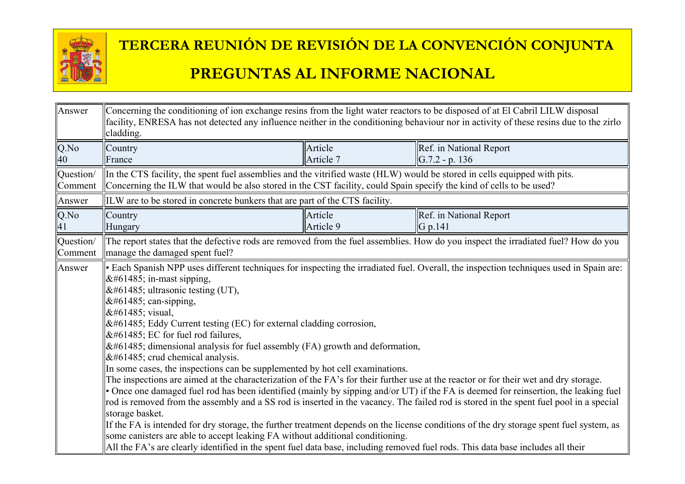

| Answer               | Concerning the conditioning of ion exchange resins from the light water reactors to be disposed of at El Cabril LILW disposal<br>facility, ENRESA has not detected any influence neither in the conditioning behaviour nor in activity of these resins due to the zirlo<br>cladding.                                                                                                                                                                                                                                                                                                                                                                                                                                                                                                                                                                                                                                                                                                                                                                                                                                                                                                                                                            |                      |                                                                                                                                    |  |
|----------------------|-------------------------------------------------------------------------------------------------------------------------------------------------------------------------------------------------------------------------------------------------------------------------------------------------------------------------------------------------------------------------------------------------------------------------------------------------------------------------------------------------------------------------------------------------------------------------------------------------------------------------------------------------------------------------------------------------------------------------------------------------------------------------------------------------------------------------------------------------------------------------------------------------------------------------------------------------------------------------------------------------------------------------------------------------------------------------------------------------------------------------------------------------------------------------------------------------------------------------------------------------|----------------------|------------------------------------------------------------------------------------------------------------------------------------|--|
| $Q$ .No<br>40        | Country<br>France                                                                                                                                                                                                                                                                                                                                                                                                                                                                                                                                                                                                                                                                                                                                                                                                                                                                                                                                                                                                                                                                                                                                                                                                                               | Article<br>Article 7 | Ref. in National Report<br>$ G.7.2 - p. 136 $                                                                                      |  |
| Question/<br>Comment | In the CTS facility, the spent fuel assemblies and the vitrified waste (HLW) would be stored in cells equipped with pits.<br>Concerning the ILW that would be also stored in the CST facility, could Spain specify the kind of cells to be used?                                                                                                                                                                                                                                                                                                                                                                                                                                                                                                                                                                                                                                                                                                                                                                                                                                                                                                                                                                                                |                      |                                                                                                                                    |  |
| Answer               | ILW are to be stored in concrete bunkers that are part of the CTS facility.                                                                                                                                                                                                                                                                                                                                                                                                                                                                                                                                                                                                                                                                                                                                                                                                                                                                                                                                                                                                                                                                                                                                                                     |                      |                                                                                                                                    |  |
| $Q$ .No<br>41        | Country<br>Hungary                                                                                                                                                                                                                                                                                                                                                                                                                                                                                                                                                                                                                                                                                                                                                                                                                                                                                                                                                                                                                                                                                                                                                                                                                              | Article<br>Article 9 | Ref. in National Report<br>G p.141                                                                                                 |  |
| Question/<br>Comment | manage the damaged spent fuel?                                                                                                                                                                                                                                                                                                                                                                                                                                                                                                                                                                                                                                                                                                                                                                                                                                                                                                                                                                                                                                                                                                                                                                                                                  |                      | The report states that the defective rods are removed from the fuel assemblies. How do you inspect the irradiated fuel? How do you |  |
| Answer               | • Each Spanish NPP uses different techniques for inspecting the irradiated fuel. Overall, the inspection techniques used in Spain are:<br> in-mast sipping,<br>$&\#61485$ ; ultrasonic testing (UT),<br> can-sipping,<br> visual,<br>$\&\#61485$ ; Eddy Current testing (EC) for external cladding corrosion,<br>$&\#61485$ ; EC for fuel rod failures,<br>$\&\#61485$ ; dimensional analysis for fuel assembly (FA) growth and deformation,<br>$&\#61485$ ; crud chemical analysis.<br>In some cases, the inspections can be supplemented by hot cell examinations.<br>The inspections are aimed at the characterization of the FA's for their further use at the reactor or for their wet and dry storage.<br>• Once one damaged fuel rod has been identified (mainly by sipping and/or UT) if the FA is deemed for reinsertion, the leaking fuel<br>rod is removed from the assembly and a SS rod is inserted in the vacancy. The failed rod is stored in the spent fuel pool in a special<br>storage basket.<br>If the FA is intended for dry storage, the further treatment depends on the license conditions of the dry storage spent fuel system, as<br>some canisters are able to accept leaking FA without additional conditioning. |                      |                                                                                                                                    |  |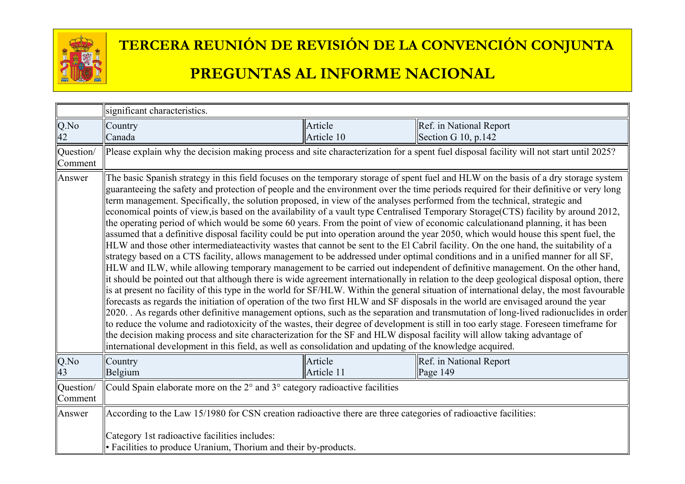

|                         | significant characteristics.                                                                                                                                                                                                                                                                                                                                                                                                                                                                                                                                                                                                                                                                                                                                                                                                                                                                                                                                                                                                                                                                                                                                                                                                                                                                                                                                                                                                                                                                                                                                                                                                                                                                                                                                                                                                                                                                                                                                                                                                                                                                                                                                                                  |                       |                                                                                                                                        |
|-------------------------|-----------------------------------------------------------------------------------------------------------------------------------------------------------------------------------------------------------------------------------------------------------------------------------------------------------------------------------------------------------------------------------------------------------------------------------------------------------------------------------------------------------------------------------------------------------------------------------------------------------------------------------------------------------------------------------------------------------------------------------------------------------------------------------------------------------------------------------------------------------------------------------------------------------------------------------------------------------------------------------------------------------------------------------------------------------------------------------------------------------------------------------------------------------------------------------------------------------------------------------------------------------------------------------------------------------------------------------------------------------------------------------------------------------------------------------------------------------------------------------------------------------------------------------------------------------------------------------------------------------------------------------------------------------------------------------------------------------------------------------------------------------------------------------------------------------------------------------------------------------------------------------------------------------------------------------------------------------------------------------------------------------------------------------------------------------------------------------------------------------------------------------------------------------------------------------------------|-----------------------|----------------------------------------------------------------------------------------------------------------------------------------|
| Q.No                    | Country                                                                                                                                                                                                                                                                                                                                                                                                                                                                                                                                                                                                                                                                                                                                                                                                                                                                                                                                                                                                                                                                                                                                                                                                                                                                                                                                                                                                                                                                                                                                                                                                                                                                                                                                                                                                                                                                                                                                                                                                                                                                                                                                                                                       | Article               | Ref. in National Report                                                                                                                |
| 42                      | Canada                                                                                                                                                                                                                                                                                                                                                                                                                                                                                                                                                                                                                                                                                                                                                                                                                                                                                                                                                                                                                                                                                                                                                                                                                                                                                                                                                                                                                                                                                                                                                                                                                                                                                                                                                                                                                                                                                                                                                                                                                                                                                                                                                                                        | Article 10            | Section G 10, p.142                                                                                                                    |
| Question/<br>Comment    |                                                                                                                                                                                                                                                                                                                                                                                                                                                                                                                                                                                                                                                                                                                                                                                                                                                                                                                                                                                                                                                                                                                                                                                                                                                                                                                                                                                                                                                                                                                                                                                                                                                                                                                                                                                                                                                                                                                                                                                                                                                                                                                                                                                               |                       | Please explain why the decision making process and site characterization for a spent fuel disposal facility will not start until 2025? |
| Answer                  | The basic Spanish strategy in this field focuses on the temporary storage of spent fuel and HLW on the basis of a dry storage system<br>guaranteeing the safety and protection of people and the environment over the time periods required for their definitive or very long<br>term management. Specifically, the solution proposed, in view of the analyses performed from the technical, strategic and<br>economical points of view, is based on the availability of a vault type Centralised Temporary Storage (CTS) facility by around 2012,<br>the operating period of which would be some 60 years. From the point of view of economic calculationand planning, it has been<br>assumed that a definitive disposal facility could be put into operation around the year 2050, which would house this spent fuel, the<br>HLW and those other intermediateactivity wastes that cannot be sent to the El Cabril facility. On the one hand, the suitability of a<br>strategy based on a CTS facility, allows management to be addressed under optimal conditions and in a unified manner for all SF,<br>HLW and ILW, while allowing temporary management to be carried out independent of definitive management. On the other hand,<br>it should be pointed out that although there is wide agreement internationally in relation to the deep geological disposal option, there<br>is at present no facility of this type in the world for SF/HLW. Within the general situation of international delay, the most favourable<br>forecasts as regards the initiation of operation of the two first HLW and SF disposals in the world are envisaged around the year<br>2020. As regards other definitive management options, such as the separation and transmutation of long-lived radionuclides in order<br>to reduce the volume and radiotoxicity of the wastes, their degree of development is still in too early stage. Foreseen timeframe for<br>the decision making process and site characterization for the SF and HLW disposal facility will allow taking advantage of<br>international development in this field, as well as consolidation and updating of the knowledge acquired. |                       |                                                                                                                                        |
| Q.No<br>$\overline{43}$ | Country<br>Belgium                                                                                                                                                                                                                                                                                                                                                                                                                                                                                                                                                                                                                                                                                                                                                                                                                                                                                                                                                                                                                                                                                                                                                                                                                                                                                                                                                                                                                                                                                                                                                                                                                                                                                                                                                                                                                                                                                                                                                                                                                                                                                                                                                                            | Article<br>Article 11 | Ref. in National Report<br>Page 149                                                                                                    |
| Question/<br>Comment    | Could Spain elaborate more on the 2° and 3° category radioactive facilities                                                                                                                                                                                                                                                                                                                                                                                                                                                                                                                                                                                                                                                                                                                                                                                                                                                                                                                                                                                                                                                                                                                                                                                                                                                                                                                                                                                                                                                                                                                                                                                                                                                                                                                                                                                                                                                                                                                                                                                                                                                                                                                   |                       |                                                                                                                                        |
| Answer                  | According to the Law 15/1980 for CSN creation radioactive there are three categories of radioactive facilities:                                                                                                                                                                                                                                                                                                                                                                                                                                                                                                                                                                                                                                                                                                                                                                                                                                                                                                                                                                                                                                                                                                                                                                                                                                                                                                                                                                                                                                                                                                                                                                                                                                                                                                                                                                                                                                                                                                                                                                                                                                                                               |                       |                                                                                                                                        |
|                         | Category 1st radioactive facilities includes:<br>• Facilities to produce Uranium, Thorium and their by-products.                                                                                                                                                                                                                                                                                                                                                                                                                                                                                                                                                                                                                                                                                                                                                                                                                                                                                                                                                                                                                                                                                                                                                                                                                                                                                                                                                                                                                                                                                                                                                                                                                                                                                                                                                                                                                                                                                                                                                                                                                                                                              |                       |                                                                                                                                        |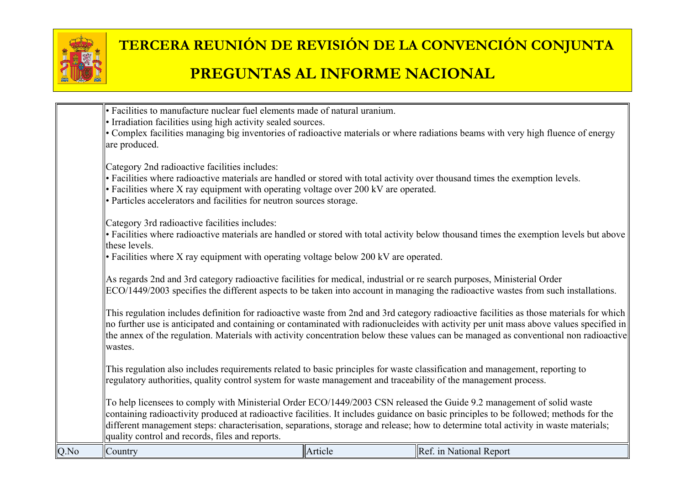

| Q.No | Country                                                                                                                                                                                                                                                                                                                                                                                                                                                  | Article | Ref. in National Report                                                                                                                                                                                                                                                                                                                                                                                                   |
|------|----------------------------------------------------------------------------------------------------------------------------------------------------------------------------------------------------------------------------------------------------------------------------------------------------------------------------------------------------------------------------------------------------------------------------------------------------------|---------|---------------------------------------------------------------------------------------------------------------------------------------------------------------------------------------------------------------------------------------------------------------------------------------------------------------------------------------------------------------------------------------------------------------------------|
|      | To help licensees to comply with Ministerial Order ECO/1449/2003 CSN released the Guide 9.2 management of solid waste<br>containing radioactivity produced at radioactive facilities. It includes guidance on basic principles to be followed; methods for the<br>different management steps: characterisation, separations, storage and release; how to determine total activity in waste materials;<br>quality control and records, files and reports. |         |                                                                                                                                                                                                                                                                                                                                                                                                                           |
|      | This regulation also includes requirements related to basic principles for waste classification and management, reporting to<br>regulatory authorities, quality control system for waste management and traceability of the management process.                                                                                                                                                                                                          |         |                                                                                                                                                                                                                                                                                                                                                                                                                           |
|      | wastes.                                                                                                                                                                                                                                                                                                                                                                                                                                                  |         | This regulation includes definition for radioactive waste from 2nd and 3rd category radioactive facilities as those materials for which<br>no further use is anticipated and containing or contaminated with radionucleides with activity per unit mass above values specified in<br>the annex of the regulation. Materials with activity concentration below these values can be managed as conventional non radioactive |
|      | As regards 2nd and 3rd category radioactive facilities for medical, industrial or re search purposes, Ministerial Order                                                                                                                                                                                                                                                                                                                                  |         | ECO/1449/2003 specifies the different aspects to be taken into account in managing the radioactive wastes from such installations.                                                                                                                                                                                                                                                                                        |
|      | Category 3rd radioactive facilities includes:<br>these levels.<br>• Facilities where X ray equipment with operating voltage below 200 kV are operated.                                                                                                                                                                                                                                                                                                   |         | • Facilities where radioactive materials are handled or stored with total activity below thousand times the exemption levels but above                                                                                                                                                                                                                                                                                    |
|      | Category 2nd radioactive facilities includes:<br>• Facilities where radioactive materials are handled or stored with total activity over thousand times the exemption levels.<br>$\cdot$ Facilities where X ray equipment with operating voltage over 200 kV are operated.<br>• Particles accelerators and facilities for neutron sources storage.                                                                                                       |         |                                                                                                                                                                                                                                                                                                                                                                                                                           |
|      | • Facilities to manufacture nuclear fuel elements made of natural uranium.<br>• Irradiation facilities using high activity sealed sources.<br>are produced.                                                                                                                                                                                                                                                                                              |         | • Complex facilities managing big inventories of radioactive materials or where radiations beams with very high fluence of energy                                                                                                                                                                                                                                                                                         |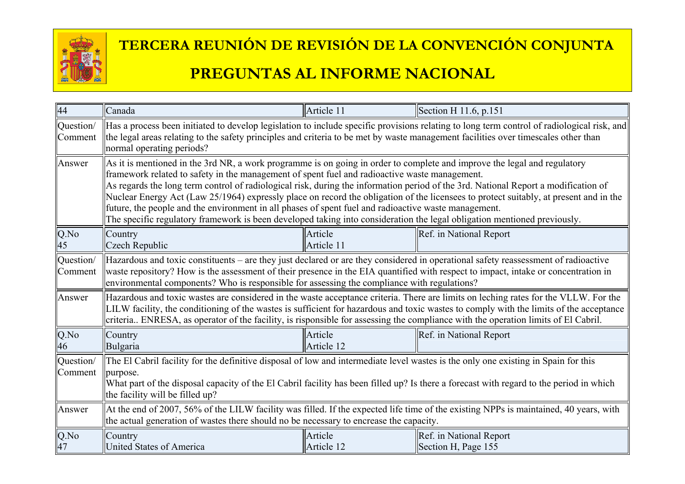

| 44                          | Canada                                                                                                                                                                                                                                                                                                                                                                                                                                                                                                                                                                                                                                                                                                                                       | Article 11            | Section H 11.6, p.151                                                                                                                                                                                                                                                         |  |
|-----------------------------|----------------------------------------------------------------------------------------------------------------------------------------------------------------------------------------------------------------------------------------------------------------------------------------------------------------------------------------------------------------------------------------------------------------------------------------------------------------------------------------------------------------------------------------------------------------------------------------------------------------------------------------------------------------------------------------------------------------------------------------------|-----------------------|-------------------------------------------------------------------------------------------------------------------------------------------------------------------------------------------------------------------------------------------------------------------------------|--|
| Question/<br>Comment        | Has a process been initiated to develop legislation to include specific provisions relating to long term control of radiological risk, and<br>the legal areas relating to the safety principles and criteria to be met by waste management facilities over timescales other than<br>normal operating periods?                                                                                                                                                                                                                                                                                                                                                                                                                                |                       |                                                                                                                                                                                                                                                                               |  |
| Answer                      | As it is mentioned in the 3rd NR, a work programme is on going in order to complete and improve the legal and regulatory<br>framework related to safety in the management of spent fuel and radioactive waste management.<br>As regards the long term control of radiological risk, during the information period of the 3rd. National Report a modification of<br>Nuclear Energy Act (Law 25/1964) expressly place on record the obligation of the licensees to protect suitably, at present and in the<br>future, the people and the environment in all phases of spent fuel and radioactive waste management.<br>The specific regulatory framework is been developed taking into consideration the legal obligation mentioned previously. |                       |                                                                                                                                                                                                                                                                               |  |
| Q.No<br>45                  | Country<br>Czech Republic                                                                                                                                                                                                                                                                                                                                                                                                                                                                                                                                                                                                                                                                                                                    | Article<br>Article 11 | Ref. in National Report                                                                                                                                                                                                                                                       |  |
| Question/<br>Comment        | Hazardous and toxic constituents – are they just declared or are they considered in operational safety reassessment of radioactive<br>waste repository? How is the assessment of their presence in the EIA quantified with respect to impact, intake or concentration in<br>environmental components? Who is responsible for assessing the compliance with regulations?                                                                                                                                                                                                                                                                                                                                                                      |                       |                                                                                                                                                                                                                                                                               |  |
| Answer                      | criteria ENRESA, as operator of the facility, is risponsible for assessing the compliance with the operation limits of El Cabril.                                                                                                                                                                                                                                                                                                                                                                                                                                                                                                                                                                                                            |                       | Hazardous and toxic wastes are considered in the waste acceptance criteria. There are limits on leching rates for the VLLW. For the<br>LILW facility, the conditioning of the wastes is sufficient for hazardous and toxic wastes to comply with the limits of the acceptance |  |
| Q.No<br>46                  | Country<br>Bulgaria                                                                                                                                                                                                                                                                                                                                                                                                                                                                                                                                                                                                                                                                                                                          | Article<br>Article 12 | Ref. in National Report                                                                                                                                                                                                                                                       |  |
| Question/<br><b>Comment</b> | The El Cabril facility for the definitive disposal of low and intermediate level wastes is the only one existing in Spain for this<br>purpose.<br>What part of the disposal capacity of the El Cabril facility has been filled up? Is there a forecast with regard to the period in which<br>the facility will be filled up?                                                                                                                                                                                                                                                                                                                                                                                                                 |                       |                                                                                                                                                                                                                                                                               |  |
| Answer                      | At the end of 2007, 56% of the LILW facility was filled. If the expected life time of the existing NPPs is maintained, 40 years, with<br>the actual generation of wastes there should no be necessary to encrease the capacity.                                                                                                                                                                                                                                                                                                                                                                                                                                                                                                              |                       |                                                                                                                                                                                                                                                                               |  |
| Q.No<br>47                  | Country<br>United States of America                                                                                                                                                                                                                                                                                                                                                                                                                                                                                                                                                                                                                                                                                                          | Article<br>Article 12 | Ref. in National Report<br>Section H, Page 155                                                                                                                                                                                                                                |  |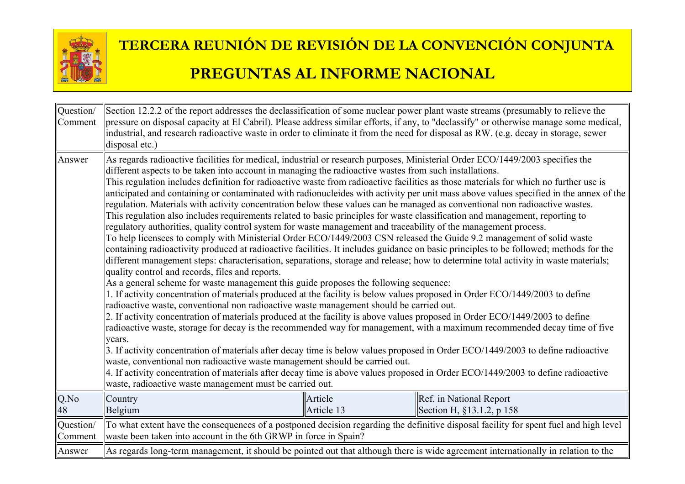

| Question/<br>Comment | Section 12.2.2 of the report addresses the declassification of some nuclear power plant waste streams (presumably to relieve the<br>pressure on disposal capacity at El Cabril). Please address similar efforts, if any, to "declassify" or otherwise manage some medical,<br>industrial, and research radioactive waste in order to eliminate it from the need for disposal as RW. (e.g. decay in storage, sewer<br>disposal etc.)                                                                                                                                                                                                                                                                                                                                                                                                                                                                                                                                                                                                                                                                                                                                                                                                                                                                                                                                                                                                                                                                                                                                                                                                                                                                                                                                                                                                                                                                                                                                                                                                                                                                                   |                       |                                                                                                                                                                                                                                                                                |  |
|----------------------|-----------------------------------------------------------------------------------------------------------------------------------------------------------------------------------------------------------------------------------------------------------------------------------------------------------------------------------------------------------------------------------------------------------------------------------------------------------------------------------------------------------------------------------------------------------------------------------------------------------------------------------------------------------------------------------------------------------------------------------------------------------------------------------------------------------------------------------------------------------------------------------------------------------------------------------------------------------------------------------------------------------------------------------------------------------------------------------------------------------------------------------------------------------------------------------------------------------------------------------------------------------------------------------------------------------------------------------------------------------------------------------------------------------------------------------------------------------------------------------------------------------------------------------------------------------------------------------------------------------------------------------------------------------------------------------------------------------------------------------------------------------------------------------------------------------------------------------------------------------------------------------------------------------------------------------------------------------------------------------------------------------------------------------------------------------------------------------------------------------------------|-----------------------|--------------------------------------------------------------------------------------------------------------------------------------------------------------------------------------------------------------------------------------------------------------------------------|--|
| Answer               | As regards radioactive facilities for medical, industrial or research purposes, Ministerial Order ECO/1449/2003 specifies the<br>different aspects to be taken into account in managing the radioactive wastes from such installations.<br>This regulation includes definition for radioactive waste from radioactive facilities as those materials for which no further use is<br>regulation. Materials with activity concentration below these values can be managed as conventional non radioactive wastes.<br>This regulation also includes requirements related to basic principles for waste classification and management, reporting to<br>regulatory authorities, quality control system for waste management and traceability of the management process.<br>To help licensees to comply with Ministerial Order ECO/1449/2003 CSN released the Guide 9.2 management of solid waste<br>different management steps: characterisation, separations, storage and release; how to determine total activity in waste materials;<br>quality control and records, files and reports.<br>As a general scheme for waste management this guide proposes the following sequence:<br>1. If activity concentration of materials produced at the facility is below values proposed in Order ECO/1449/2003 to define<br>radioactive waste, conventional non radioactive waste management should be carried out.<br>$\vert$ 2. If activity concentration of materials produced at the facility is above values proposed in Order ECO/1449/2003 to define<br>radioactive waste, storage for decay is the recommended way for management, with a maximum recommended decay time of five<br>years.<br>$\parallel$ 3. If activity concentration of materials after decay time is below values proposed in Order ECO/1449/2003 to define radioactive<br>waste, conventional non radioactive waste management should be carried out.<br>4. If activity concentration of materials after decay time is above values proposed in Order ECO/1449/2003 to define radioactive<br>waste, radioactive waste management must be carried out. |                       | anticipated and containing or contaminated with radionucleides with activity per unit mass above values specified in the annex of the<br>containing radioactivity produced at radioactive facilities. It includes guidance on basic principles to be followed; methods for the |  |
| Q.No<br>48           | Country<br>Belgium                                                                                                                                                                                                                                                                                                                                                                                                                                                                                                                                                                                                                                                                                                                                                                                                                                                                                                                                                                                                                                                                                                                                                                                                                                                                                                                                                                                                                                                                                                                                                                                                                                                                                                                                                                                                                                                                                                                                                                                                                                                                                                    | Article<br>Article 13 | Ref. in National Report<br>Section H, §13.1.2, p 158                                                                                                                                                                                                                           |  |
| Question/<br>Comment | To what extent have the consequences of a postponed decision regarding the definitive disposal facility for spent fuel and high level<br>waste been taken into account in the 6th GRWP in force in Spain?                                                                                                                                                                                                                                                                                                                                                                                                                                                                                                                                                                                                                                                                                                                                                                                                                                                                                                                                                                                                                                                                                                                                                                                                                                                                                                                                                                                                                                                                                                                                                                                                                                                                                                                                                                                                                                                                                                             |                       |                                                                                                                                                                                                                                                                                |  |
| Answer               | As regards long-term management, it should be pointed out that although there is wide agreement internationally in relation to the                                                                                                                                                                                                                                                                                                                                                                                                                                                                                                                                                                                                                                                                                                                                                                                                                                                                                                                                                                                                                                                                                                                                                                                                                                                                                                                                                                                                                                                                                                                                                                                                                                                                                                                                                                                                                                                                                                                                                                                    |                       |                                                                                                                                                                                                                                                                                |  |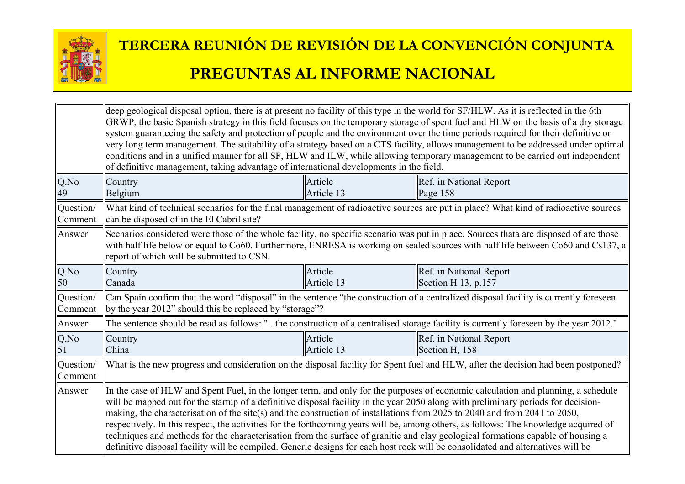

|                      | deep geological disposal option, there is at present no facility of this type in the world for SF/HLW. As it is reflected in the 6th<br>GRWP, the basic Spanish strategy in this field focuses on the temporary storage of spent fuel and HLW on the basis of a dry storage<br>system guaranteeing the safety and protection of people and the environment over the time periods required for their definitive or<br>very long term management. The suitability of a strategy based on a CTS facility, allows management to be addressed under optimal<br>conditions and in a unified manner for all SF, HLW and ILW, while allowing temporary management to be carried out independent<br>of definitive management, taking advantage of international developments in the field.                                    |                       |                                                                                                                                      |  |
|----------------------|----------------------------------------------------------------------------------------------------------------------------------------------------------------------------------------------------------------------------------------------------------------------------------------------------------------------------------------------------------------------------------------------------------------------------------------------------------------------------------------------------------------------------------------------------------------------------------------------------------------------------------------------------------------------------------------------------------------------------------------------------------------------------------------------------------------------|-----------------------|--------------------------------------------------------------------------------------------------------------------------------------|--|
| $Q$ .No<br>49        | Country<br>Belgium                                                                                                                                                                                                                                                                                                                                                                                                                                                                                                                                                                                                                                                                                                                                                                                                   | Article<br>Article 13 | Ref. in National Report<br>Page 158                                                                                                  |  |
| Question/<br>Comment | can be disposed of in the El Cabril site?                                                                                                                                                                                                                                                                                                                                                                                                                                                                                                                                                                                                                                                                                                                                                                            |                       | What kind of technical scenarios for the final management of radioactive sources are put in place? What kind of radioactive sources  |  |
| Answer               | Scenarios considered were those of the whole facility, no specific scenario was put in place. Sources thata are disposed of are those<br>with half life below or equal to Co60. Furthermore, ENRESA is working on sealed sources with half life between Co60 and Cs137, a<br>report of which will be submitted to CSN.                                                                                                                                                                                                                                                                                                                                                                                                                                                                                               |                       |                                                                                                                                      |  |
| Q.No<br>50           | Country<br>Canada                                                                                                                                                                                                                                                                                                                                                                                                                                                                                                                                                                                                                                                                                                                                                                                                    | Article<br>Article 13 | Ref. in National Report<br>Section H $13$ , p.157                                                                                    |  |
| Question/<br>Comment | Can Spain confirm that the word "disposal" in the sentence "the construction of a centralized disposal facility is currently foreseen<br>(by the year 2012" should this be replaced by "storage"?                                                                                                                                                                                                                                                                                                                                                                                                                                                                                                                                                                                                                    |                       |                                                                                                                                      |  |
| Answer               |                                                                                                                                                                                                                                                                                                                                                                                                                                                                                                                                                                                                                                                                                                                                                                                                                      |                       | The sentence should be read as follows: "the construction of a centralised storage facility is currently foreseen by the year 2012." |  |
| Q.No<br>51           | Country<br>China                                                                                                                                                                                                                                                                                                                                                                                                                                                                                                                                                                                                                                                                                                                                                                                                     | Article<br>Article 13 | Ref. in National Report<br>Section H, 158                                                                                            |  |
| Question/<br>Comment | What is the new progress and consideration on the disposal facility for Spent fuel and HLW, after the decision had been postponed?                                                                                                                                                                                                                                                                                                                                                                                                                                                                                                                                                                                                                                                                                   |                       |                                                                                                                                      |  |
| Answer               | In the case of HLW and Spent Fuel, in the longer term, and only for the purposes of economic calculation and planning, a schedule<br>will be mapped out for the startup of a definitive disposal facility in the year 2050 along with preliminary periods for decision-<br>making, the characterisation of the site(s) and the construction of installations from 2025 to 2040 and from 2041 to 2050,<br>respectively. In this respect, the activities for the forthcoming years will be, among others, as follows: The knowledge acquired of<br>techniques and methods for the characterisation from the surface of granitic and clay geological formations capable of housing a<br>definitive disposal facility will be compiled. Generic designs for each host rock will be consolidated and alternatives will be |                       |                                                                                                                                      |  |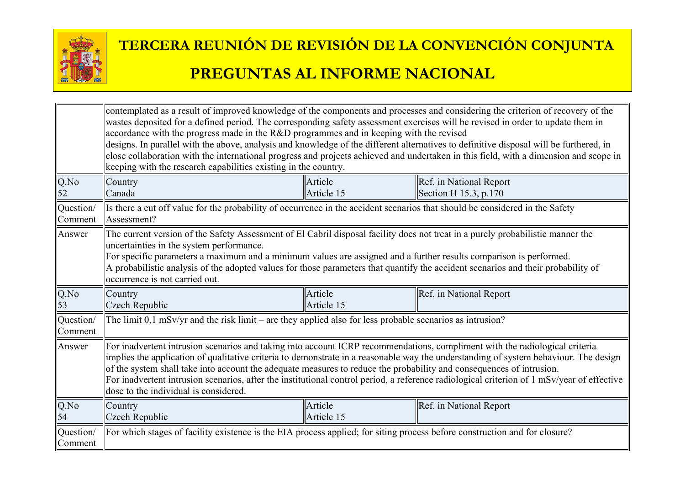

|                      | contemplated as a result of improved knowledge of the components and processes and considering the criterion of recovery of the<br>wastes deposited for a defined period. The corresponding safety assessment exercises will be revised in order to update them in<br>accordance with the progress made in the R&D programmes and in keeping with the revised<br>designs. In parallel with the above, analysis and knowledge of the different alternatives to definitive disposal will be furthered, in<br>close collaboration with the international progress and projects achieved and undertaken in this field, with a dimension and scope in<br>keeping with the research capabilities existing in the country. |                       |                                                     |  |
|----------------------|---------------------------------------------------------------------------------------------------------------------------------------------------------------------------------------------------------------------------------------------------------------------------------------------------------------------------------------------------------------------------------------------------------------------------------------------------------------------------------------------------------------------------------------------------------------------------------------------------------------------------------------------------------------------------------------------------------------------|-----------------------|-----------------------------------------------------|--|
| Q.No<br>52           | Country<br>Canada                                                                                                                                                                                                                                                                                                                                                                                                                                                                                                                                                                                                                                                                                                   | Article<br>Article 15 | Ref. in National Report<br>Section H $15.3$ , p.170 |  |
| Question/<br>Comment | Is there a cut off value for the probability of occurrence in the accident scenarios that should be considered in the Safety<br>Assessment?                                                                                                                                                                                                                                                                                                                                                                                                                                                                                                                                                                         |                       |                                                     |  |
| Answer               | The current version of the Safety Assessment of El Cabril disposal facility does not treat in a purely probabilistic manner the<br>uncertainties in the system performance.<br>For specific parameters a maximum and a minimum values are assigned and a further results comparison is performed.<br>A probabilistic analysis of the adopted values for those parameters that quantify the accident scenarios and their probability of<br>occurrence is not carried out.                                                                                                                                                                                                                                            |                       |                                                     |  |
| Q.No<br>53           | Country<br>Czech Republic                                                                                                                                                                                                                                                                                                                                                                                                                                                                                                                                                                                                                                                                                           | Article<br>Article 15 | Ref. in National Report                             |  |
| Question/<br>Comment | The limit $0,1$ mSv/yr and the risk limit – are they applied also for less probable scenarios as intrusion?                                                                                                                                                                                                                                                                                                                                                                                                                                                                                                                                                                                                         |                       |                                                     |  |
| Answer               | For inadvertent intrusion scenarios and taking into account ICRP recommendations, compliment with the radiological criteria<br>implies the application of qualitative criteria to demonstrate in a reasonable way the understanding of system behaviour. The design<br>of the system shall take into account the adequate measures to reduce the probability and consequences of intrusion.<br>For inadvertent intrusion scenarios, after the institutional control period, a reference radiological criterion of 1 mSv/year of effective<br>dose to the individual is considered.                                                                                                                                  |                       |                                                     |  |
| Q.No<br>54           | Country<br>Czech Republic                                                                                                                                                                                                                                                                                                                                                                                                                                                                                                                                                                                                                                                                                           | Article<br>Article 15 | Ref. in National Report                             |  |
| Question/<br>Comment | For which stages of facility existence is the EIA process applied; for siting process before construction and for closure?                                                                                                                                                                                                                                                                                                                                                                                                                                                                                                                                                                                          |                       |                                                     |  |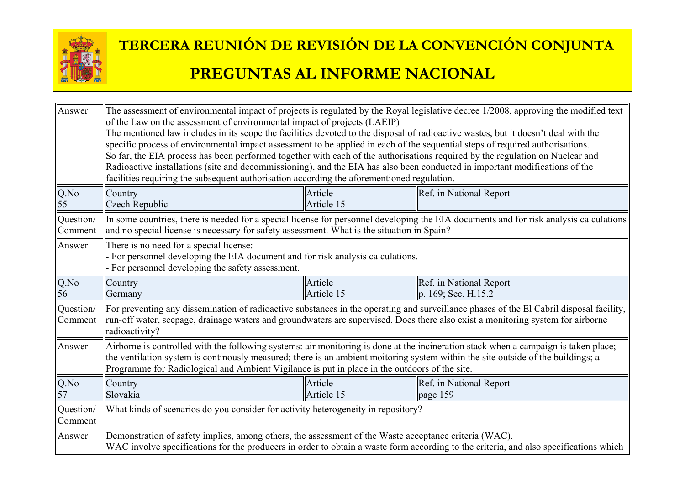

| Answer               | The assessment of environmental impact of projects is regulated by the Royal legislative decree 1/2008, approving the modified text<br>of the Law on the assessment of environmental impact of projects (LAEIP)<br>The mentioned law includes in its scope the facilities devoted to the disposal of radioactive wastes, but it doesn't deal with the<br>specific process of environmental impact assessment to be applied in each of the sequential steps of required authorisations.<br>So far, the EIA process has been performed together with each of the authorisations required by the regulation on Nuclear and<br>Radioactive installations (site and decommissioning), and the EIA has also been conducted in important modifications of the<br>facilities requiring the subsequent authorisation according the aforementioned regulation. |                       |                                                                                                                                        |  |
|----------------------|------------------------------------------------------------------------------------------------------------------------------------------------------------------------------------------------------------------------------------------------------------------------------------------------------------------------------------------------------------------------------------------------------------------------------------------------------------------------------------------------------------------------------------------------------------------------------------------------------------------------------------------------------------------------------------------------------------------------------------------------------------------------------------------------------------------------------------------------------|-----------------------|----------------------------------------------------------------------------------------------------------------------------------------|--|
| Q.No                 | Country                                                                                                                                                                                                                                                                                                                                                                                                                                                                                                                                                                                                                                                                                                                                                                                                                                              | Article               | Ref. in National Report                                                                                                                |  |
| 55                   | Czech Republic                                                                                                                                                                                                                                                                                                                                                                                                                                                                                                                                                                                                                                                                                                                                                                                                                                       | Article 15            |                                                                                                                                        |  |
| Question/<br>Comment | and no special license is necessary for safety assessment. What is the situation in Spain?                                                                                                                                                                                                                                                                                                                                                                                                                                                                                                                                                                                                                                                                                                                                                           |                       | In some countries, there is needed for a special license for personnel developing the EIA documents and for risk analysis calculations |  |
| Answer               | There is no need for a special license:<br>- For personnel developing the EIA document and for risk analysis calculations.<br>For personnel developing the safety assessment.                                                                                                                                                                                                                                                                                                                                                                                                                                                                                                                                                                                                                                                                        |                       |                                                                                                                                        |  |
| $Q$ .No<br>56        | Country<br>Germany                                                                                                                                                                                                                                                                                                                                                                                                                                                                                                                                                                                                                                                                                                                                                                                                                                   | Article<br>Article 15 | Ref. in National Report<br>p. 169; Sec. H.15.2                                                                                         |  |
| Question/<br>Comment | For preventing any dissemination of radioactive substances in the operating and surveillance phases of the El Cabril disposal facility,<br>run-off water, seepage, drainage waters and groundwaters are supervised. Does there also exist a monitoring system for airborne<br>radioactivity?                                                                                                                                                                                                                                                                                                                                                                                                                                                                                                                                                         |                       |                                                                                                                                        |  |
| Answer               | Airborne is controlled with the following systems: air monitoring is done at the incineration stack when a campaign is taken place;<br>the ventilation system is continously measured; there is an ambient moitoring system within the site outside of the buildings; a<br>Programme for Radiological and Ambient Vigilance is put in place in the outdoors of the site.                                                                                                                                                                                                                                                                                                                                                                                                                                                                             |                       |                                                                                                                                        |  |
| Q.No<br>57           | Country<br>Slovakia                                                                                                                                                                                                                                                                                                                                                                                                                                                                                                                                                                                                                                                                                                                                                                                                                                  | Article<br>Article 15 | Ref. in National Report<br>page 159                                                                                                    |  |
| Question/<br>Comment | What kinds of scenarios do you consider for activity heterogeneity in repository?                                                                                                                                                                                                                                                                                                                                                                                                                                                                                                                                                                                                                                                                                                                                                                    |                       |                                                                                                                                        |  |
| Answer               | Demonstration of safety implies, among others, the assessment of the Waste acceptance criteria (WAC).<br>WAC involve specifications for the producers in order to obtain a waste form according to the criteria, and also specifications which                                                                                                                                                                                                                                                                                                                                                                                                                                                                                                                                                                                                       |                       |                                                                                                                                        |  |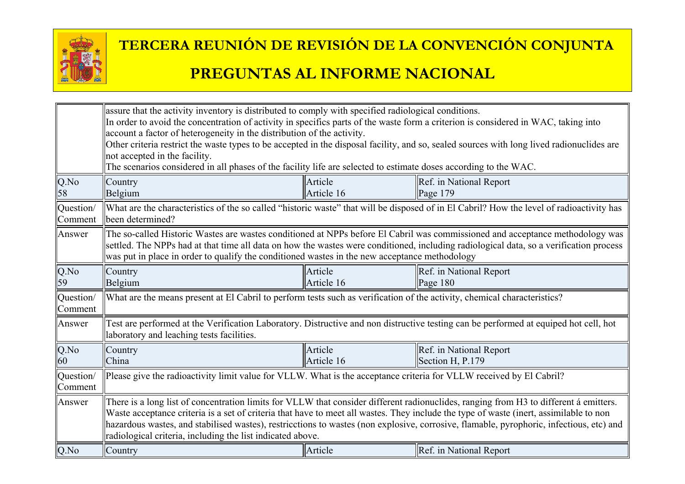

|                      | assure that the activity inventory is distributed to comply with specified radiological conditions.<br>In order to avoid the concentration of activity in specifics parts of the waste form a criterion is considered in WAC, taking into<br>account a factor of heterogeneity in the distribution of the activity.<br>Other criteria restrict the waste types to be accepted in the disposal facility, and so, sealed sources with long lived radionuclides are<br>not accepted in the facility.<br>The scenarios considered in all phases of the facility life are selected to estimate doses according to the WAC. |                       |                                                                                                                                          |  |
|----------------------|-----------------------------------------------------------------------------------------------------------------------------------------------------------------------------------------------------------------------------------------------------------------------------------------------------------------------------------------------------------------------------------------------------------------------------------------------------------------------------------------------------------------------------------------------------------------------------------------------------------------------|-----------------------|------------------------------------------------------------------------------------------------------------------------------------------|--|
| Q.No<br>58           | Country<br>Belgium                                                                                                                                                                                                                                                                                                                                                                                                                                                                                                                                                                                                    | Article<br>Article 16 | Ref. in National Report<br>Page $179$                                                                                                    |  |
| Question/<br>Comment | been determined?                                                                                                                                                                                                                                                                                                                                                                                                                                                                                                                                                                                                      |                       | What are the characteristics of the so called "historic waste" that will be disposed of in El Cabril? How the level of radioactivity has |  |
| Answer               | The so-called Historic Wastes are wastes conditioned at NPPs before El Cabril was commissioned and acceptance methodology was<br>settled. The NPPs had at that time all data on how the wastes were conditioned, including radiological data, so a verification process<br>was put in place in order to qualify the conditioned wastes in the new acceptance methodology                                                                                                                                                                                                                                              |                       |                                                                                                                                          |  |
| $Q$ .No<br>59        | Country<br>Belgium                                                                                                                                                                                                                                                                                                                                                                                                                                                                                                                                                                                                    | Article<br>Article 16 | Ref. in National Report<br>Page $180$                                                                                                    |  |
| Question/<br>Comment | What are the means present at El Cabril to perform tests such as verification of the activity, chemical characteristics?                                                                                                                                                                                                                                                                                                                                                                                                                                                                                              |                       |                                                                                                                                          |  |
| Answer               | laboratory and leaching tests facilities.                                                                                                                                                                                                                                                                                                                                                                                                                                                                                                                                                                             |                       | Test are performed at the Verification Laboratory. Distructive and non distructive testing can be performed at equiped hot cell, hot     |  |
| Q.No<br>60           | Country<br>China                                                                                                                                                                                                                                                                                                                                                                                                                                                                                                                                                                                                      | Article<br>Article 16 | Ref. in National Report<br>Section H, P.179                                                                                              |  |
| Question/<br>Comment | Please give the radioactivity limit value for VLLW. What is the acceptance criteria for VLLW received by El Cabril?                                                                                                                                                                                                                                                                                                                                                                                                                                                                                                   |                       |                                                                                                                                          |  |
| Answer               | There is a long list of concentration limits for VLLW that consider different radionuclides, ranging from H3 to different á emitters.<br>Waste acceptance criteria is a set of criteria that have to meet all wastes. They include the type of waste (inert, assimilable to non<br>hazardous wastes, and stabilised wastes), restricctions to wastes (non explosive, corrosive, flamable, pyrophoric, infectious, etc) and<br>radiological criteria, including the list indicated above.                                                                                                                              |                       |                                                                                                                                          |  |
| Q.No                 | Country                                                                                                                                                                                                                                                                                                                                                                                                                                                                                                                                                                                                               | Article               | Ref. in National Report                                                                                                                  |  |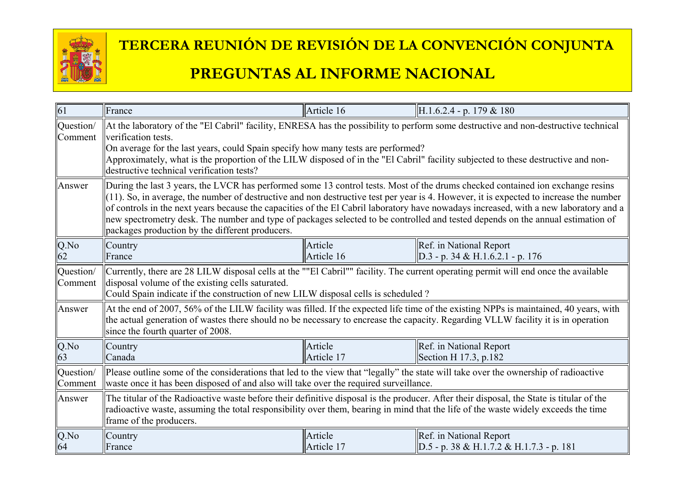

#### $\parallel$ 61 France  $\parallel$ Article 16  $\parallel$ H.1.6.2.4 - p. 179 & 180 Question/ Comment At the laboratory of the "El Cabril" facility, ENRESA has the possibility to perform some destructive and non-destructive technical verification tests. On average for the last years, could Spain specify how many tests are performed? Approximately, what is the proportion of the LILW disposed of in the "El Cabril" facility subjected to these destructive and nondestructive technical verification tests? Answer **During the last 3 years, the LVCR** has performed some 13 control tests. Most of the drums checked contained ion exchange resins  $\|$ (11). So, in average, the number of destructive and non destructive test per year is 4. However, it is expected to increase the number of controls in the next years because the capacities of the El Cabril laboratory have nowadays increased, with a new laboratory and a new spectrometry desk. The number and type of packages selected to be controlled and tested depends on the annual estimation of packages production by the different producers. Q.No  $62$ **Country** France Article Article 16 Ref. in National Report  $\vert$ D.3 - p. 34 & H.1.6.2.1 - p. 176 Question/ Comment Currently, there are 28 LILW disposal cells at the ""El Cabril"" facility. The current operating permit will end once the available disposal volume of the existing cells saturated. Could Spain indicate if the construction of new LILW disposal cells is scheduled ? Answer  $\parallel$  At the end of 2007, 56% of the LILW facility was filled. If the expected life time of the existing NPPs is maintained, 40 years, with the actual generation of wastes there should no be necessary to encrease the capacity. Regarding VLLW facility it is in operation since the fourth quarter of 2008. Q.No 63 **Country** Canada Article Article 17 Ref. in National Report Section H 17.3, p.182 Question/ Comment Please outline some of the considerations that led to the view that "legally" the state will take over the ownership of radioactive waste once it has been disposed of and also will take over the required surveillance. Answer **The titular of the Radioactive waste before their definitive disposal is the producer.** After their disposal, the State is titular of the radioactive waste, assuming the total responsibility over them, bearing in mind that the life of the waste widely exceeds the time frame of the producers. Q.No 64 **Country** France Article Article 17 **Ref.** in National Report  $\vert$ D.5 - p. 38 & H.1.7.2 & H.1.7.3 - p. 181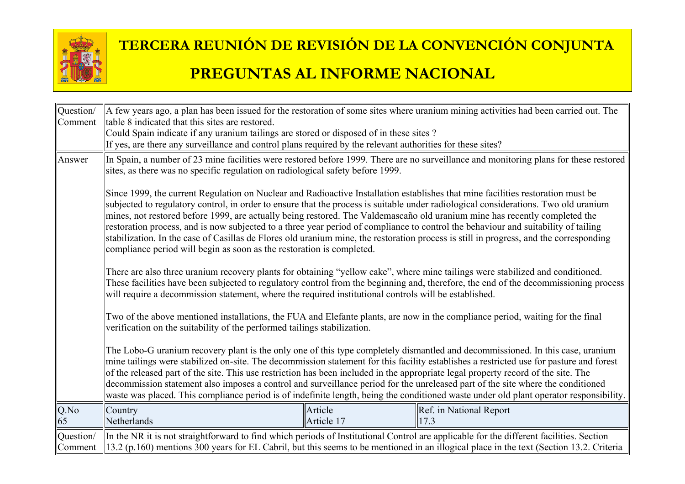

| Question/<br>Comment | Itable 8 indicated that this sites are restored.                                                                                                                                                                                                                                                                                                                                                                                                                                                                                                                                                                    |                       | A few years ago, a plan has been issued for the restoration of some sites where uranium mining activities had been carried out. The                                                                                                                                                                                                                                                                                 |
|----------------------|---------------------------------------------------------------------------------------------------------------------------------------------------------------------------------------------------------------------------------------------------------------------------------------------------------------------------------------------------------------------------------------------------------------------------------------------------------------------------------------------------------------------------------------------------------------------------------------------------------------------|-----------------------|---------------------------------------------------------------------------------------------------------------------------------------------------------------------------------------------------------------------------------------------------------------------------------------------------------------------------------------------------------------------------------------------------------------------|
|                      | Could Spain indicate if any uranium tailings are stored or disposed of in these sites?<br>If yes, are there any surveillance and control plans required by the relevant authorities for these sites?                                                                                                                                                                                                                                                                                                                                                                                                                |                       |                                                                                                                                                                                                                                                                                                                                                                                                                     |
| Answer               | sites, as there was no specific regulation on radiological safety before 1999.                                                                                                                                                                                                                                                                                                                                                                                                                                                                                                                                      |                       | In Spain, a number of 23 mine facilities were restored before 1999. There are no surveillance and monitoring plans for these restored                                                                                                                                                                                                                                                                               |
|                      | Since 1999, the current Regulation on Nuclear and Radioactive Installation establishes that mine facilities restoration must be<br>subjected to regulatory control, in order to ensure that the process is suitable under radiological considerations. Two old uranium<br>mines, not restored before 1999, are actually being restored. The Valdemascaño old uranium mine has recently completed the<br>restoration process, and is now subjected to a three year period of compliance to control the behaviour and suitability of tailing<br>compliance period will begin as soon as the restoration is completed. |                       | stabilization. In the case of Casillas de Flores old uranium mine, the restoration process is still in progress, and the corresponding                                                                                                                                                                                                                                                                              |
|                      | There are also three uranium recovery plants for obtaining "yellow cake", where mine tailings were stabilized and conditioned.<br>will require a decommission statement, where the required institutional controls will be established.                                                                                                                                                                                                                                                                                                                                                                             |                       | These facilities have been subjected to regulatory control from the beginning and, therefore, the end of the decommissioning process                                                                                                                                                                                                                                                                                |
|                      | Two of the above mentioned installations, the FUA and Elefante plants, are now in the compliance period, waiting for the final<br>verification on the suitability of the performed tailings stabilization.                                                                                                                                                                                                                                                                                                                                                                                                          |                       |                                                                                                                                                                                                                                                                                                                                                                                                                     |
|                      | of the released part of the site. This use restriction has been included in the appropriate legal property record of the site. The<br>decommission statement also imposes a control and surveillance period for the unreleased part of the site where the conditioned                                                                                                                                                                                                                                                                                                                                               |                       | The Lobo-G uranium recovery plant is the only one of this type completely dismantled and decommissioned. In this case, uranium<br>mine tailings were stabilized on-site. The decommission statement for this facility establishes a restricted use for pasture and forest<br>waste was placed. This compliance period is of indefinite length, being the conditioned waste under old plant operator responsibility. |
| Q.No<br>65           | Country<br>Netherlands                                                                                                                                                                                                                                                                                                                                                                                                                                                                                                                                                                                              | Article<br>Article 17 | Ref. in National Report<br>17.3                                                                                                                                                                                                                                                                                                                                                                                     |
| Question/<br>Comment | In the NR it is not straightforward to find which periods of Institutional Control are applicable for the different facilities. Section                                                                                                                                                                                                                                                                                                                                                                                                                                                                             |                       | $\parallel$ 13.2 (p.160) mentions 300 years for EL Cabril, but this seems to be mentioned in an illogical place in the text (Section 13.2. Criteria                                                                                                                                                                                                                                                                 |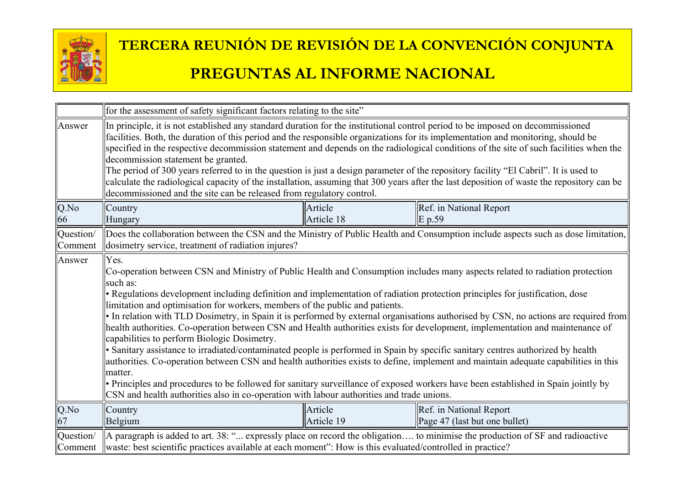

|                      | for the assessment of safety significant factors relating to the site"                                                                                                                                                                                                                                                                                                                                                                                                                                                                                                                                                                                                                                                                                                                                                                                                                                                                                                                                                                                                                                                                                                                                          |                       |                                                                                                                                   |  |
|----------------------|-----------------------------------------------------------------------------------------------------------------------------------------------------------------------------------------------------------------------------------------------------------------------------------------------------------------------------------------------------------------------------------------------------------------------------------------------------------------------------------------------------------------------------------------------------------------------------------------------------------------------------------------------------------------------------------------------------------------------------------------------------------------------------------------------------------------------------------------------------------------------------------------------------------------------------------------------------------------------------------------------------------------------------------------------------------------------------------------------------------------------------------------------------------------------------------------------------------------|-----------------------|-----------------------------------------------------------------------------------------------------------------------------------|--|
| Answer               | In principle, it is not established any standard duration for the institutional control period to be imposed on decommissioned<br>facilities. Both, the duration of this period and the responsible organizations for its implementation and monitoring, should be<br>specified in the respective decommission statement and depends on the radiological conditions of the site of such facilities when the<br>decommission statement be granted.<br>The period of 300 years referred to in the question is just a design parameter of the repository facility "El Cabril". It is used to<br>calculate the radiological capacity of the installation, assuming that 300 years after the last deposition of waste the repository can be<br>decommissioned and the site can be released from regulatory control.                                                                                                                                                                                                                                                                                                                                                                                                  |                       |                                                                                                                                   |  |
| Q.No<br>66           | Country<br>Hungary                                                                                                                                                                                                                                                                                                                                                                                                                                                                                                                                                                                                                                                                                                                                                                                                                                                                                                                                                                                                                                                                                                                                                                                              | Article<br>Article 18 | Ref. in National Report<br>E p.59                                                                                                 |  |
| Question/<br>Comment | dosimetry service, treatment of radiation injures?                                                                                                                                                                                                                                                                                                                                                                                                                                                                                                                                                                                                                                                                                                                                                                                                                                                                                                                                                                                                                                                                                                                                                              |                       | Does the collaboration between the CSN and the Ministry of Public Health and Consumption include aspects such as dose limitation, |  |
| Answer               | Yes.<br>Co-operation between CSN and Ministry of Public Health and Consumption includes many aspects related to radiation protection<br>such as:<br>• Regulations development including definition and implementation of radiation protection principles for justification, dose<br>limitation and optimisation for workers, members of the public and patients.<br>• In relation with TLD Dosimetry, in Spain it is performed by external organisations authorised by CSN, no actions are required from<br>health authorities. Co-operation between CSN and Health authorities exists for development, implementation and maintenance of<br>capabilities to perform Biologic Dosimetry.<br>• Sanitary assistance to irradiated/contaminated people is performed in Spain by specific sanitary centres authorized by health<br>authorities. Co-operation between CSN and health authorities exists to define, implement and maintain adequate capabilities in this<br>matter.<br>• Principles and procedures to be followed for sanitary surveillance of exposed workers have been established in Spain jointly by<br>CSN and health authorities also in co-operation with labour authorities and trade unions. |                       |                                                                                                                                   |  |
| Q.No<br>67           | Country<br>Belgium                                                                                                                                                                                                                                                                                                                                                                                                                                                                                                                                                                                                                                                                                                                                                                                                                                                                                                                                                                                                                                                                                                                                                                                              | Article<br>Article 19 | Ref. in National Report<br>Page 47 (last but one bullet)                                                                          |  |
| Question/<br>Comment | A paragraph is added to art. 38: " expressly place on record the obligation to minimise the production of SF and radioactive<br>waste: best scientific practices available at each moment": How is this evaluated/controlled in practice?                                                                                                                                                                                                                                                                                                                                                                                                                                                                                                                                                                                                                                                                                                                                                                                                                                                                                                                                                                       |                       |                                                                                                                                   |  |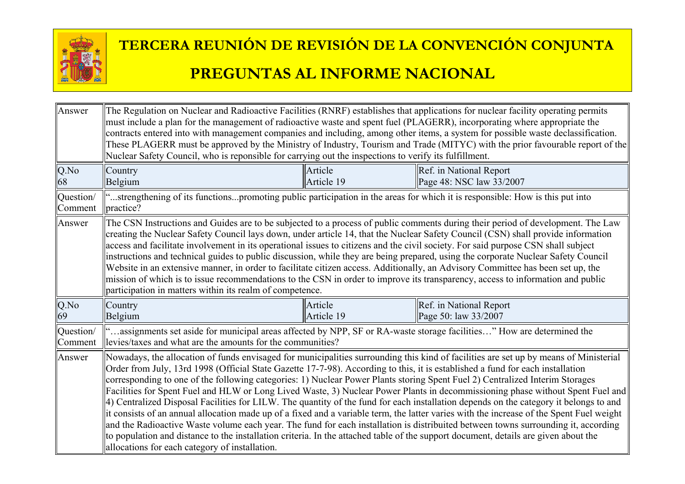

| Answer               | The Regulation on Nuclear and Radioactive Facilities (RNRF) establishes that applications for nuclear facility operating permits<br>must include a plan for the management of radioactive waste and spent fuel (PLAGERR), incorporating where appropriate the<br>Nuclear Safety Council, who is reponsible for carrying out the inspections to verify its fulfillment.                                                                                                                                                                                                                                                                                                                                                                                                                                                                                                         |                       | contracts entered into with management companies and including, among other items, a system for possible waste declassification.<br>These PLAGERR must be approved by the Ministry of Industry, Tourism and Trade (MITYC) with the prior favourable report of the                                                                                                                                                                                                                                                                                                                                                                                                                                  |
|----------------------|--------------------------------------------------------------------------------------------------------------------------------------------------------------------------------------------------------------------------------------------------------------------------------------------------------------------------------------------------------------------------------------------------------------------------------------------------------------------------------------------------------------------------------------------------------------------------------------------------------------------------------------------------------------------------------------------------------------------------------------------------------------------------------------------------------------------------------------------------------------------------------|-----------------------|----------------------------------------------------------------------------------------------------------------------------------------------------------------------------------------------------------------------------------------------------------------------------------------------------------------------------------------------------------------------------------------------------------------------------------------------------------------------------------------------------------------------------------------------------------------------------------------------------------------------------------------------------------------------------------------------------|
| Q.No<br>68           | Country<br>Belgium                                                                                                                                                                                                                                                                                                                                                                                                                                                                                                                                                                                                                                                                                                                                                                                                                                                             | Article<br>Article 19 | Ref. in National Report<br>Page 48: NSC law 33/2007                                                                                                                                                                                                                                                                                                                                                                                                                                                                                                                                                                                                                                                |
| Question/<br>Comment | "strengthening of its functionspromoting public participation in the areas for which it is responsible: How is this put into<br>practice?                                                                                                                                                                                                                                                                                                                                                                                                                                                                                                                                                                                                                                                                                                                                      |                       |                                                                                                                                                                                                                                                                                                                                                                                                                                                                                                                                                                                                                                                                                                    |
| Answer               | The CSN Instructions and Guides are to be subjected to a process of public comments during their period of development. The Law<br>creating the Nuclear Safety Council lays down, under article 14, that the Nuclear Safety Council (CSN) shall provide information<br>access and facilitate involvement in its operational issues to citizens and the civil society. For said purpose CSN shall subject<br>instructions and technical guides to public discussion, while they are being prepared, using the corporate Nuclear Safety Council<br>Website in an extensive manner, in order to facilitate citizen access. Additionally, an Advisory Committee has been set up, the<br>mission of which is to issue recommendations to the CSN in order to improve its transparency, access to information and public<br>participation in matters within its realm of competence. |                       |                                                                                                                                                                                                                                                                                                                                                                                                                                                                                                                                                                                                                                                                                                    |
| Q.No<br>69           | Country<br>Belgium                                                                                                                                                                                                                                                                                                                                                                                                                                                                                                                                                                                                                                                                                                                                                                                                                                                             | Article<br>Article 19 | Ref. in National Report<br>Page 50: law 33/2007                                                                                                                                                                                                                                                                                                                                                                                                                                                                                                                                                                                                                                                    |
| Question/<br>Comment | assignments set aside for municipal areas affected by NPP, SF or RA-waste storage facilities" How are determined the<br>levies/taxes and what are the amounts for the communities?                                                                                                                                                                                                                                                                                                                                                                                                                                                                                                                                                                                                                                                                                             |                       |                                                                                                                                                                                                                                                                                                                                                                                                                                                                                                                                                                                                                                                                                                    |
| Answer               | Order from July, 13rd 1998 (Official State Gazette 17-7-98). According to this, it is established a fund for each installation<br>corresponding to one of the following categories: 1) Nuclear Power Plants storing Spent Fuel 2) Centralized Interim Storages<br>to population and distance to the installation criteria. In the attached table of the support document, details are given about the<br>allocations for each category of installation.                                                                                                                                                                                                                                                                                                                                                                                                                        |                       | Nowadays, the allocation of funds envisaged for municipalities surrounding this kind of facilities are set up by means of Ministerial<br>Facilities for Spent Fuel and HLW or Long Lived Waste, 3) Nuclear Power Plants in decommissioning phase without Spent Fuel and<br>4) Centralized Disposal Facilities for LILW. The quantity of the fund for each installation depends on the category it belongs to and<br>it consists of an annual allocation made up of a fixed and a variable term, the latter varies with the increase of the Spent Fuel weight<br>and the Radioactive Waste volume each year. The fund for each installation is distribuited between towns surrounding it, according |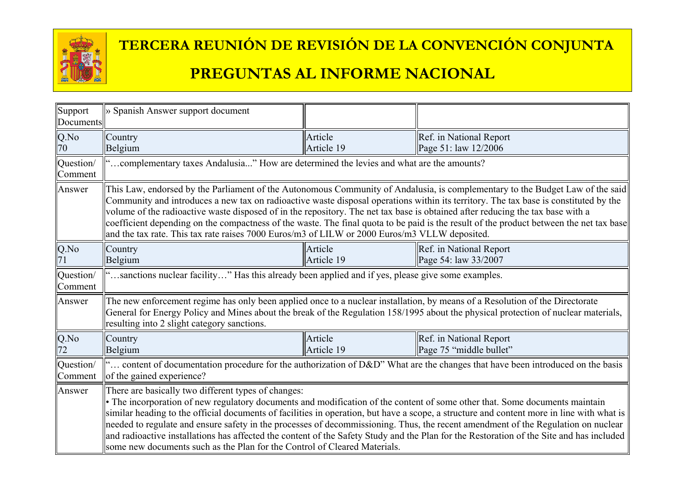

| Support<br>Documents | » Spanish Answer support document                                                                                                                                                                                                                               |                       |                                                                                                                                                                                                                                                                                                                                                                                                                            |
|----------------------|-----------------------------------------------------------------------------------------------------------------------------------------------------------------------------------------------------------------------------------------------------------------|-----------------------|----------------------------------------------------------------------------------------------------------------------------------------------------------------------------------------------------------------------------------------------------------------------------------------------------------------------------------------------------------------------------------------------------------------------------|
| Q.No<br>70           | Country<br>Belgium                                                                                                                                                                                                                                              | Article<br>Article 19 | Ref. in National Report<br>Page 51: law 12/2006                                                                                                                                                                                                                                                                                                                                                                            |
| Question/<br>Comment | complementary taxes Andalusia" How are determined the levies and what are the amounts?                                                                                                                                                                          |                       |                                                                                                                                                                                                                                                                                                                                                                                                                            |
| Answer               | volume of the radioactive waste disposed of in the repository. The net tax base is obtained after reducing the tax base with a<br>and the tax rate. This tax rate raises 7000 Euros/m3 of LILW or 2000 Euros/m3 VLLW deposited.                                 |                       | This Law, endorsed by the Parliament of the Autonomous Community of Andalusia, is complementary to the Budget Law of the said<br>Community and introduces a new tax on radioactive waste disposal operations within its territory. The tax base is constituted by the<br>coefficient depending on the compactness of the waste. The final quota to be paid is the result of the product between the net tax base           |
| Q.No                 | Country<br>Belgium                                                                                                                                                                                                                                              | Article<br>Article 19 | Ref. in National Report<br>Page 54: law 33/2007                                                                                                                                                                                                                                                                                                                                                                            |
| Question/<br>Comment | "sanctions nuclear facility" Has this already been applied and if yes, please give some examples.                                                                                                                                                               |                       |                                                                                                                                                                                                                                                                                                                                                                                                                            |
| Answer               | The new enforcement regime has only been applied once to a nuclear installation, by means of a Resolution of the Directorate<br>resulting into 2 slight category sanctions.                                                                                     |                       | General for Energy Policy and Mines about the break of the Regulation 158/1995 about the physical protection of nuclear materials,                                                                                                                                                                                                                                                                                         |
| $Q$ .No<br>72        | Country<br>Belgium                                                                                                                                                                                                                                              | Article<br>Article 19 | Ref. in National Report<br>Page 75 "middle bullet"                                                                                                                                                                                                                                                                                                                                                                         |
| Question/<br>Comment | of the gained experience?                                                                                                                                                                                                                                       |                       | content of documentation procedure for the authorization of D&D" What are the changes that have been introduced on the basis                                                                                                                                                                                                                                                                                               |
| Answer               | There are basically two different types of changes:<br>• The incorporation of new regulatory documents and modification of the content of some other that. Some documents maintain<br>some new documents such as the Plan for the Control of Cleared Materials. |                       | similar heading to the official documents of facilities in operation, but have a scope, a structure and content more in line with what is<br>needed to regulate and ensure safety in the processes of decommissioning. Thus, the recent amendment of the Regulation on nuclear<br>and radioactive installations has affected the content of the Safety Study and the Plan for the Restoration of the Site and has included |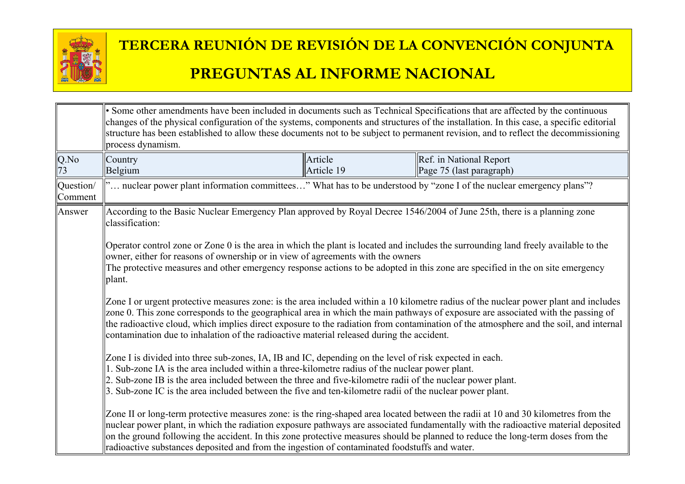

|                         | • Some other amendments have been included in documents such as Technical Specifications that are affected by the continuous<br>process dynamism.                                                                                                                                                                                                                                                                                                                                                              |                       | changes of the physical configuration of the systems, components and structures of the installation. In this case, a specific editorial<br>structure has been established to allow these documents not to be subject to permanent revision, and to reflect the decommissioning |
|-------------------------|----------------------------------------------------------------------------------------------------------------------------------------------------------------------------------------------------------------------------------------------------------------------------------------------------------------------------------------------------------------------------------------------------------------------------------------------------------------------------------------------------------------|-----------------------|--------------------------------------------------------------------------------------------------------------------------------------------------------------------------------------------------------------------------------------------------------------------------------|
| Q.No<br>$\overline{73}$ | Country<br>Belgium                                                                                                                                                                                                                                                                                                                                                                                                                                                                                             | Article<br>Article 19 | Ref. in National Report<br>Page $75$ (last paragraph)                                                                                                                                                                                                                          |
| Question/<br>Comment    | " nuclear power plant information committees" What has to be understood by "zone I of the nuclear emergency plans"?                                                                                                                                                                                                                                                                                                                                                                                            |                       |                                                                                                                                                                                                                                                                                |
| Answer                  | According to the Basic Nuclear Emergency Plan approved by Royal Decree 1546/2004 of June 25th, there is a planning zone<br>classification:                                                                                                                                                                                                                                                                                                                                                                     |                       |                                                                                                                                                                                                                                                                                |
|                         | Operator control zone or Zone 0 is the area in which the plant is located and includes the surrounding land freely available to the<br>owner, either for reasons of ownership or in view of agreements with the owners<br>The protective measures and other emergency response actions to be adopted in this zone are specified in the on site emergency<br>plant.                                                                                                                                             |                       |                                                                                                                                                                                                                                                                                |
|                         | Zone I or urgent protective measures zone: is the area included within a 10 kilometre radius of the nuclear power plant and includes<br>zone 0. This zone corresponds to the geographical area in which the main pathways of exposure are associated with the passing of<br>the radioactive cloud, which implies direct exposure to the radiation from contamination of the atmosphere and the soil, and internal<br>contamination due to inhalation of the radioactive material released during the accident. |                       |                                                                                                                                                                                                                                                                                |
|                         | Zone I is divided into three sub-zones, IA, IB and IC, depending on the level of risk expected in each.<br>1. Sub-zone IA is the area included within a three-kilometre radius of the nuclear power plant.<br>2. Sub-zone IB is the area included between the three and five-kilometre radii of the nuclear power plant.<br>3. Sub-zone IC is the area included between the five and ten-kilometre radii of the nuclear power plant.                                                                           |                       |                                                                                                                                                                                                                                                                                |
|                         | on the ground following the accident. In this zone protective measures should be planned to reduce the long-term doses from the<br>radioactive substances deposited and from the ingestion of contaminated foodstuffs and water.                                                                                                                                                                                                                                                                               |                       | Zone II or long-term protective measures zone: is the ring-shaped area located between the radii at 10 and 30 kilometres from the<br>nuclear power plant, in which the radiation exposure pathways are associated fundamentally with the radioactive material deposited        |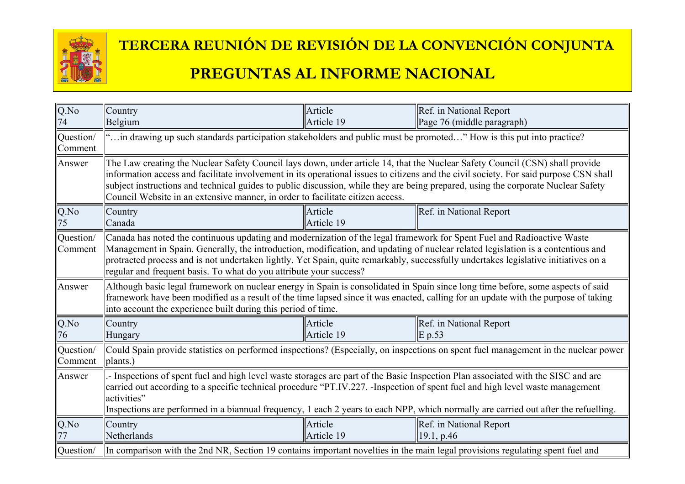

| $Q$ .No<br>74        | Country<br>Belgium                                                                                                                                                                                                                                                                                                                                                                                                                                                      | Article<br>Article 19 | Ref. in National Report<br>Page 76 (middle paragraph)                                                                                 |
|----------------------|-------------------------------------------------------------------------------------------------------------------------------------------------------------------------------------------------------------------------------------------------------------------------------------------------------------------------------------------------------------------------------------------------------------------------------------------------------------------------|-----------------------|---------------------------------------------------------------------------------------------------------------------------------------|
| Question/<br>Comment | " in drawing up such standards participation stakeholders and public must be promoted" How is this put into practice?                                                                                                                                                                                                                                                                                                                                                   |                       |                                                                                                                                       |
| Answer               | The Law creating the Nuclear Safety Council lays down, under article 14, that the Nuclear Safety Council (CSN) shall provide<br>subject instructions and technical guides to public discussion, while they are being prepared, using the corporate Nuclear Safety<br>Council Website in an extensive manner, in order to facilitate citizen access.                                                                                                                     |                       | information access and facilitate involvement in its operational issues to citizens and the civil society. For said purpose CSN shall |
| Q.No<br>75           | Country<br>Canada                                                                                                                                                                                                                                                                                                                                                                                                                                                       | Article<br>Article 19 | Ref. in National Report                                                                                                               |
| Question/<br>Comment | Canada has noted the continuous updating and modernization of the legal framework for Spent Fuel and Radioactive Waste<br>Management in Spain. Generally, the introduction, modification, and updating of nuclear related legislation is a contentious and<br>protracted process and is not undertaken lightly. Yet Spain, quite remarkably, successfully undertakes legislative initiatives on a<br>regular and frequent basis. To what do you attribute your success? |                       |                                                                                                                                       |
| Answer               | Although basic legal framework on nuclear energy in Spain is consolidated in Spain since long time before, some aspects of said<br>framework have been modified as a result of the time lapsed since it was enacted, calling for an update with the purpose of taking<br>into account the experience built during this period of time.                                                                                                                                  |                       |                                                                                                                                       |
| Q.No<br>76           | Country<br>Hungary                                                                                                                                                                                                                                                                                                                                                                                                                                                      | Article<br>Article 19 | Ref. in National Report<br> E p.53                                                                                                    |
| Question/<br>Comment | plants.)                                                                                                                                                                                                                                                                                                                                                                                                                                                                |                       | Could Spain provide statistics on performed inspections? (Especially, on inspections on spent fuel management in the nuclear power    |
| Answer               | - Inspections of spent fuel and high level waste storages are part of the Basic Inspection Plan associated with the SISC and are<br>carried out according to a specific technical procedure "PT.IV.227. -Inspection of spent fuel and high level waste management<br>activities"                                                                                                                                                                                        |                       | Inspections are performed in a biannual frequency, 1 each 2 years to each NPP, which normally are carried out after the refuelling.   |
| Q.No                 | Country<br>Netherlands                                                                                                                                                                                                                                                                                                                                                                                                                                                  | Article<br>Article 19 | Ref. in National Report<br> 19.1, p.46                                                                                                |
| Question/            | In comparison with the 2nd NR, Section 19 contains important novelties in the main legal provisions regulating spent fuel and                                                                                                                                                                                                                                                                                                                                           |                       |                                                                                                                                       |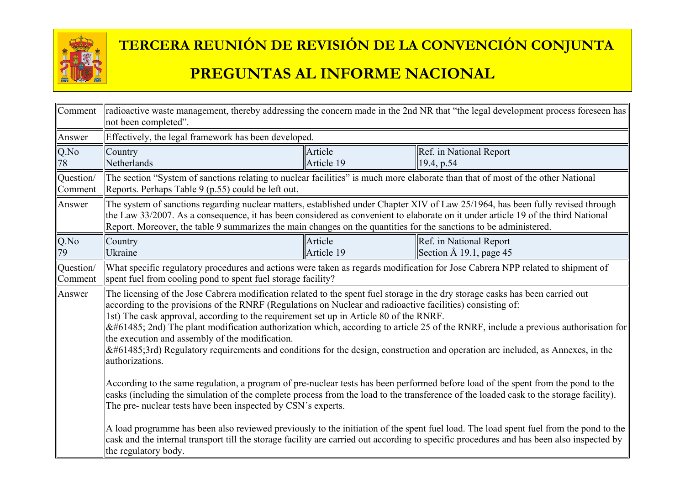

| Comment              | radioactive waste management, thereby addressing the concern made in the 2nd NR that "the legal development process foreseen has<br>not been completed".                                                                                                                                                                                                                                                                                                                                                                                                                                                                                                                             |                       |                                                                                                                                                                                                                                                                                    |
|----------------------|--------------------------------------------------------------------------------------------------------------------------------------------------------------------------------------------------------------------------------------------------------------------------------------------------------------------------------------------------------------------------------------------------------------------------------------------------------------------------------------------------------------------------------------------------------------------------------------------------------------------------------------------------------------------------------------|-----------------------|------------------------------------------------------------------------------------------------------------------------------------------------------------------------------------------------------------------------------------------------------------------------------------|
| Answer               | Effectively, the legal framework has been developed.                                                                                                                                                                                                                                                                                                                                                                                                                                                                                                                                                                                                                                 |                       |                                                                                                                                                                                                                                                                                    |
| Q.No<br>78           | Country<br>Netherlands                                                                                                                                                                                                                                                                                                                                                                                                                                                                                                                                                                                                                                                               | Article<br>Article 19 | Ref. in National Report<br>19.4, p.54                                                                                                                                                                                                                                              |
| Question/<br>Comment | The section "System of sanctions relating to nuclear facilities" is much more elaborate than that of most of the other National<br>Reports. Perhaps Table 9 (p.55) could be left out.                                                                                                                                                                                                                                                                                                                                                                                                                                                                                                |                       |                                                                                                                                                                                                                                                                                    |
| Answer               | The system of sanctions regarding nuclear matters, established under Chapter XIV of Law 25/1964, has been fully revised through<br>the Law 33/2007. As a consequence, it has been considered as convenient to elaborate on it under article 19 of the third National<br>Report. Moreover, the table 9 summarizes the main changes on the quantities for the sanctions to be administered.                                                                                                                                                                                                                                                                                            |                       |                                                                                                                                                                                                                                                                                    |
| Q.No<br>79           | Country<br>Ukraine                                                                                                                                                                                                                                                                                                                                                                                                                                                                                                                                                                                                                                                                   | Article<br>Article 19 | <b>Ref.</b> in National Report<br>Section $\AA$ 19.1, page 45                                                                                                                                                                                                                      |
| Question/<br>Comment | spent fuel from cooling pond to spent fuel storage facility?                                                                                                                                                                                                                                                                                                                                                                                                                                                                                                                                                                                                                         |                       | What specific regulatory procedures and actions were taken as regards modification for Jose Cabrera NPP related to shipment of                                                                                                                                                     |
| Answer               | The licensing of the Jose Cabrera modification related to the spent fuel storage in the dry storage casks has been carried out<br>according to the provisions of the RNRF (Regulations on Nuclear and radioactive facilities) consisting of:<br>1st) The cask approval, according to the requirement set up in Article 80 of the RNRF.<br> 2nd) The plant modification authorization which, according to article 25 of the RNRF, include a previous authorisation for<br>the execution and assembly of the modification.<br>$\&\#61485;$ 3rd) Regulatory requirements and conditions for the design, construction and operation are included, as Annexes, in the<br>authorizations. |                       |                                                                                                                                                                                                                                                                                    |
|                      | According to the same regulation, a program of pre-nuclear tests has been performed before load of the spent from the pond to the<br>casks (including the simulation of the complete process from the load to the transference of the loaded cask to the storage facility).<br>The pre- nuclear tests have been inspected by CSN's experts.                                                                                                                                                                                                                                                                                                                                          |                       |                                                                                                                                                                                                                                                                                    |
|                      | the regulatory body.                                                                                                                                                                                                                                                                                                                                                                                                                                                                                                                                                                                                                                                                 |                       | A load programme has been also reviewed previously to the initiation of the spent fuel load. The load spent fuel from the pond to the<br>cask and the internal transport till the storage facility are carried out according to specific procedures and has been also inspected by |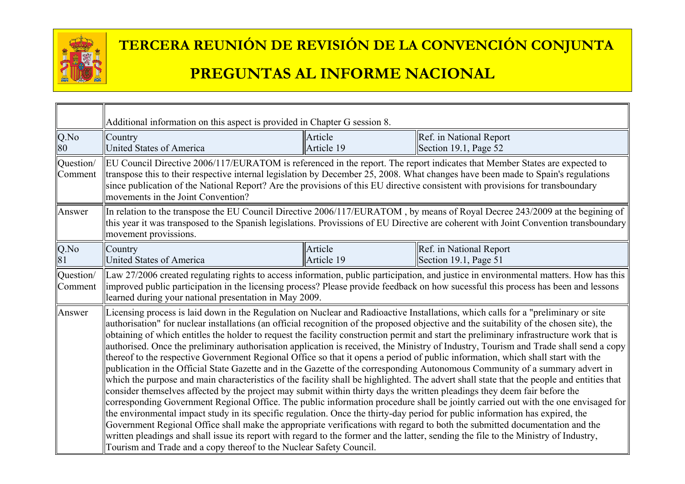

|                      | Additional information on this aspect is provided in Chapter G session 8.                                                                                                                                                                                                                                                                                                                                                                                                                                                                                                                                                                                                                                                                                                                                                                                                         |                       |                                                                                                                                                                                                                                                                                                                                                                                                                                                                                                                                                                                                                                                                                                                                                                                                                                                   |
|----------------------|-----------------------------------------------------------------------------------------------------------------------------------------------------------------------------------------------------------------------------------------------------------------------------------------------------------------------------------------------------------------------------------------------------------------------------------------------------------------------------------------------------------------------------------------------------------------------------------------------------------------------------------------------------------------------------------------------------------------------------------------------------------------------------------------------------------------------------------------------------------------------------------|-----------------------|---------------------------------------------------------------------------------------------------------------------------------------------------------------------------------------------------------------------------------------------------------------------------------------------------------------------------------------------------------------------------------------------------------------------------------------------------------------------------------------------------------------------------------------------------------------------------------------------------------------------------------------------------------------------------------------------------------------------------------------------------------------------------------------------------------------------------------------------------|
| $Q$ .No<br>80        | Country<br><b>United States of America</b>                                                                                                                                                                                                                                                                                                                                                                                                                                                                                                                                                                                                                                                                                                                                                                                                                                        | Article<br>Article 19 | Ref. in National Report<br>Section 19.1, Page 52                                                                                                                                                                                                                                                                                                                                                                                                                                                                                                                                                                                                                                                                                                                                                                                                  |
| Question/<br>Comment | EU Council Directive 2006/117/EURATOM is referenced in the report. The report indicates that Member States are expected to<br>transpose this to their respective internal legislation by December 25, 2008. What changes have been made to Spain's regulations<br>since publication of the National Report? Are the provisions of this EU directive consistent with provisions for transboundary<br>movements in the Joint Convention?                                                                                                                                                                                                                                                                                                                                                                                                                                            |                       |                                                                                                                                                                                                                                                                                                                                                                                                                                                                                                                                                                                                                                                                                                                                                                                                                                                   |
| Answer               | movement provissions.                                                                                                                                                                                                                                                                                                                                                                                                                                                                                                                                                                                                                                                                                                                                                                                                                                                             |                       | In relation to the transpose the EU Council Directive 2006/117/EURATOM, by means of Royal Decree 243/2009 at the begining of<br>this year it was transposed to the Spanish legislations. Provissions of EU Directive are coherent with Joint Convention transboundary                                                                                                                                                                                                                                                                                                                                                                                                                                                                                                                                                                             |
| $Q$ .No<br>81        | Country<br><b>United States of America</b>                                                                                                                                                                                                                                                                                                                                                                                                                                                                                                                                                                                                                                                                                                                                                                                                                                        | Article<br>Article 19 | Ref. in National Report<br>Section 19.1, Page 51                                                                                                                                                                                                                                                                                                                                                                                                                                                                                                                                                                                                                                                                                                                                                                                                  |
| Question/<br>Comment | learned during your national presentation in May 2009.                                                                                                                                                                                                                                                                                                                                                                                                                                                                                                                                                                                                                                                                                                                                                                                                                            |                       | Law 27/2006 created regulating rights to access information, public participation, and justice in environmental matters. How has this<br>improved public participation in the licensing process? Please provide feedback on how sucessful this process has been and lessons                                                                                                                                                                                                                                                                                                                                                                                                                                                                                                                                                                       |
| Answer               | Licensing process is laid down in the Regulation on Nuclear and Radioactive Installations, which calls for a "preliminary or site<br>thereof to the respective Government Regional Office so that it opens a period of public information, which shall start with the<br>consider themselves affected by the project may submit within thirty days the written pleadings they deem fair before the<br>the environmental impact study in its specific regulation. Once the thirty-day period for public information has expired, the<br>Government Regional Office shall make the appropriate verifications with regard to both the submitted documentation and the<br>written pleadings and shall issue its report with regard to the former and the latter, sending the file to the Ministry of Industry,<br>Tourism and Trade and a copy thereof to the Nuclear Safety Council. |                       | authorisation" for nuclear installations (an official recognition of the proposed objective and the suitability of the chosen site), the<br>obtaining of which entitles the holder to request the facility construction permit and start the preliminary infrastructure work that is<br>authorised. Once the preliminary authorisation application is received, the Ministry of Industry, Tourism and Trade shall send a copy<br>publication in the Official State Gazette and in the Gazette of the corresponding Autonomous Community of a summary advert in<br>which the purpose and main characteristics of the facility shall be highlighted. The advert shall state that the people and entities that<br>corresponding Government Regional Office. The public information procedure shall be jointly carried out with the one envisaged for |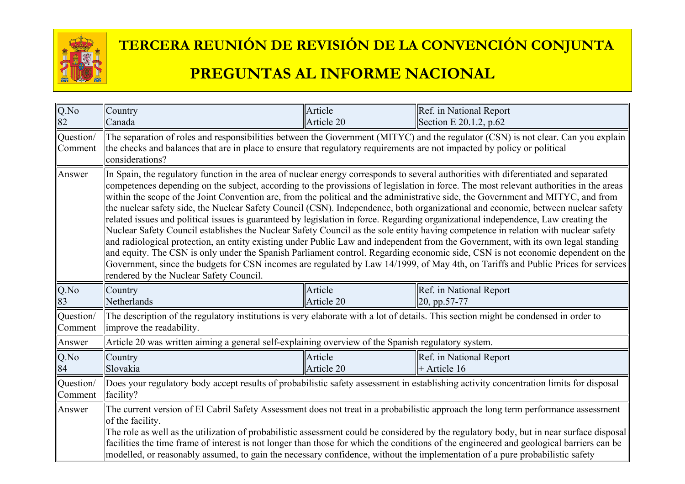

| Q.No<br>82           | Country<br>Canada                                                                                                                                                                                                                                                                                                    | Article<br>Article 20 | Ref. in National Report<br>Section E 20.1.2, p.62                                                                                                                                                                                                                                                                                                                                                                                                                                                                                                                                                                                                                                                                                                                                                                                                                                                                                                                  |
|----------------------|----------------------------------------------------------------------------------------------------------------------------------------------------------------------------------------------------------------------------------------------------------------------------------------------------------------------|-----------------------|--------------------------------------------------------------------------------------------------------------------------------------------------------------------------------------------------------------------------------------------------------------------------------------------------------------------------------------------------------------------------------------------------------------------------------------------------------------------------------------------------------------------------------------------------------------------------------------------------------------------------------------------------------------------------------------------------------------------------------------------------------------------------------------------------------------------------------------------------------------------------------------------------------------------------------------------------------------------|
| Question/<br>Comment | the checks and balances that are in place to ensure that regulatory requirements are not impacted by policy or political<br>considerations?                                                                                                                                                                          |                       | The separation of roles and responsibilities between the Government (MITYC) and the regulator (CSN) is not clear. Can you explain                                                                                                                                                                                                                                                                                                                                                                                                                                                                                                                                                                                                                                                                                                                                                                                                                                  |
| Answer               | In Spain, the regulatory function in the area of nuclear energy corresponds to several authorities with diferentiated and separated<br>related issues and political issues is guaranteed by legislation in force. Regarding organizational independence, Law creating the<br>rendered by the Nuclear Safety Council. |                       | competences depending on the subject, according to the provissions of legislation in force. The most relevant authorities in the areas<br>within the scope of the Joint Convention are, from the political and the administrative side, the Government and MITYC, and from<br>the nuclear safety side, the Nuclear Safety Council (CSN). Independence, both organizational and economic, between nuclear safety<br>Nuclear Safety Council establishes the Nuclear Safety Council as the sole entity having competence in relation with nuclear safety<br>and radiological protection, an entity existing under Public Law and independent from the Government, with its own legal standing<br>and equity. The CSN is only under the Spanish Parliament control. Regarding economic side, CSN is not economic dependent on the<br>Government, since the budgets for CSN incomes are regulated by Law 14/1999, of May 4th, on Tariffs and Public Prices for services |
| $Q$ .No<br>83        | Country<br>Netherlands                                                                                                                                                                                                                                                                                               | Article<br>Article 20 | Ref. in National Report<br>$\vert$ 20, pp.57-77                                                                                                                                                                                                                                                                                                                                                                                                                                                                                                                                                                                                                                                                                                                                                                                                                                                                                                                    |
| Question/<br>Comment | The description of the regulatory institutions is very elaborate with a lot of details. This section might be condensed in order to<br>improve the readability.                                                                                                                                                      |                       |                                                                                                                                                                                                                                                                                                                                                                                                                                                                                                                                                                                                                                                                                                                                                                                                                                                                                                                                                                    |
| Answer               | Article 20 was written aiming a general self-explaining overview of the Spanish regulatory system.                                                                                                                                                                                                                   |                       |                                                                                                                                                                                                                                                                                                                                                                                                                                                                                                                                                                                                                                                                                                                                                                                                                                                                                                                                                                    |
| Q.No<br>84           | Country<br>Slovakia                                                                                                                                                                                                                                                                                                  | Article<br>Article 20 | Ref. in National Report<br>$\parallel$ + Article 16                                                                                                                                                                                                                                                                                                                                                                                                                                                                                                                                                                                                                                                                                                                                                                                                                                                                                                                |
| Question/<br>Comment | Does your regulatory body accept results of probabilistic safety assessment in establishing activity concentration limits for disposal<br>facility?                                                                                                                                                                  |                       |                                                                                                                                                                                                                                                                                                                                                                                                                                                                                                                                                                                                                                                                                                                                                                                                                                                                                                                                                                    |
| Answer               | of the facility.<br>modelled, or reasonably assumed, to gain the necessary confidence, without the implementation of a pure probabilistic safety                                                                                                                                                                     |                       | The current version of El Cabril Safety Assessment does not treat in a probabilistic approach the long term performance assessment<br>The role as well as the utilization of probabilistic assessment could be considered by the regulatory body, but in near surface disposal<br>facilities the time frame of interest is not longer than those for which the conditions of the engineered and geological barriers can be                                                                                                                                                                                                                                                                                                                                                                                                                                                                                                                                         |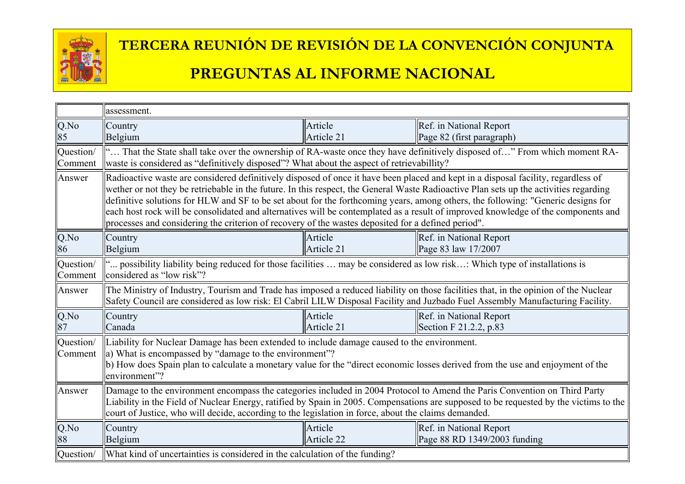

|                      | assessment.                                                                                                                                                                                                                                                                                                                                                                                                                                                                                                          |                       |                                                                                                                                       |
|----------------------|----------------------------------------------------------------------------------------------------------------------------------------------------------------------------------------------------------------------------------------------------------------------------------------------------------------------------------------------------------------------------------------------------------------------------------------------------------------------------------------------------------------------|-----------------------|---------------------------------------------------------------------------------------------------------------------------------------|
| $Q$ .No              | Country                                                                                                                                                                                                                                                                                                                                                                                                                                                                                                              | Article               | Ref. in National Report                                                                                                               |
| 85                   | Belgium                                                                                                                                                                                                                                                                                                                                                                                                                                                                                                              | Article 21            | Page 82 (first paragraph)                                                                                                             |
| Question/<br>Comment | waste is considered as "definitively disposed"? What about the aspect of retrievabillity?                                                                                                                                                                                                                                                                                                                                                                                                                            |                       | " That the State shall take over the ownership of RA-waste once they have definitively disposed of" From which moment RA-             |
| Answer               | Radioactive waste are considered definitively disposed of once it have been placed and kept in a disposal facility, regardless of<br>wether or not they be retriebable in the future. In this respect, the General Waste Radioactive Plan sets up the activities regarding<br>definitive solutions for HLW and SF to be set about for the forthcoming years, among others, the following: "Generic designs for<br>processes and considering the criterion of recovery of the wastes deposited for a defined period". |                       | each host rock will be consolidated and alternatives will be contemplated as a result of improved knowledge of the components and     |
| Q.No<br>86           | Country<br>Belgium                                                                                                                                                                                                                                                                                                                                                                                                                                                                                                   | Article<br>Article 21 | Ref. in National Report<br>Page 83 law 17/2007                                                                                        |
| Question/<br>Comment | " possibility liability being reduced for those facilities  may be considered as low risk: Which type of installations is<br>considered as "low risk"?                                                                                                                                                                                                                                                                                                                                                               |                       |                                                                                                                                       |
| Answer               | The Ministry of Industry, Tourism and Trade has imposed a reduced liability on those facilities that, in the opinion of the Nuclear<br>Safety Council are considered as low risk: El Cabril LILW Disposal Facility and Juzbado Fuel Assembly Manufacturing Facility.                                                                                                                                                                                                                                                 |                       |                                                                                                                                       |
| Q.No                 | Country                                                                                                                                                                                                                                                                                                                                                                                                                                                                                                              | Article               | Ref. in National Report                                                                                                               |
| 87                   | Canada                                                                                                                                                                                                                                                                                                                                                                                                                                                                                                               | Article 21            | Section F 21.2.2, p.83                                                                                                                |
| Question/<br>Comment | Liability for Nuclear Damage has been extended to include damage caused to the environment.<br>a) What is encompassed by "damage to the environment"?<br>b) How does Spain plan to calculate a monetary value for the "direct economic losses derived from the use and enjoyment of the<br>environment"?                                                                                                                                                                                                             |                       |                                                                                                                                       |
| Answer               | Damage to the environment encompass the categories included in 2004 Protocol to Amend the Paris Convention on Third Party<br>court of Justice, who will decide, according to the legislation in force, about the claims demanded.                                                                                                                                                                                                                                                                                    |                       | Liability in the Field of Nuclear Energy, ratified by Spain in 2005. Compensations are supposed to be requested by the victims to the |
| Q.No                 | Country                                                                                                                                                                                                                                                                                                                                                                                                                                                                                                              | Article               | Ref. in National Report                                                                                                               |
| 88                   | Belgium                                                                                                                                                                                                                                                                                                                                                                                                                                                                                                              | Article 22            | $\text{Page } 88 \text{ RD } 1349/2003 \text{ funding}$                                                                               |
| Question/            | What kind of uncertainties is considered in the calculation of the funding?                                                                                                                                                                                                                                                                                                                                                                                                                                          |                       |                                                                                                                                       |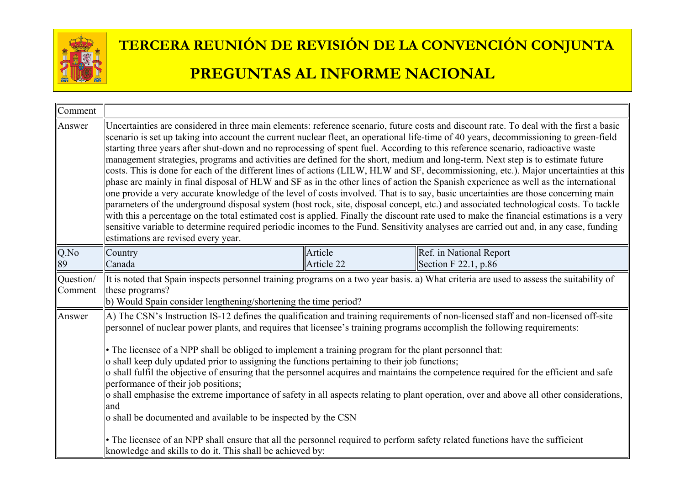

| Comment              |                                                                                                                                                                                                                                                                                                                                                                                                                                                                                                                                                                                                                                                    |                       |                                                                                                                                                                                                                                                                                                                                                                                                                                                                                                                                                                                                                                                                                                                                                                                                                                                                                                                                                                                                                                                                                                                                          |
|----------------------|----------------------------------------------------------------------------------------------------------------------------------------------------------------------------------------------------------------------------------------------------------------------------------------------------------------------------------------------------------------------------------------------------------------------------------------------------------------------------------------------------------------------------------------------------------------------------------------------------------------------------------------------------|-----------------------|------------------------------------------------------------------------------------------------------------------------------------------------------------------------------------------------------------------------------------------------------------------------------------------------------------------------------------------------------------------------------------------------------------------------------------------------------------------------------------------------------------------------------------------------------------------------------------------------------------------------------------------------------------------------------------------------------------------------------------------------------------------------------------------------------------------------------------------------------------------------------------------------------------------------------------------------------------------------------------------------------------------------------------------------------------------------------------------------------------------------------------------|
| Answer               | starting three years after shut-down and no reprocessing of spent fuel. According to this reference scenario, radioactive waste<br>management strategies, programs and activities are defined for the short, medium and long-term. Next step is to estimate future<br>estimations are revised every year.                                                                                                                                                                                                                                                                                                                                          |                       | Uncertainties are considered in three main elements: reference scenario, future costs and discount rate. To deal with the first a basic<br>scenario is set up taking into account the current nuclear fleet, an operational life-time of 40 years, decommissioning to green-field<br>costs. This is done for each of the different lines of actions (LILW, HLW and SF, decommissioning, etc.). Major uncertainties at this<br>phase are mainly in final disposal of HLW and SF as in the other lines of action the Spanish experience as well as the international<br>one provide a very accurate knowledge of the level of costs involved. That is to say, basic uncertainties are those concerning main<br>parameters of the underground disposal system (host rock, site, disposal concept, etc.) and associated technological costs. To tackle<br>with this a percentage on the total estimated cost is applied. Finally the discount rate used to make the financial estimations is a very<br>sensitive variable to determine required periodic incomes to the Fund. Sensitivity analyses are carried out and, in any case, funding |
| Q.No<br>89           | Country<br>Canada                                                                                                                                                                                                                                                                                                                                                                                                                                                                                                                                                                                                                                  | Article<br>Article 22 | Ref. in National Report<br>Section F 22.1, p.86                                                                                                                                                                                                                                                                                                                                                                                                                                                                                                                                                                                                                                                                                                                                                                                                                                                                                                                                                                                                                                                                                          |
| Question/<br>Comment | these programs?<br>b) Would Spain consider lengthening/shortening the time period?                                                                                                                                                                                                                                                                                                                                                                                                                                                                                                                                                                 |                       | It is noted that Spain inspects personnel training programs on a two year basis. a) What criteria are used to assess the suitability of                                                                                                                                                                                                                                                                                                                                                                                                                                                                                                                                                                                                                                                                                                                                                                                                                                                                                                                                                                                                  |
| Answer               | personnel of nuclear power plants, and requires that licensee's training programs accomplish the following requirements:<br>• The licensee of a NPP shall be obliged to implement a training program for the plant personnel that:<br>o shall keep duly updated prior to assigning the functions pertaining to their job functions;<br>performance of their job positions;<br>land<br>o shall be documented and available to be inspected by the CSN<br>• The licensee of an NPP shall ensure that all the personnel required to perform safety related functions have the sufficient<br>knowledge and skills to do it. This shall be achieved by: |                       | A) The CSN's Instruction IS-12 defines the qualification and training requirements of non-licensed staff and non-licensed off-site<br>o shall fulfil the objective of ensuring that the personnel acquires and maintains the competence required for the efficient and safe<br>o shall emphasise the extreme importance of safety in all aspects relating to plant operation, over and above all other considerations,                                                                                                                                                                                                                                                                                                                                                                                                                                                                                                                                                                                                                                                                                                                   |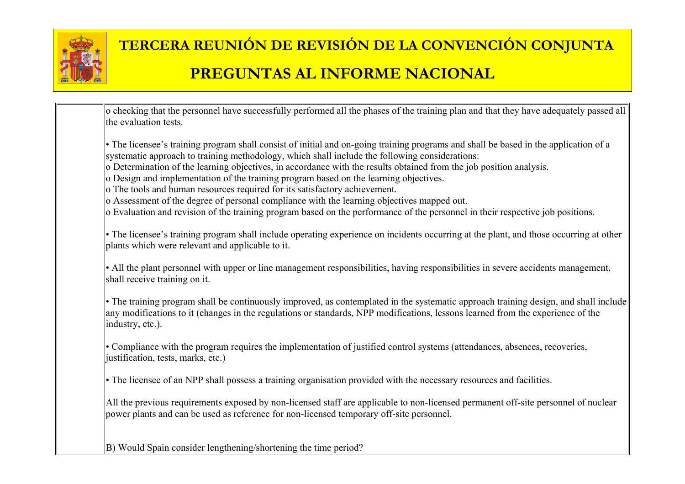

| o checking that the personnel have successfully performed all the phases of the training plan and that they have adequately passed all<br>the evaluation tests.                                                                                                                                                                                                                                                                                                                                                                                                                                                                                                                                                                                                      |  |
|----------------------------------------------------------------------------------------------------------------------------------------------------------------------------------------------------------------------------------------------------------------------------------------------------------------------------------------------------------------------------------------------------------------------------------------------------------------------------------------------------------------------------------------------------------------------------------------------------------------------------------------------------------------------------------------------------------------------------------------------------------------------|--|
| • The licensee's training program shall consist of initial and on-going training programs and shall be based in the application of a<br>systematic approach to training methodology, which shall include the following considerations:<br>o Determination of the learning objectives, in accordance with the results obtained from the job position analysis.<br>o Design and implementation of the training program based on the learning objectives.<br>o The tools and human resources required for its satisfactory achievement.<br>o Assessment of the degree of personal compliance with the learning objectives mapped out.<br>o Evaluation and revision of the training program based on the performance of the personnel in their respective job positions. |  |
| • The licensee's training program shall include operating experience on incidents occurring at the plant, and those occurring at other<br>plants which were relevant and applicable to it.                                                                                                                                                                                                                                                                                                                                                                                                                                                                                                                                                                           |  |
| • All the plant personnel with upper or line management responsibilities, having responsibilities in severe accidents management,<br>shall receive training on it.                                                                                                                                                                                                                                                                                                                                                                                                                                                                                                                                                                                                   |  |
| • The training program shall be continuously improved, as contemplated in the systematic approach training design, and shall include<br>any modifications to it (changes in the regulations or standards, NPP modifications, lessons learned from the experience of the<br>industry, etc.).                                                                                                                                                                                                                                                                                                                                                                                                                                                                          |  |
| • Compliance with the program requires the implementation of justified control systems (attendances, absences, recoveries,<br>justification, tests, marks, etc.)                                                                                                                                                                                                                                                                                                                                                                                                                                                                                                                                                                                                     |  |
| • The licensee of an NPP shall possess a training organisation provided with the necessary resources and facilities.                                                                                                                                                                                                                                                                                                                                                                                                                                                                                                                                                                                                                                                 |  |
| All the previous requirements exposed by non-licensed staff are applicable to non-licensed permanent off-site personnel of nuclear<br>power plants and can be used as reference for non-licensed temporary off-site personnel.                                                                                                                                                                                                                                                                                                                                                                                                                                                                                                                                       |  |
| B) Would Spain consider lengthening/shortening the time period?                                                                                                                                                                                                                                                                                                                                                                                                                                                                                                                                                                                                                                                                                                      |  |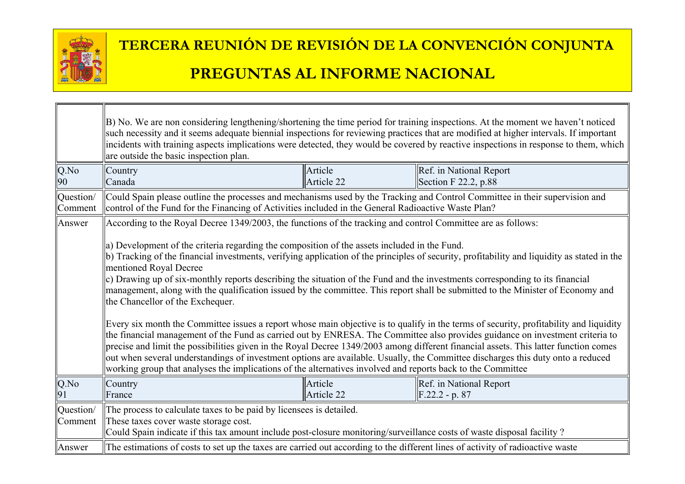

┐г

|                      | B) No. We are non considering lengthening/shortening the time period for training inspections. At the moment we haven't noticed<br>such necessity and it seems adequate biennial inspections for reviewing practices that are modified at higher intervals. If important<br>incidents with training aspects implications were detected, they would be covered by reactive inspections in response to them, which<br>are outside the basic inspection plan.                                                                                                                                                                                                                                                                                                                                                                                                                                                                                                                                                                                                                                                                                                                                                                                                                                                                                                        |                       |                                                   |  |
|----------------------|-------------------------------------------------------------------------------------------------------------------------------------------------------------------------------------------------------------------------------------------------------------------------------------------------------------------------------------------------------------------------------------------------------------------------------------------------------------------------------------------------------------------------------------------------------------------------------------------------------------------------------------------------------------------------------------------------------------------------------------------------------------------------------------------------------------------------------------------------------------------------------------------------------------------------------------------------------------------------------------------------------------------------------------------------------------------------------------------------------------------------------------------------------------------------------------------------------------------------------------------------------------------------------------------------------------------------------------------------------------------|-----------------------|---------------------------------------------------|--|
| Q.No<br>90           | Country<br>Canada                                                                                                                                                                                                                                                                                                                                                                                                                                                                                                                                                                                                                                                                                                                                                                                                                                                                                                                                                                                                                                                                                                                                                                                                                                                                                                                                                 | Article<br>Article 22 | Ref. in National Report<br>Section $F$ 22.2, p.88 |  |
| Question/<br>Comment | Could Spain please outline the processes and mechanisms used by the Tracking and Control Committee in their supervision and<br>control of the Fund for the Financing of Activities included in the General Radioactive Waste Plan?                                                                                                                                                                                                                                                                                                                                                                                                                                                                                                                                                                                                                                                                                                                                                                                                                                                                                                                                                                                                                                                                                                                                |                       |                                                   |  |
| Answer               | According to the Royal Decree 1349/2003, the functions of the tracking and control Committee are as follows:<br>a) Development of the criteria regarding the composition of the assets included in the Fund.<br>b) Tracking of the financial investments, verifying application of the principles of security, profitability and liquidity as stated in the<br>mentioned Royal Decree<br>c) Drawing up of six-monthly reports describing the situation of the Fund and the investments corresponding to its financial<br>management, along with the qualification issued by the committee. This report shall be submitted to the Minister of Economy and<br>the Chancellor of the Exchequer.<br>Every six month the Committee issues a report whose main objective is to qualify in the terms of security, profitability and liquidity<br>the financial management of the Fund as carried out by ENRESA. The Committee also provides guidance on investment criteria to<br>precise and limit the possibilities given in the Royal Decree 1349/2003 among different financial assets. This latter function comes<br>out when several understandings of investment options are available. Usually, the Committee discharges this duty onto a reduced<br>working group that analyses the implications of the alternatives involved and reports back to the Committee |                       |                                                   |  |
| Q.No<br>91           | Country<br>France                                                                                                                                                                                                                                                                                                                                                                                                                                                                                                                                                                                                                                                                                                                                                                                                                                                                                                                                                                                                                                                                                                                                                                                                                                                                                                                                                 | Article<br>Article 22 | Ref. in National Report<br>$F.22.2 - p. 87$       |  |
| Question/<br>Comment | The process to calculate taxes to be paid by licensees is detailed.<br>These taxes cover waste storage cost.<br>Could Spain indicate if this tax amount include post-closure monitoring/surveillance costs of waste disposal facility?                                                                                                                                                                                                                                                                                                                                                                                                                                                                                                                                                                                                                                                                                                                                                                                                                                                                                                                                                                                                                                                                                                                            |                       |                                                   |  |
| Answer               | The estimations of costs to set up the taxes are carried out according to the different lines of activity of radioactive waste                                                                                                                                                                                                                                                                                                                                                                                                                                                                                                                                                                                                                                                                                                                                                                                                                                                                                                                                                                                                                                                                                                                                                                                                                                    |                       |                                                   |  |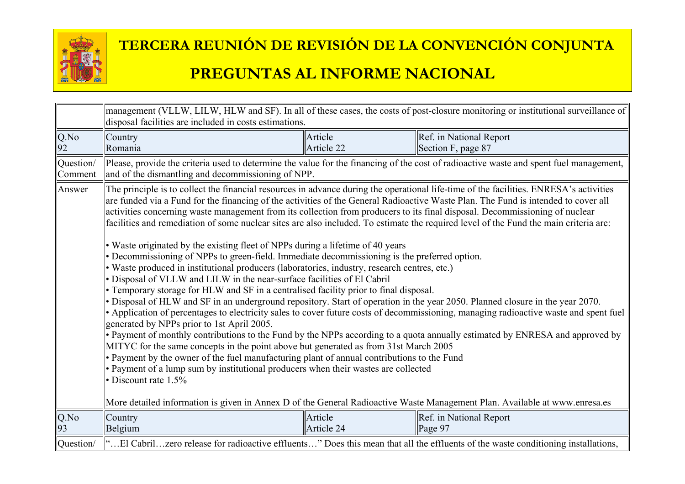

|                      | management (VLLW, LILW, HLW and SF). In all of these cases, the costs of post-closure monitoring or institutional surveillance of<br>disposal facilities are included in costs estimations.                                                                                                                                                                                                                                                                                                                                                                                                                                                                                                                                                                                                                                                                                                                                                                                                                                                                                                                                                                                                                                                                                                                                                                                                                                                                                                                                                                                                                                                                                                                                                                               |            |                                                                                                                                        |
|----------------------|---------------------------------------------------------------------------------------------------------------------------------------------------------------------------------------------------------------------------------------------------------------------------------------------------------------------------------------------------------------------------------------------------------------------------------------------------------------------------------------------------------------------------------------------------------------------------------------------------------------------------------------------------------------------------------------------------------------------------------------------------------------------------------------------------------------------------------------------------------------------------------------------------------------------------------------------------------------------------------------------------------------------------------------------------------------------------------------------------------------------------------------------------------------------------------------------------------------------------------------------------------------------------------------------------------------------------------------------------------------------------------------------------------------------------------------------------------------------------------------------------------------------------------------------------------------------------------------------------------------------------------------------------------------------------------------------------------------------------------------------------------------------------|------------|----------------------------------------------------------------------------------------------------------------------------------------|
| Q.No                 | Country                                                                                                                                                                                                                                                                                                                                                                                                                                                                                                                                                                                                                                                                                                                                                                                                                                                                                                                                                                                                                                                                                                                                                                                                                                                                                                                                                                                                                                                                                                                                                                                                                                                                                                                                                                   | Article    | Ref. in National Report                                                                                                                |
| 92                   | Romania                                                                                                                                                                                                                                                                                                                                                                                                                                                                                                                                                                                                                                                                                                                                                                                                                                                                                                                                                                                                                                                                                                                                                                                                                                                                                                                                                                                                                                                                                                                                                                                                                                                                                                                                                                   | Article 22 | Section F, page 87                                                                                                                     |
| Question/<br>Comment | and of the dismantling and decommissioning of NPP.                                                                                                                                                                                                                                                                                                                                                                                                                                                                                                                                                                                                                                                                                                                                                                                                                                                                                                                                                                                                                                                                                                                                                                                                                                                                                                                                                                                                                                                                                                                                                                                                                                                                                                                        |            | Please, provide the criteria used to determine the value for the financing of the cost of radioactive waste and spent fuel management, |
| Answer               | The principle is to collect the financial resources in advance during the operational life-time of the facilities. ENRESA's activities<br>are funded via a Fund for the financing of the activities of the General Radioactive Waste Plan. The Fund is intended to cover all<br>activities concerning waste management from its collection from producers to its final disposal. Decommissioning of nuclear<br>facilities and remediation of some nuclear sites are also included. To estimate the required level of the Fund the main criteria are:<br>• Waste originated by the existing fleet of NPPs during a lifetime of 40 years<br>• Decommissioning of NPPs to green-field. Immediate decommissioning is the preferred option.<br>• Waste produced in institutional producers (laboratories, industry, research centres, etc.)<br>• Disposal of VLLW and LILW in the near-surface facilities of El Cabril<br>• Temporary storage for HLW and SF in a centralised facility prior to final disposal.<br>• Disposal of HLW and SF in an underground repository. Start of operation in the year 2050. Planned closure in the year 2070.<br>• Application of percentages to electricity sales to cover future costs of decommissioning, managing radioactive waste and spent fuel<br>generated by NPPs prior to 1st April 2005.<br>• Payment of monthly contributions to the Fund by the NPPs according to a quota annually estimated by ENRESA and approved by<br>MITYC for the same concepts in the point above but generated as from 31st March 2005<br>• Payment by the owner of the fuel manufacturing plant of annual contributions to the Fund<br>• Payment of a lump sum by institutional producers when their wastes are collected<br>• Discount rate $1.5\%$ |            |                                                                                                                                        |
| Q.No                 | More detailed information is given in Annex D of the General Radioactive Waste Management Plan. Available at www.enresa.es<br>Country                                                                                                                                                                                                                                                                                                                                                                                                                                                                                                                                                                                                                                                                                                                                                                                                                                                                                                                                                                                                                                                                                                                                                                                                                                                                                                                                                                                                                                                                                                                                                                                                                                     | Article    | Ref. in National Report                                                                                                                |
| 93                   | Belgium                                                                                                                                                                                                                                                                                                                                                                                                                                                                                                                                                                                                                                                                                                                                                                                                                                                                                                                                                                                                                                                                                                                                                                                                                                                                                                                                                                                                                                                                                                                                                                                                                                                                                                                                                                   | Article 24 | Page 97                                                                                                                                |
| Question/            | "El Cabrilzero release for radioactive effluents" Does this mean that all the effluents of the waste conditioning installations,                                                                                                                                                                                                                                                                                                                                                                                                                                                                                                                                                                                                                                                                                                                                                                                                                                                                                                                                                                                                                                                                                                                                                                                                                                                                                                                                                                                                                                                                                                                                                                                                                                          |            |                                                                                                                                        |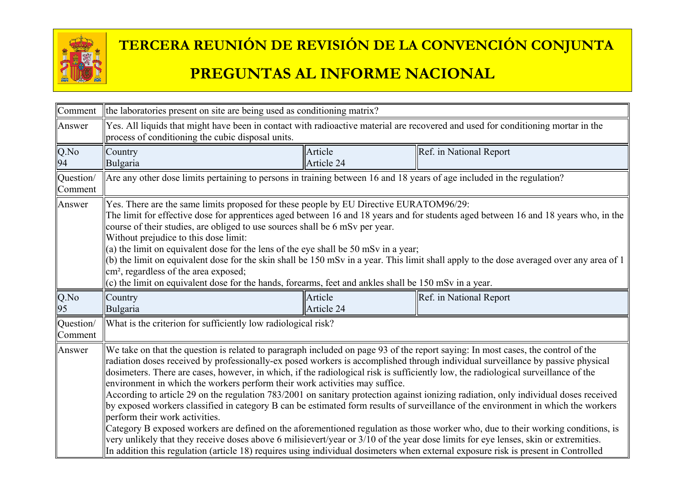

| Comment              | the laboratories present on site are being used as conditioning matrix?                                                                                                                                                                                                                                                                                                                                                                                                                                                                                                                                                                                                                                                                                                                                                                                                                                                                                                                                                                                                                                                                                                                                                  |                       |                         |
|----------------------|--------------------------------------------------------------------------------------------------------------------------------------------------------------------------------------------------------------------------------------------------------------------------------------------------------------------------------------------------------------------------------------------------------------------------------------------------------------------------------------------------------------------------------------------------------------------------------------------------------------------------------------------------------------------------------------------------------------------------------------------------------------------------------------------------------------------------------------------------------------------------------------------------------------------------------------------------------------------------------------------------------------------------------------------------------------------------------------------------------------------------------------------------------------------------------------------------------------------------|-----------------------|-------------------------|
| Answer               | Yes. All liquids that might have been in contact with radioactive material are recovered and used for conditioning mortar in the<br>process of conditioning the cubic disposal units.                                                                                                                                                                                                                                                                                                                                                                                                                                                                                                                                                                                                                                                                                                                                                                                                                                                                                                                                                                                                                                    |                       |                         |
| $Q$ .No<br>94        | Country<br>Bulgaria                                                                                                                                                                                                                                                                                                                                                                                                                                                                                                                                                                                                                                                                                                                                                                                                                                                                                                                                                                                                                                                                                                                                                                                                      | Article<br>Article 24 | Ref. in National Report |
| Question/<br>Comment | Are any other dose limits pertaining to persons in training between 16 and 18 years of age included in the regulation?                                                                                                                                                                                                                                                                                                                                                                                                                                                                                                                                                                                                                                                                                                                                                                                                                                                                                                                                                                                                                                                                                                   |                       |                         |
| Answer               | Yes. There are the same limits proposed for these people by EU Directive EURATOM96/29:<br>The limit for effective dose for apprentices aged between 16 and 18 years and for students aged between 16 and 18 years who, in the<br>course of their studies, are obliged to use sources shall be 6 mSv per year.<br>Without prejudice to this dose limit:<br>(a) the limit on equivalent dose for the lens of the eye shall be 50 mSv in a year;<br>(b) the limit on equivalent dose for the skin shall be 150 mSv in a year. This limit shall apply to the dose averaged over any area of 1<br>cm <sup>2</sup> , regardless of the area exposed;<br>(c) the limit on equivalent dose for the hands, forearms, feet and ankles shall be 150 mSv in a year.                                                                                                                                                                                                                                                                                                                                                                                                                                                                  |                       |                         |
| Q.No<br>95           | Country<br>Bulgaria                                                                                                                                                                                                                                                                                                                                                                                                                                                                                                                                                                                                                                                                                                                                                                                                                                                                                                                                                                                                                                                                                                                                                                                                      | Article<br>Article 24 | Ref. in National Report |
| Question/<br>Comment | What is the criterion for sufficiently low radiological risk?                                                                                                                                                                                                                                                                                                                                                                                                                                                                                                                                                                                                                                                                                                                                                                                                                                                                                                                                                                                                                                                                                                                                                            |                       |                         |
| Answer               | We take on that the question is related to paragraph included on page 93 of the report saying: In most cases, the control of the<br>radiation doses received by professionally-ex posed workers is accomplished through individual surveillance by passive physical<br>dosimeters. There are cases, however, in which, if the radiological risk is sufficiently low, the radiological surveillance of the<br>environment in which the workers perform their work activities may suffice.<br>According to article 29 on the regulation 783/2001 on sanitary protection against ionizing radiation, only individual doses received<br>by exposed workers classified in category B can be estimated form results of surveillance of the environment in which the workers<br>perform their work activities.<br>Category B exposed workers are defined on the aforementioned regulation as those worker who, due to their working conditions, is<br>very unlikely that they receive doses above 6 milisievert/year or 3/10 of the year dose limits for eye lenses, skin or extremities.<br>In addition this regulation (article 18) requires using individual dosimeters when external exposure risk is present in Controlled |                       |                         |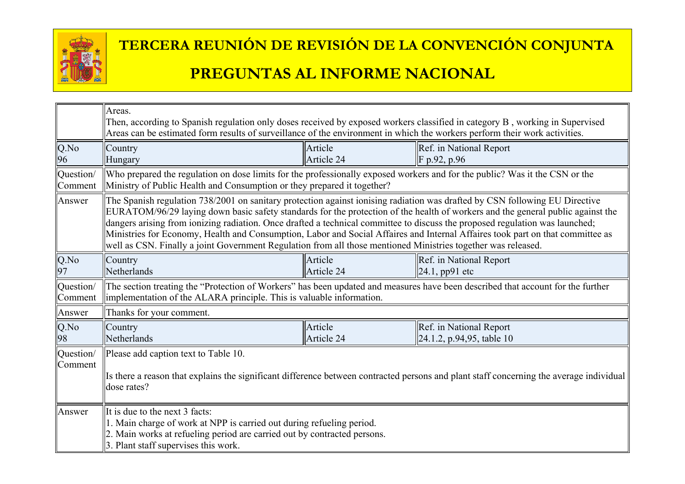

|                      | Areas.<br>Then, according to Spanish regulation only doses received by exposed workers classified in category B, working in Supervised<br>Areas can be estimated form results of surveillance of the environment in which the workers perform their work activities.                                                                                                                                                                                                                                                                                                                                                                              |                       |                                                              |  |
|----------------------|---------------------------------------------------------------------------------------------------------------------------------------------------------------------------------------------------------------------------------------------------------------------------------------------------------------------------------------------------------------------------------------------------------------------------------------------------------------------------------------------------------------------------------------------------------------------------------------------------------------------------------------------------|-----------------------|--------------------------------------------------------------|--|
| $Q$ .No<br>96        | Country<br>Hungary                                                                                                                                                                                                                                                                                                                                                                                                                                                                                                                                                                                                                                | Article<br>Article 24 | Ref. in National Report<br>$\ F p.92, p.96\ $                |  |
| Question/<br>Comment | Who prepared the regulation on dose limits for the professionally exposed workers and for the public? Was it the CSN or the<br>Ministry of Public Health and Consumption or they prepared it together?                                                                                                                                                                                                                                                                                                                                                                                                                                            |                       |                                                              |  |
| Answer               | The Spanish regulation 738/2001 on sanitary protection against ionising radiation was drafted by CSN following EU Directive<br>EURATOM/96/29 laying down basic safety standards for the protection of the health of workers and the general public against the<br>dangers arising from ionizing radiation. Once drafted a technical committee to discuss the proposed regulation was launched;<br>Ministries for Economy, Health and Consumption, Labor and Social Affaires and Internal Affaires took part on that committee as<br>well as CSN. Finally a joint Government Regulation from all those mentioned Ministries together was released. |                       |                                                              |  |
| Q.No<br>97           | Country<br>Netherlands                                                                                                                                                                                                                                                                                                                                                                                                                                                                                                                                                                                                                            | Article<br>Article 24 | Ref. in National Report<br>$ 24.1, pp91$ etc                 |  |
| Question/<br>Comment | The section treating the "Protection of Workers" has been updated and measures have been described that account for the further<br>implementation of the ALARA principle. This is valuable information.                                                                                                                                                                                                                                                                                                                                                                                                                                           |                       |                                                              |  |
| Answer               | Thanks for your comment.                                                                                                                                                                                                                                                                                                                                                                                                                                                                                                                                                                                                                          |                       |                                                              |  |
| $Q$ .No<br>98        | Country<br>Netherlands                                                                                                                                                                                                                                                                                                                                                                                                                                                                                                                                                                                                                            | Article<br>Article 24 | Ref. in National Report<br>$\vert$ 24.1.2, p.94,95, table 10 |  |
| Question/<br>Comment | Please add caption text to Table 10.<br>Is there a reason that explains the significant difference between contracted persons and plant staff concerning the average individual<br>dose rates?                                                                                                                                                                                                                                                                                                                                                                                                                                                    |                       |                                                              |  |
| Answer               | It is due to the next 3 facts:<br>1. Main charge of work at NPP is carried out during refueling period.<br>2. Main works at refueling period are carried out by contracted persons.<br>3. Plant staff supervises this work.                                                                                                                                                                                                                                                                                                                                                                                                                       |                       |                                                              |  |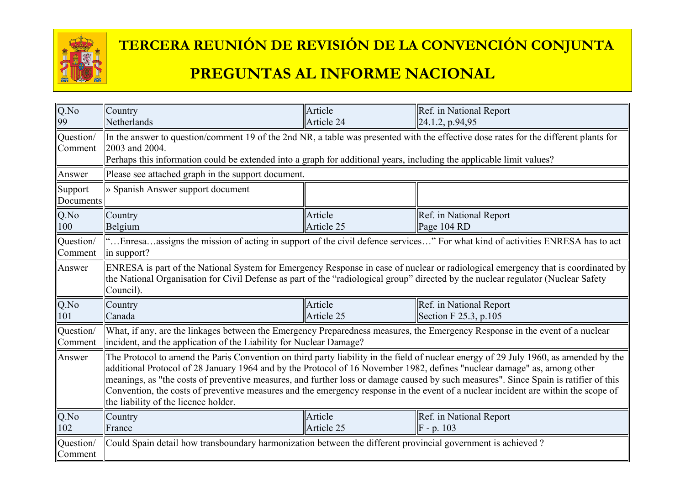

#### **TERCERA REUNIÓN DE REVISIÓN DE LA CONVENCIÓN CONJUNTA**

#### **PREGUNTAS AL INFORME NACIONAL**

| Q.No<br>99           | Country<br>Netherlands                                                                                                                                                                                                                                                                                                                                                                                                                                                                                                                                                                  | Article<br>Article 24 | Ref. in National Report<br>24.1.2, p.94,95                                                                                   |  |
|----------------------|-----------------------------------------------------------------------------------------------------------------------------------------------------------------------------------------------------------------------------------------------------------------------------------------------------------------------------------------------------------------------------------------------------------------------------------------------------------------------------------------------------------------------------------------------------------------------------------------|-----------------------|------------------------------------------------------------------------------------------------------------------------------|--|
| Question/<br>Comment | In the answer to question/comment 19 of the 2nd NR, a table was presented with the effective dose rates for the different plants for<br>2003 and 2004.<br>Perhaps this information could be extended into a graph for additional years, including the applicable limit values?                                                                                                                                                                                                                                                                                                          |                       |                                                                                                                              |  |
| Answer               | Please see attached graph in the support document.                                                                                                                                                                                                                                                                                                                                                                                                                                                                                                                                      |                       |                                                                                                                              |  |
| Support<br>Documents | » Spanish Answer support document                                                                                                                                                                                                                                                                                                                                                                                                                                                                                                                                                       |                       |                                                                                                                              |  |
| $Q$ .No<br>100       | Country<br>Belgium                                                                                                                                                                                                                                                                                                                                                                                                                                                                                                                                                                      | Article<br>Article 25 | Ref. in National Report<br>Page 104 RD                                                                                       |  |
| Question/<br>Comment | "Enresaassigns the mission of acting in support of the civil defence services" For what kind of activities ENRESA has to act<br>in support?                                                                                                                                                                                                                                                                                                                                                                                                                                             |                       |                                                                                                                              |  |
| Answer               | ENRESA is part of the National System for Emergency Response in case of nuclear or radiological emergency that is coordinated by<br>the National Organisation for Civil Defense as part of the "radiological group" directed by the nuclear regulator (Nuclear Safety<br>Council).                                                                                                                                                                                                                                                                                                      |                       |                                                                                                                              |  |
| $Q$ .No<br>101       | Country<br>Canada                                                                                                                                                                                                                                                                                                                                                                                                                                                                                                                                                                       | Article<br>Article 25 | Ref. in National Report<br>Section F 25.3, p.105                                                                             |  |
| Question/<br>Comment | incident, and the application of the Liability for Nuclear Damage?                                                                                                                                                                                                                                                                                                                                                                                                                                                                                                                      |                       | What, if any, are the linkages between the Emergency Preparedness measures, the Emergency Response in the event of a nuclear |  |
| Answer               | The Protocol to amend the Paris Convention on third party liability in the field of nuclear energy of 29 July 1960, as amended by the<br>additional Protocol of 28 January 1964 and by the Protocol of 16 November 1982, defines "nuclear damage" as, among other<br>meanings, as "the costs of preventive measures, and further loss or damage caused by such measures". Since Spain is ratifier of this<br>Convention, the costs of preventive measures and the emergency response in the event of a nuclear incident are within the scope of<br>the liability of the licence holder. |                       |                                                                                                                              |  |
| $Q$ .No<br>102       | Country<br>France                                                                                                                                                                                                                                                                                                                                                                                                                                                                                                                                                                       | Article<br>Article 25 | Ref. in National Report<br>$F - p. 103$                                                                                      |  |
| Question/<br>Comment | Could Spain detail how transboundary harmonization between the different provincial government is achieved?                                                                                                                                                                                                                                                                                                                                                                                                                                                                             |                       |                                                                                                                              |  |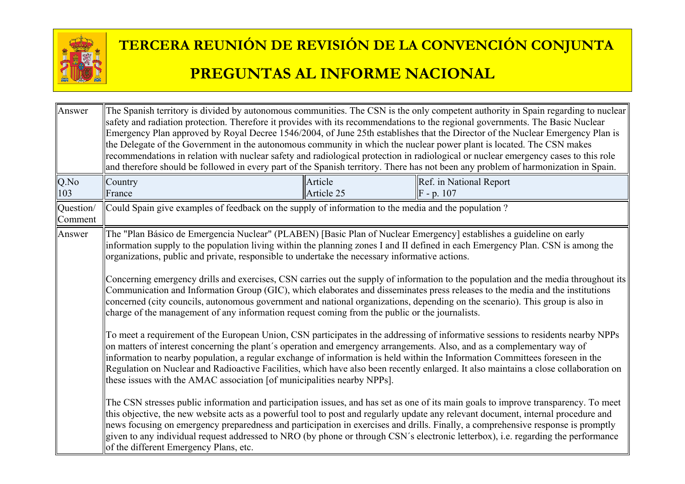

| Answer               | The Spanish territory is divided by autonomous communities. The CSN is the only competent authority in Spain regarding to nuclear<br>safety and radiation protection. Therefore it provides with its recommendations to the regional governments. The Basic Nuclear<br>Emergency Plan approved by Royal Decree 1546/2004, of June 25th establishes that the Director of the Nuclear Emergency Plan is<br>the Delegate of the Government in the autonomous community in which the nuclear power plant is located. The CSN makes<br>recommendations in relation with nuclear safety and radiological protection in radiological or nuclear emergency cases to this role<br>and therefore should be followed in every part of the Spanish territory. There has not been any problem of harmonization in Spain.                                                         |                       |                                                                                                                                                                                                                                                                                                                                                                                                                                                                                                                                                    |  |
|----------------------|---------------------------------------------------------------------------------------------------------------------------------------------------------------------------------------------------------------------------------------------------------------------------------------------------------------------------------------------------------------------------------------------------------------------------------------------------------------------------------------------------------------------------------------------------------------------------------------------------------------------------------------------------------------------------------------------------------------------------------------------------------------------------------------------------------------------------------------------------------------------|-----------------------|----------------------------------------------------------------------------------------------------------------------------------------------------------------------------------------------------------------------------------------------------------------------------------------------------------------------------------------------------------------------------------------------------------------------------------------------------------------------------------------------------------------------------------------------------|--|
| Q.No<br>103          | Country<br>France                                                                                                                                                                                                                                                                                                                                                                                                                                                                                                                                                                                                                                                                                                                                                                                                                                                   | Article<br>Article 25 | Ref. in National Report<br>$F - p. 107$                                                                                                                                                                                                                                                                                                                                                                                                                                                                                                            |  |
| Question/<br>Comment | Could Spain give examples of feedback on the supply of information to the media and the population?                                                                                                                                                                                                                                                                                                                                                                                                                                                                                                                                                                                                                                                                                                                                                                 |                       |                                                                                                                                                                                                                                                                                                                                                                                                                                                                                                                                                    |  |
| Answer               | The "Plan Básico de Emergencia Nuclear" (PLABEN) [Basic Plan of Nuclear Emergency] establishes a guideline on early<br>information supply to the population living within the planning zones I and II defined in each Emergency Plan. CSN is among the<br>organizations, public and private, responsible to undertake the necessary informative actions.<br>Concerning emergency drills and exercises, CSN carries out the supply of information to the population and the media throughout its<br>Communication and Information Group (GIC), which elaborates and disseminates press releases to the media and the institutions<br>concerned (city councils, autonomous government and national organizations, depending on the scenario). This group is also in<br>charge of the management of any information request coming from the public or the journalists. |                       |                                                                                                                                                                                                                                                                                                                                                                                                                                                                                                                                                    |  |
|                      | To meet a requirement of the European Union, CSN participates in the addressing of informative sessions to residents nearby NPPs<br>on matters of interest concerning the plant's operation and emergency arrangements. Also, and as a complementary way of<br>information to nearby population, a regular exchange of information is held within the Information Committees foreseen in the<br>Regulation on Nuclear and Radioactive Facilities, which have also been recently enlarged. It also maintains a close collaboration on<br>these issues with the AMAC association [of municipalities nearby NPPs].                                                                                                                                                                                                                                                     |                       |                                                                                                                                                                                                                                                                                                                                                                                                                                                                                                                                                    |  |
|                      | of the different Emergency Plans, etc.                                                                                                                                                                                                                                                                                                                                                                                                                                                                                                                                                                                                                                                                                                                                                                                                                              |                       | The CSN stresses public information and participation issues, and has set as one of its main goals to improve transparency. To meet<br>this objective, the new website acts as a powerful tool to post and regularly update any relevant document, internal procedure and<br>news focusing on emergency preparedness and participation in exercises and drills. Finally, a comprehensive response is promptly<br>given to any individual request addressed to NRO (by phone or through CSN's electronic letterbox), i.e. regarding the performance |  |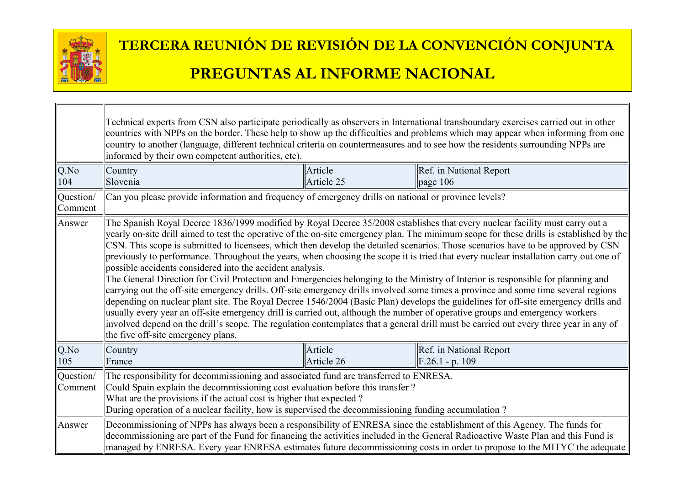

ור

|                      | Technical experts from CSN also participate periodically as observers in International transboundary exercises carried out in other<br>countries with NPPs on the border. These help to show up the difficulties and problems which may appear when informing from one<br>country to another (language, different technical criteria on countermeasures and to see how the residents surrounding NPPs are<br>informed by their own competent authorities, etc).                                                                                                                                                                                                                                                                                                                                                                                                                                                                                                                                                                                                                                                                                                                                                                                                                                                                                   |                       |                                              |  |
|----------------------|---------------------------------------------------------------------------------------------------------------------------------------------------------------------------------------------------------------------------------------------------------------------------------------------------------------------------------------------------------------------------------------------------------------------------------------------------------------------------------------------------------------------------------------------------------------------------------------------------------------------------------------------------------------------------------------------------------------------------------------------------------------------------------------------------------------------------------------------------------------------------------------------------------------------------------------------------------------------------------------------------------------------------------------------------------------------------------------------------------------------------------------------------------------------------------------------------------------------------------------------------------------------------------------------------------------------------------------------------|-----------------------|----------------------------------------------|--|
| Q.No<br>104          | Country<br>Slovenia                                                                                                                                                                                                                                                                                                                                                                                                                                                                                                                                                                                                                                                                                                                                                                                                                                                                                                                                                                                                                                                                                                                                                                                                                                                                                                                               | Article<br>Article 25 | Ref. in National Report<br>page 106          |  |
| Question/<br>Comment | Can you please provide information and frequency of emergency drills on national or province levels?                                                                                                                                                                                                                                                                                                                                                                                                                                                                                                                                                                                                                                                                                                                                                                                                                                                                                                                                                                                                                                                                                                                                                                                                                                              |                       |                                              |  |
| Answer               | The Spanish Royal Decree 1836/1999 modified by Royal Decree 35/2008 establishes that every nuclear facility must carry out a<br>yearly on-site drill aimed to test the operative of the on-site emergency plan. The minimum scope for these drills is established by the<br>CSN. This scope is submitted to licensees, which then develop the detailed scenarios. Those scenarios have to be approved by CSN<br>previously to performance. Throughout the years, when choosing the scope it is tried that every nuclear installation carry out one of<br>possible accidents considered into the accident analysis.<br>The General Direction for Civil Protection and Emergencies belonging to the Ministry of Interior is responsible for planning and<br>carrying out the off-site emergency drills. Off-site emergency drills involved some times a province and some time several regions<br>depending on nuclear plant site. The Royal Decree 1546/2004 (Basic Plan) develops the guidelines for off-site emergency drills and<br>usually every year an off-site emergency drill is carried out, although the number of operative groups and emergency workers<br>involved depend on the drill's scope. The regulation contemplates that a general drill must be carried out every three year in any of<br>the five off-site emergency plans. |                       |                                              |  |
| Q.No<br>105          | Country<br>France                                                                                                                                                                                                                                                                                                                                                                                                                                                                                                                                                                                                                                                                                                                                                                                                                                                                                                                                                                                                                                                                                                                                                                                                                                                                                                                                 | Article<br>Article 26 | Ref. in National Report<br>$F.26.1 - p. 109$ |  |
| Question/<br>Comment | The responsibility for decommissioning and associated fund are transferred to ENRESA.<br>Could Spain explain the decommissioning cost evaluation before this transfer?<br>What are the provisions if the actual cost is higher that expected?<br>During operation of a nuclear facility, how is supervised the decommissioning funding accumulation?                                                                                                                                                                                                                                                                                                                                                                                                                                                                                                                                                                                                                                                                                                                                                                                                                                                                                                                                                                                              |                       |                                              |  |
| Answer               | Decommissioning of NPPs has always been a responsibility of ENRESA since the establishment of this Agency. The funds for<br>decommissioning are part of the Fund for financing the activities included in the General Radioactive Waste Plan and this Fund is<br>managed by ENRESA. Every year ENRESA estimates future decommissioning costs in order to propose to the MITYC the adequate                                                                                                                                                                                                                                                                                                                                                                                                                                                                                                                                                                                                                                                                                                                                                                                                                                                                                                                                                        |                       |                                              |  |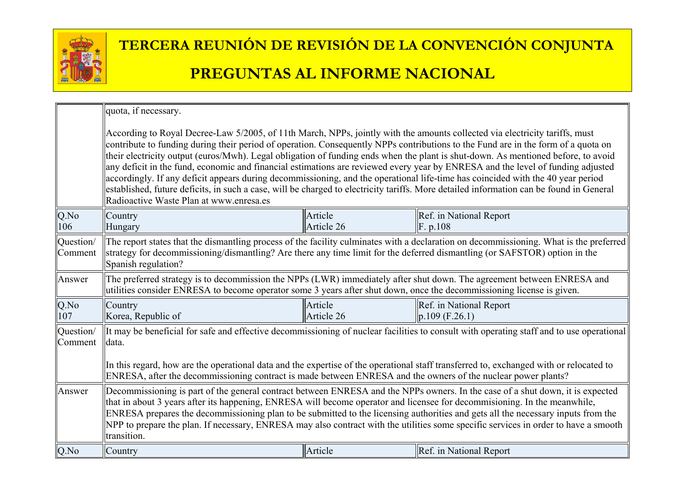

|                      | quota, if necessary.                                                                                                                                                                                                                                                                                                                                                                                                                                                                                                                                                                                                                                                                                                                                                                                                                                              |                       |                                                |  |
|----------------------|-------------------------------------------------------------------------------------------------------------------------------------------------------------------------------------------------------------------------------------------------------------------------------------------------------------------------------------------------------------------------------------------------------------------------------------------------------------------------------------------------------------------------------------------------------------------------------------------------------------------------------------------------------------------------------------------------------------------------------------------------------------------------------------------------------------------------------------------------------------------|-----------------------|------------------------------------------------|--|
|                      | According to Royal Decree-Law 5/2005, of 11th March, NPPs, jointly with the amounts collected via electricity tariffs, must<br>contribute to funding during their period of operation. Consequently NPPs contributions to the Fund are in the form of a quota on<br>their electricity output (euros/Mwh). Legal obligation of funding ends when the plant is shut-down. As mentioned before, to avoid<br>any deficit in the fund, economic and financial estimations are reviewed every year by ENRESA and the level of funding adjusted<br>accordingly. If any deficit appears during decommissioning, and the operational life-time has coincided with the 40 year period<br>established, future deficits, in such a case, will be charged to electricity tariffs. More detailed information can be found in General<br>Radioactive Waste Plan at www.enresa.es |                       |                                                |  |
| Q.No<br>106          | Country<br>Hungary                                                                                                                                                                                                                                                                                                                                                                                                                                                                                                                                                                                                                                                                                                                                                                                                                                                | Article<br>Article 26 | Ref. in National Report<br>$\vert$ F. p.108    |  |
| Question/<br>Comment | The report states that the dismantling process of the facility culminates with a declaration on decommissioning. What is the preferred<br>strategy for decommissioning/dismantling? Are there any time limit for the deferred dismantling (or SAFSTOR) option in the<br>Spanish regulation?                                                                                                                                                                                                                                                                                                                                                                                                                                                                                                                                                                       |                       |                                                |  |
| Answer               | The preferred strategy is to decommission the NPPs (LWR) immediately after shut down. The agreement between ENRESA and<br>utilities consider ENRESA to become operator some 3 years after shut down, once the decommissioning license is given.                                                                                                                                                                                                                                                                                                                                                                                                                                                                                                                                                                                                                   |                       |                                                |  |
| Q.No<br>107          | Country<br>Korea, Republic of                                                                                                                                                                                                                                                                                                                                                                                                                                                                                                                                                                                                                                                                                                                                                                                                                                     | Article<br>Article 26 | Ref. in National Report<br>$\ p.109(F.26.1)\ $ |  |
| Question/<br>Comment | It may be beneficial for safe and effective decommissioning of nuclear facilities to consult with operating staff and to use operational<br>data.<br>In this regard, how are the operational data and the expertise of the operational staff transferred to, exchanged with or relocated to<br>ENRESA, after the decommissioning contract is made between ENRESA and the owners of the nuclear power plants?                                                                                                                                                                                                                                                                                                                                                                                                                                                      |                       |                                                |  |
| Answer               | Decommissioning is part of the general contract between ENRESA and the NPPs owners. In the case of a shut down, it is expected<br>that in about 3 years after its happening, ENRESA will become operator and licensee for decommisioning. In the meanwhile,<br>ENRESA prepares the decommissioning plan to be submitted to the licensing authorities and gets all the necessary inputs from the<br>NPP to prepare the plan. If necessary, ENRESA may also contract with the utilities some specific services in order to have a smooth<br>transition.                                                                                                                                                                                                                                                                                                             |                       |                                                |  |
| Q.No                 | Country                                                                                                                                                                                                                                                                                                                                                                                                                                                                                                                                                                                                                                                                                                                                                                                                                                                           | Article               | Ref. in National Report                        |  |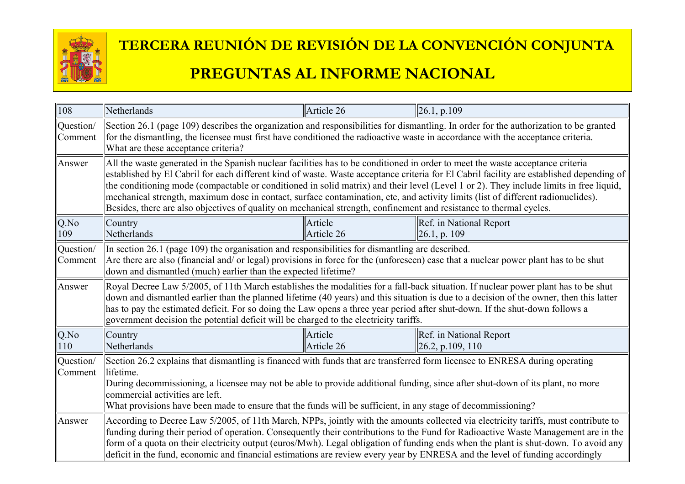

| 108                  | Netherlands                                                                                                                                                                                                                                                                                                                                                                                                                                                                                                                                                                                                                                                                     | Article 26                                                                                                                                                                                                                                                               | 26.1, p.109                                                  |  |  |
|----------------------|---------------------------------------------------------------------------------------------------------------------------------------------------------------------------------------------------------------------------------------------------------------------------------------------------------------------------------------------------------------------------------------------------------------------------------------------------------------------------------------------------------------------------------------------------------------------------------------------------------------------------------------------------------------------------------|--------------------------------------------------------------------------------------------------------------------------------------------------------------------------------------------------------------------------------------------------------------------------|--------------------------------------------------------------|--|--|
| Question/<br>Comment | What are these acceptance criteria?                                                                                                                                                                                                                                                                                                                                                                                                                                                                                                                                                                                                                                             | Section 26.1 (page 109) describes the organization and responsibilities for dismantling. In order for the authorization to be granted<br>for the dismantling, the licensee must first have conditioned the radioactive waste in accordance with the acceptance criteria. |                                                              |  |  |
| Answer               | All the waste generated in the Spanish nuclear facilities has to be conditioned in order to meet the waste acceptance criteria<br>established by El Cabril for each different kind of waste. Waste acceptance criteria for El Cabril facility are established depending of<br>the conditioning mode (compactable or conditioned in solid matrix) and their level (Level 1 or 2). They include limits in free liquid,<br>mechanical strength, maximum dose in contact, surface contamination, etc, and activity limits (list of different radionuclides).<br>Besides, there are also objectives of quality on mechanical strength, confinement and resistance to thermal cycles. |                                                                                                                                                                                                                                                                          |                                                              |  |  |
| Q.No<br>109          | Country<br>Netherlands                                                                                                                                                                                                                                                                                                                                                                                                                                                                                                                                                                                                                                                          | Article<br>Article 26                                                                                                                                                                                                                                                    | Ref. in National Report<br>$\vert$ 26.1, p. 109              |  |  |
| Question/<br>Comment | In section 26.1 (page 109) the organisation and responsibilities for dismantling are described.<br>Are there are also (financial and/ or legal) provisions in force for the (unforeseen) case that a nuclear power plant has to be shut<br>down and dismantled (much) earlier than the expected lifetime?                                                                                                                                                                                                                                                                                                                                                                       |                                                                                                                                                                                                                                                                          |                                                              |  |  |
| Answer               | Royal Decree Law 5/2005, of 11th March establishes the modalities for a fall-back situation. If nuclear power plant has to be shut<br>down and dismantled earlier than the planned lifetime (40 years) and this situation is due to a decision of the owner, then this latter<br>has to pay the estimated deficit. For so doing the Law opens a three year period after shut-down. If the shut-down follows a<br>government decision the potential deficit will be charged to the electricity tariffs.                                                                                                                                                                          |                                                                                                                                                                                                                                                                          |                                                              |  |  |
| Q.No<br>110          | Country<br>Netherlands                                                                                                                                                                                                                                                                                                                                                                                                                                                                                                                                                                                                                                                          | Article<br>Article 26                                                                                                                                                                                                                                                    | Ref. in National Report<br>$\left  26.2, p.109, 110 \right $ |  |  |
| Question/<br>Comment | Section 26.2 explains that dismantling is financed with funds that are transferred form licensee to ENRESA during operating<br>lifetime.<br>During decommissioning, a licensee may not be able to provide additional funding, since after shut-down of its plant, no more<br>commercial activities are left.<br>What provisions have been made to ensure that the funds will be sufficient, in any stage of decommissioning?                                                                                                                                                                                                                                                    |                                                                                                                                                                                                                                                                          |                                                              |  |  |
| Answer               | According to Decree Law 5/2005, of 11th March, NPPs, jointly with the amounts collected via electricity tariffs, must contribute to<br>funding during their period of operation. Consequently their contributions to the Fund for Radioactive Waste Management are in the<br>form of a quota on their electricity output (euros/Mwh). Legal obligation of funding ends when the plant is shut-down. To avoid any<br>deficit in the fund, economic and financial estimations are review every year by ENRESA and the level of funding accordingly                                                                                                                                |                                                                                                                                                                                                                                                                          |                                                              |  |  |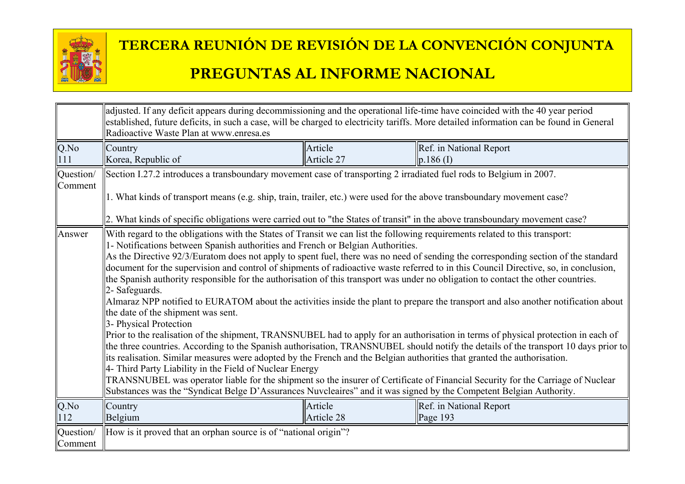

|                      | adjusted. If any deficit appears during decommissioning and the operational life-time have coincided with the 40 year period<br>established, future deficits, in such a case, will be charged to electricity tariffs. More detailed information can be found in General<br>Radioactive Waste Plan at www.enresa.es                                                                                                                                                                                                                                                                                                                                                                                                                                                                                                                                                                                                                                                                                                                                                                                                                                                                                                                                                                                                                                                                                                                                                                                                                                                                                                                                                                                                   |            |                         |  |
|----------------------|----------------------------------------------------------------------------------------------------------------------------------------------------------------------------------------------------------------------------------------------------------------------------------------------------------------------------------------------------------------------------------------------------------------------------------------------------------------------------------------------------------------------------------------------------------------------------------------------------------------------------------------------------------------------------------------------------------------------------------------------------------------------------------------------------------------------------------------------------------------------------------------------------------------------------------------------------------------------------------------------------------------------------------------------------------------------------------------------------------------------------------------------------------------------------------------------------------------------------------------------------------------------------------------------------------------------------------------------------------------------------------------------------------------------------------------------------------------------------------------------------------------------------------------------------------------------------------------------------------------------------------------------------------------------------------------------------------------------|------------|-------------------------|--|
| $Q$ .No              | Country                                                                                                                                                                                                                                                                                                                                                                                                                                                                                                                                                                                                                                                                                                                                                                                                                                                                                                                                                                                                                                                                                                                                                                                                                                                                                                                                                                                                                                                                                                                                                                                                                                                                                                              | Article    | Ref. in National Report |  |
| 111                  | Korea, Republic of                                                                                                                                                                                                                                                                                                                                                                                                                                                                                                                                                                                                                                                                                                                                                                                                                                                                                                                                                                                                                                                                                                                                                                                                                                                                                                                                                                                                                                                                                                                                                                                                                                                                                                   | Article 27 | $p.186$ (I)             |  |
| Question/            | Section I.27.2 introduces a transboundary movement case of transporting 2 irradiated fuel rods to Belgium in 2007.                                                                                                                                                                                                                                                                                                                                                                                                                                                                                                                                                                                                                                                                                                                                                                                                                                                                                                                                                                                                                                                                                                                                                                                                                                                                                                                                                                                                                                                                                                                                                                                                   |            |                         |  |
| Comment              | 1. What kinds of transport means (e.g. ship, train, trailer, etc.) were used for the above transboundary movement case?                                                                                                                                                                                                                                                                                                                                                                                                                                                                                                                                                                                                                                                                                                                                                                                                                                                                                                                                                                                                                                                                                                                                                                                                                                                                                                                                                                                                                                                                                                                                                                                              |            |                         |  |
| Answer               | 2. What kinds of specific obligations were carried out to "the States of transit" in the above transboundary movement case?<br>With regard to the obligations with the States of Transit we can list the following requirements related to this transport:<br>1- Notifications between Spanish authorities and French or Belgian Authorities.<br>As the Directive 92/3/Euratom does not apply to spent fuel, there was no need of sending the corresponding section of the standard<br>document for the supervision and control of shipments of radioactive waste referred to in this Council Directive, so, in conclusion,<br>the Spanish authority responsible for the authorisation of this transport was under no obligation to contact the other countries.<br>2- Safeguards.<br>Almaraz NPP notified to EURATOM about the activities inside the plant to prepare the transport and also another notification about<br>the date of the shipment was sent.<br>3- Physical Protection<br>Prior to the realisation of the shipment, TRANSNUBEL had to apply for an authorisation in terms of physical protection in each of<br>the three countries. According to the Spanish authorisation, TRANSNUBEL should notify the details of the transport 10 days prior to<br>its realisation. Similar measures were adopted by the French and the Belgian authorities that granted the authorisation.<br>4- Third Party Liability in the Field of Nuclear Energy<br>TRANSNUBEL was operator liable for the shipment so the insurer of Certificate of Financial Security for the Carriage of Nuclear<br>Substances was the "Syndicat Belge D'Assurances Nuvcleaires" and it was signed by the Competent Belgian Authority. |            |                         |  |
| $Q$ .No              | Country                                                                                                                                                                                                                                                                                                                                                                                                                                                                                                                                                                                                                                                                                                                                                                                                                                                                                                                                                                                                                                                                                                                                                                                                                                                                                                                                                                                                                                                                                                                                                                                                                                                                                                              | Article    | Ref. in National Report |  |
| 112                  | Belgium                                                                                                                                                                                                                                                                                                                                                                                                                                                                                                                                                                                                                                                                                                                                                                                                                                                                                                                                                                                                                                                                                                                                                                                                                                                                                                                                                                                                                                                                                                                                                                                                                                                                                                              | Article 28 | Page 193                |  |
| Question/<br>Comment | How is it proved that an orphan source is of "national origin"?                                                                                                                                                                                                                                                                                                                                                                                                                                                                                                                                                                                                                                                                                                                                                                                                                                                                                                                                                                                                                                                                                                                                                                                                                                                                                                                                                                                                                                                                                                                                                                                                                                                      |            |                         |  |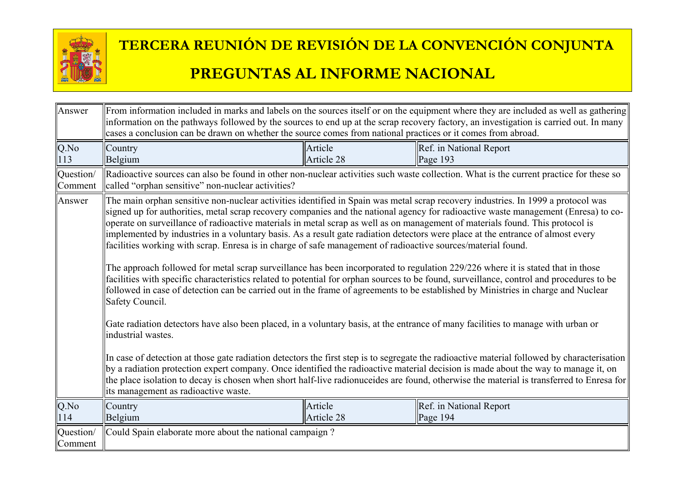

| Answer                      | From information included in marks and labels on the sources itself or on the equipment where they are included as well as gathering<br>information on the pathways followed by the sources to end up at the scrap recovery factory, an investigation is carried out. In many<br>cases a conclusion can be drawn on whether the source comes from national practices or it comes from abroad.                                                                                                                                                                                                                                                                                                                                                                                                                                                                                                                                                                                                                                                                                                                                                                                                                                                                                                                                                                                                                                                                                                                                                                                                                                                                                                |                       |                                                                                                                                        |  |
|-----------------------------|----------------------------------------------------------------------------------------------------------------------------------------------------------------------------------------------------------------------------------------------------------------------------------------------------------------------------------------------------------------------------------------------------------------------------------------------------------------------------------------------------------------------------------------------------------------------------------------------------------------------------------------------------------------------------------------------------------------------------------------------------------------------------------------------------------------------------------------------------------------------------------------------------------------------------------------------------------------------------------------------------------------------------------------------------------------------------------------------------------------------------------------------------------------------------------------------------------------------------------------------------------------------------------------------------------------------------------------------------------------------------------------------------------------------------------------------------------------------------------------------------------------------------------------------------------------------------------------------------------------------------------------------------------------------------------------------|-----------------------|----------------------------------------------------------------------------------------------------------------------------------------|--|
| $Q$ .No<br>113              | Country<br>Belgium                                                                                                                                                                                                                                                                                                                                                                                                                                                                                                                                                                                                                                                                                                                                                                                                                                                                                                                                                                                                                                                                                                                                                                                                                                                                                                                                                                                                                                                                                                                                                                                                                                                                           | Article<br>Article 28 | Ref. in National Report<br>Page 193                                                                                                    |  |
| Question/<br>Comment        | called "orphan sensitive" non-nuclear activities?                                                                                                                                                                                                                                                                                                                                                                                                                                                                                                                                                                                                                                                                                                                                                                                                                                                                                                                                                                                                                                                                                                                                                                                                                                                                                                                                                                                                                                                                                                                                                                                                                                            |                       | Radioactive sources can also be found in other non-nuclear activities such waste collection. What is the current practice for these so |  |
| Answer                      | The main orphan sensitive non-nuclear activities identified in Spain was metal scrap recovery industries. In 1999 a protocol was<br>signed up for authorities, metal scrap recovery companies and the national agency for radioactive waste management (Enresa) to co-<br>operate on surveillance of radioactive materials in metal scrap as well as on management of materials found. This protocol is<br>implemented by industries in a voluntary basis. As a result gate radiation detectors were place at the entrance of almost every<br>facilities working with scrap. Enresa is in charge of safe management of radioactive sources/material found.<br>The approach followed for metal scrap surveillance has been incorporated to regulation 229/226 where it is stated that in those<br>facilities with specific characteristics related to potential for orphan sources to be found, surveillance, control and procedures to be<br>followed in case of detection can be carried out in the frame of agreements to be established by Ministries in charge and Nuclear<br>Safety Council.<br>Gate radiation detectors have also been placed, in a voluntary basis, at the entrance of many facilities to manage with urban or<br>industrial wastes.<br>In case of detection at those gate radiation detectors the first step is to segregate the radioactive material followed by characterisation<br>by a radiation protection expert company. Once identified the radioactive material decision is made about the way to manage it, on<br>the place isolation to decay is chosen when short half-live radionuceides are found, otherwise the material is transferred to Enresa for |                       |                                                                                                                                        |  |
| $Q$ .No<br>114              | Country<br>Belgium                                                                                                                                                                                                                                                                                                                                                                                                                                                                                                                                                                                                                                                                                                                                                                                                                                                                                                                                                                                                                                                                                                                                                                                                                                                                                                                                                                                                                                                                                                                                                                                                                                                                           | Article<br>Article 28 | Ref. in National Report<br>Page 194                                                                                                    |  |
| Question/<br><b>Comment</b> | Could Spain elaborate more about the national campaign?                                                                                                                                                                                                                                                                                                                                                                                                                                                                                                                                                                                                                                                                                                                                                                                                                                                                                                                                                                                                                                                                                                                                                                                                                                                                                                                                                                                                                                                                                                                                                                                                                                      |                       |                                                                                                                                        |  |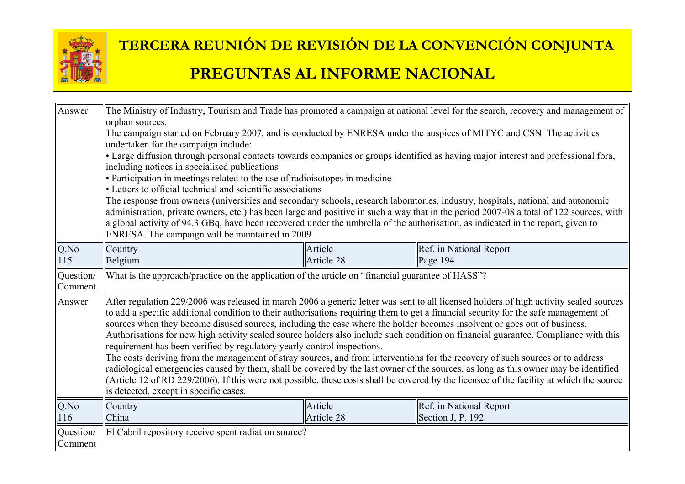

| Answer                      | The Ministry of Industry, Tourism and Trade has promoted a campaign at national level for the search, recovery and management of<br>orphan sources.<br>The campaign started on February 2007, and is conducted by ENRESA under the auspices of MITYC and CSN. The activities<br>undertaken for the campaign include:<br>• Large diffusion through personal contacts towards companies or groups identified as having major interest and professional fora,<br>including notices in specialised publications<br>• Participation in meetings related to the use of radioisotopes in medicine<br>• Letters to official technical and scientific associations<br>The response from owners (universities and secondary schools, research laboratories, industry, hospitals, national and autonomic<br>administration, private owners, etc.) has been large and positive in such a way that in the period 2007-08 a total of 122 sources, with                                                                                                                                                    |                       |                                              |
|-----------------------------|---------------------------------------------------------------------------------------------------------------------------------------------------------------------------------------------------------------------------------------------------------------------------------------------------------------------------------------------------------------------------------------------------------------------------------------------------------------------------------------------------------------------------------------------------------------------------------------------------------------------------------------------------------------------------------------------------------------------------------------------------------------------------------------------------------------------------------------------------------------------------------------------------------------------------------------------------------------------------------------------------------------------------------------------------------------------------------------------|-----------------------|----------------------------------------------|
|                             | a global activity of 94.3 GBq, have been recovered under the umbrella of the authorisation, as indicated in the report, given to<br>ENRESA. The campaign will be maintained in 2009                                                                                                                                                                                                                                                                                                                                                                                                                                                                                                                                                                                                                                                                                                                                                                                                                                                                                                         |                       |                                              |
| Q.No<br>115                 | Country<br>Belgium                                                                                                                                                                                                                                                                                                                                                                                                                                                                                                                                                                                                                                                                                                                                                                                                                                                                                                                                                                                                                                                                          | Article<br>Article 28 | Ref. in National Report<br>Page 194          |
| Question/<br>Comment        | What is the approach/practice on the application of the article on "financial guarantee of HASS"?                                                                                                                                                                                                                                                                                                                                                                                                                                                                                                                                                                                                                                                                                                                                                                                                                                                                                                                                                                                           |                       |                                              |
| Answer                      | After regulation 229/2006 was released in march 2006 a generic letter was sent to all licensed holders of high activity sealed sources<br>to add a specific additional condition to their authorisations requiring them to get a financial security for the safe management of<br>sources when they become disused sources, including the case where the holder becomes insolvent or goes out of business.<br>Authorisations for new high activity sealed source holders also include such condition on financial guarantee. Compliance with this<br>requirement has been verified by regulatory yearly control inspections.<br>The costs deriving from the management of stray sources, and from interventions for the recovery of such sources or to address<br>radiological emergencies caused by them, shall be covered by the last owner of the sources, as long as this owner may be identified<br>(Article 12 of RD 229/2006). If this were not possible, these costs shall be covered by the licensee of the facility at which the source<br>is detected, except in specific cases. |                       |                                              |
| Q.No<br>116                 | Country<br>China                                                                                                                                                                                                                                                                                                                                                                                                                                                                                                                                                                                                                                                                                                                                                                                                                                                                                                                                                                                                                                                                            | Article<br>Article 28 | Ref. in National Report<br>Section J, P. 192 |
| Question/<br><b>Comment</b> | El Cabril repository receive spent radiation source?                                                                                                                                                                                                                                                                                                                                                                                                                                                                                                                                                                                                                                                                                                                                                                                                                                                                                                                                                                                                                                        |                       |                                              |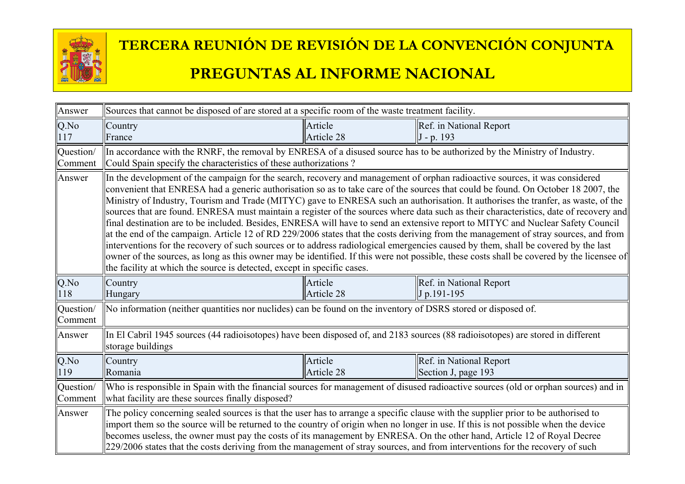

| Answer               | Sources that cannot be disposed of are stored at a specific room of the waste treatment facility.                                                                                                                                                                                                                                                                                                                                                                                                                                     |                       |                                                                                                                                                                                                                                                                                                                                                                                                                                                                                                                                                                                                                                                                                                                                                                                                                                                                                                                                                                              |
|----------------------|---------------------------------------------------------------------------------------------------------------------------------------------------------------------------------------------------------------------------------------------------------------------------------------------------------------------------------------------------------------------------------------------------------------------------------------------------------------------------------------------------------------------------------------|-----------------------|------------------------------------------------------------------------------------------------------------------------------------------------------------------------------------------------------------------------------------------------------------------------------------------------------------------------------------------------------------------------------------------------------------------------------------------------------------------------------------------------------------------------------------------------------------------------------------------------------------------------------------------------------------------------------------------------------------------------------------------------------------------------------------------------------------------------------------------------------------------------------------------------------------------------------------------------------------------------------|
| Q.No<br>117          | Country<br>France                                                                                                                                                                                                                                                                                                                                                                                                                                                                                                                     | Article<br>Article 28 | Ref. in National Report<br>$J - p$ . 193                                                                                                                                                                                                                                                                                                                                                                                                                                                                                                                                                                                                                                                                                                                                                                                                                                                                                                                                     |
| Question/<br>Comment | In accordance with the RNRF, the removal by ENRESA of a disused source has to be authorized by the Ministry of Industry.<br>Could Spain specify the characteristics of these authorizations?                                                                                                                                                                                                                                                                                                                                          |                       |                                                                                                                                                                                                                                                                                                                                                                                                                                                                                                                                                                                                                                                                                                                                                                                                                                                                                                                                                                              |
| Answer               | In the development of the campaign for the search, recovery and management of orphan radioactive sources, it was considered<br>the facility at which the source is detected, except in specific cases.                                                                                                                                                                                                                                                                                                                                |                       | convenient that ENRESA had a generic authorisation so as to take care of the sources that could be found. On October 18 2007, the<br>Ministry of Industry, Tourism and Trade (MITYC) gave to ENRESA such an authorisation. It authorises the tranfer, as waste, of the<br>sources that are found. ENRESA must maintain a register of the sources where data such as their characteristics, date of recovery and<br>final destination are to be included. Besides, ENRESA will have to send an extensive report to MITYC and Nuclear Safety Council<br>at the end of the campaign. Article 12 of RD 229/2006 states that the costs deriving from the management of stray sources, and from<br>interventions for the recovery of such sources or to address radiological emergencies caused by them, shall be covered by the last<br>owner of the sources, as long as this owner may be identified. If this were not possible, these costs shall be covered by the licensee of |
| Q.No<br>118          | Country<br>Hungary                                                                                                                                                                                                                                                                                                                                                                                                                                                                                                                    | Article<br>Article 28 | Ref. in National Report<br>J p.191-195                                                                                                                                                                                                                                                                                                                                                                                                                                                                                                                                                                                                                                                                                                                                                                                                                                                                                                                                       |
| Question/<br>Comment | No information (neither quantities nor nuclides) can be found on the inventory of DSRS stored or disposed of.                                                                                                                                                                                                                                                                                                                                                                                                                         |                       |                                                                                                                                                                                                                                                                                                                                                                                                                                                                                                                                                                                                                                                                                                                                                                                                                                                                                                                                                                              |
| Answer               | In El Cabril 1945 sources (44 radioisotopes) have been disposed of, and 2183 sources (88 radioisotopes) are stored in different<br>storage buildings                                                                                                                                                                                                                                                                                                                                                                                  |                       |                                                                                                                                                                                                                                                                                                                                                                                                                                                                                                                                                                                                                                                                                                                                                                                                                                                                                                                                                                              |
| Q.No<br>119          | Country<br>Romania                                                                                                                                                                                                                                                                                                                                                                                                                                                                                                                    | Article<br>Article 28 | Ref. in National Report<br>Section J, page 193                                                                                                                                                                                                                                                                                                                                                                                                                                                                                                                                                                                                                                                                                                                                                                                                                                                                                                                               |
| Question/<br>Comment | Who is responsible in Spain with the financial sources for management of disused radioactive sources (old or orphan sources) and in<br>what facility are these sources finally disposed?                                                                                                                                                                                                                                                                                                                                              |                       |                                                                                                                                                                                                                                                                                                                                                                                                                                                                                                                                                                                                                                                                                                                                                                                                                                                                                                                                                                              |
| Answer               | The policy concerning sealed sources is that the user has to arrange a specific clause with the supplier prior to be authorised to<br>import them so the source will be returned to the country of origin when no longer in use. If this is not possible when the device<br>becomes useless, the owner must pay the costs of its management by ENRESA. On the other hand, Article 12 of Royal Decree<br>229/2006 states that the costs deriving from the management of stray sources, and from interventions for the recovery of such |                       |                                                                                                                                                                                                                                                                                                                                                                                                                                                                                                                                                                                                                                                                                                                                                                                                                                                                                                                                                                              |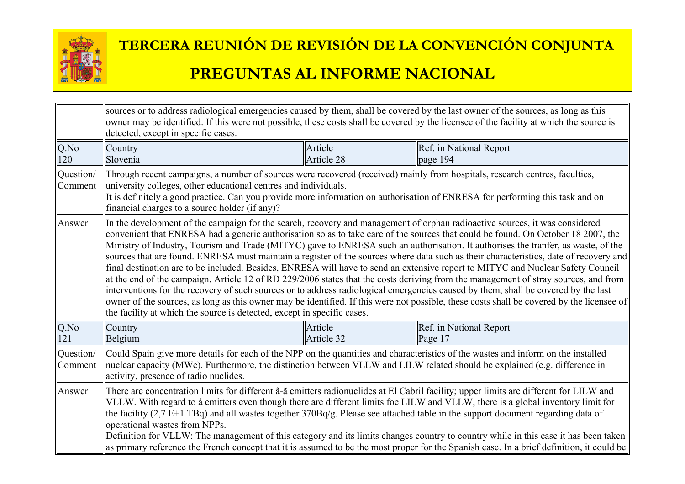

|                      | sources or to address radiological emergencies caused by them, shall be covered by the last owner of the sources, as long as this<br>owner may be identified. If this were not possible, these costs shall be covered by the licensee of the facility at which the source is<br>detected, except in specific cases.                                                                                                                                                                                                                                                                                                                                                                                                                                                                                                                                                                                                                                                                                                                                                                                                                                                                    |                       |                                       |  |
|----------------------|----------------------------------------------------------------------------------------------------------------------------------------------------------------------------------------------------------------------------------------------------------------------------------------------------------------------------------------------------------------------------------------------------------------------------------------------------------------------------------------------------------------------------------------------------------------------------------------------------------------------------------------------------------------------------------------------------------------------------------------------------------------------------------------------------------------------------------------------------------------------------------------------------------------------------------------------------------------------------------------------------------------------------------------------------------------------------------------------------------------------------------------------------------------------------------------|-----------------------|---------------------------------------|--|
| $Q$ .No<br>120       | Country<br>Slovenia                                                                                                                                                                                                                                                                                                                                                                                                                                                                                                                                                                                                                                                                                                                                                                                                                                                                                                                                                                                                                                                                                                                                                                    | Article<br>Article 28 | Ref. in National Report<br>page $194$ |  |
| Question/<br>Comment | Through recent campaigns, a number of sources were recovered (received) mainly from hospitals, research centres, faculties,<br>university colleges, other educational centres and individuals.<br>It is definitely a good practice. Can you provide more information on authorisation of ENRESA for performing this task and on<br>financial charges to a source holder (if any)?                                                                                                                                                                                                                                                                                                                                                                                                                                                                                                                                                                                                                                                                                                                                                                                                      |                       |                                       |  |
| Answer               | In the development of the campaign for the search, recovery and management of orphan radioactive sources, it was considered<br>convenient that ENRESA had a generic authorisation so as to take care of the sources that could be found. On October 18 2007, the<br>Ministry of Industry, Tourism and Trade (MITYC) gave to ENRESA such an authorisation. It authorises the tranfer, as waste, of the<br>sources that are found. ENRESA must maintain a register of the sources where data such as their characteristics, date of recovery and<br>final destination are to be included. Besides, ENRESA will have to send an extensive report to MITYC and Nuclear Safety Council<br>at the end of the campaign. Article 12 of RD 229/2006 states that the costs deriving from the management of stray sources, and from<br>interventions for the recovery of such sources or to address radiological emergencies caused by them, shall be covered by the last<br>owner of the sources, as long as this owner may be identified. If this were not possible, these costs shall be covered by the licensee of<br>the facility at which the source is detected, except in specific cases. |                       |                                       |  |
| $Q$ .No<br>121       | Country<br>Belgium                                                                                                                                                                                                                                                                                                                                                                                                                                                                                                                                                                                                                                                                                                                                                                                                                                                                                                                                                                                                                                                                                                                                                                     | Article<br>Article 32 | Ref. in National Report<br>Page 17    |  |
| Question/<br>Comment | Could Spain give more details for each of the NPP on the quantities and characteristics of the wastes and inform on the installed<br>nuclear capacity (MWe). Furthermore, the distinction between VLLW and LILW related should be explained (e.g. difference in<br>activity, presence of radio nuclides.                                                                                                                                                                                                                                                                                                                                                                                                                                                                                                                                                                                                                                                                                                                                                                                                                                                                               |                       |                                       |  |
| Answer               | There are concentration limits for different â-ã emitters radionuclides at El Cabril facility; upper limits are different for LILW and<br>VLLW. With regard to á emitters even though there are different limits foe LILW and VLLW, there is a global inventory limit for<br>the facility $(2,7 E+1 TBq)$ and all wastes together $370Bq/g$ . Please see attached table in the support document regarding data of<br>operational wastes from NPPs.<br>Definition for VLLW: The management of this category and its limits changes country to country while in this case it has been taken<br>as primary reference the French concept that it is assumed to be the most proper for the Spanish case. In a brief definition, it could be                                                                                                                                                                                                                                                                                                                                                                                                                                                 |                       |                                       |  |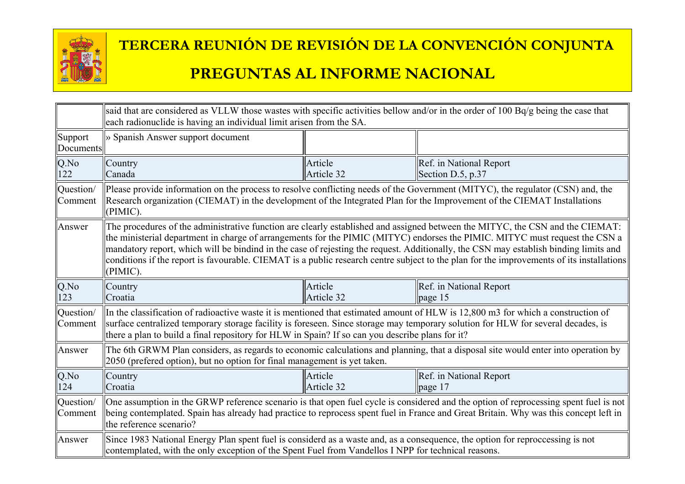

|                      | said that are considered as VLLW those wastes with specific activities bellow and/or in the order of 100 Bq/g being the case that<br>each radionuclide is having an individual limit arisen from the SA.                                                                                                                                                                                                                                                                                                                                                     |                       |                                                                                                                                |
|----------------------|--------------------------------------------------------------------------------------------------------------------------------------------------------------------------------------------------------------------------------------------------------------------------------------------------------------------------------------------------------------------------------------------------------------------------------------------------------------------------------------------------------------------------------------------------------------|-----------------------|--------------------------------------------------------------------------------------------------------------------------------|
| Support<br>Documents | » Spanish Answer support document                                                                                                                                                                                                                                                                                                                                                                                                                                                                                                                            |                       |                                                                                                                                |
| Q.No<br>122          | Country<br>Canada                                                                                                                                                                                                                                                                                                                                                                                                                                                                                                                                            | Article<br>Article 32 | Ref. in National Report<br>Section D.5, p.37                                                                                   |
| Question/<br>Comment | Research organization (CIEMAT) in the development of the Integrated Plan for the Improvement of the CIEMAT Installations<br>(PIMIC).                                                                                                                                                                                                                                                                                                                                                                                                                         |                       | Please provide information on the process to resolve conflicting needs of the Government (MITYC), the regulator (CSN) and, the |
| Answer               | The procedures of the administrative function are clearly established and assigned between the MITYC, the CSN and the CIEMAT:<br>the ministerial department in charge of arrangements for the PIMIC (MITYC) endorses the PIMIC. MITYC must request the CSN a<br>mandatory report, which will be bindind in the case of rejesting the request. Additionally, the CSN may establish binding limits and<br>conditions if the report is favourable. CIEMAT is a public research centre subject to the plan for the improvements of its installations<br>(PIMIC). |                       |                                                                                                                                |
| $Q$ .No<br>123       | Country<br>Croatia                                                                                                                                                                                                                                                                                                                                                                                                                                                                                                                                           | Article<br>Article 32 | Ref. in National Report<br>page 15                                                                                             |
| Question/<br>Comment | In the classification of radioactive waste it is mentioned that estimated amount of HLW is 12,800 m3 for which a construction of<br>surface centralized temporary storage facility is foreseen. Since storage may temporary solution for HLW for several decades, is<br>there a plan to build a final repository for HLW in Spain? If so can you describe plans for it?                                                                                                                                                                                      |                       |                                                                                                                                |
| Answer               | The 6th GRWM Plan considers, as regards to economic calculations and planning, that a disposal site would enter into operation by<br>2050 (prefered option), but no option for final management is yet taken.                                                                                                                                                                                                                                                                                                                                                |                       |                                                                                                                                |
| $Q$ .No<br>124       | Country<br>Croatia                                                                                                                                                                                                                                                                                                                                                                                                                                                                                                                                           | Article<br>Article 32 | Ref. in National Report<br>page 17                                                                                             |
| Question/<br>Comment | One assumption in the GRWP reference scenario is that open fuel cycle is considered and the option of reprocessing spent fuel is not<br>being contemplated. Spain has already had practice to reprocess spent fuel in France and Great Britain. Why was this concept left in<br>the reference scenario?                                                                                                                                                                                                                                                      |                       |                                                                                                                                |
| Answer               | Since 1983 National Energy Plan spent fuel is considerd as a waste and, as a consequence, the option for reproccessing is not<br>contemplated, with the only exception of the Spent Fuel from Vandellos I NPP for technical reasons.                                                                                                                                                                                                                                                                                                                         |                       |                                                                                                                                |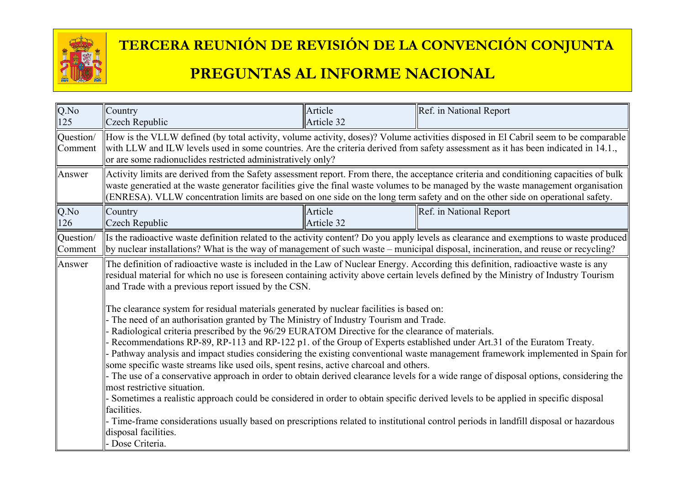

# **TERCERA REUNIÓN DE REVISIÓN DE LA CONVENCIÓN CONJUNTA**

#### **PREGUNTAS AL INFORME NACIONAL**

| Q.No<br>125          | Country<br>Czech Republic                                                                                                                                                                                                                                                                                                                                                                                                                                                                                                                                                                                                                                                                                                                                                                                                                                                                                                                                                                                                                                                                                                                         | Article<br>Article 32 | Ref. in National Report                                                                                                                                                                                                                                                      |  |
|----------------------|---------------------------------------------------------------------------------------------------------------------------------------------------------------------------------------------------------------------------------------------------------------------------------------------------------------------------------------------------------------------------------------------------------------------------------------------------------------------------------------------------------------------------------------------------------------------------------------------------------------------------------------------------------------------------------------------------------------------------------------------------------------------------------------------------------------------------------------------------------------------------------------------------------------------------------------------------------------------------------------------------------------------------------------------------------------------------------------------------------------------------------------------------|-----------------------|------------------------------------------------------------------------------------------------------------------------------------------------------------------------------------------------------------------------------------------------------------------------------|--|
| Question/<br>Comment | How is the VLLW defined (by total activity, volume activity, doses)? Volume activities disposed in El Cabril seem to be comparable<br>with LLW and ILW levels used in some countries. Are the criteria derived from safety assessment as it has been indicated in 14.1.,<br>or are some radionuclides restricted administratively only?                                                                                                                                                                                                                                                                                                                                                                                                                                                                                                                                                                                                                                                                                                                                                                                                           |                       |                                                                                                                                                                                                                                                                              |  |
| Answer               | (ENRESA). VLLW concentration limits are based on one side on the long term safety and on the other side on operational safety.                                                                                                                                                                                                                                                                                                                                                                                                                                                                                                                                                                                                                                                                                                                                                                                                                                                                                                                                                                                                                    |                       | Activity limits are derived from the Safety assessment report. From there, the acceptance criteria and conditioning capacities of bulk<br>waste generatied at the waste generator facilities give the final waste volumes to be managed by the waste management organisation |  |
| Q.No<br>126          | Country<br>Czech Republic                                                                                                                                                                                                                                                                                                                                                                                                                                                                                                                                                                                                                                                                                                                                                                                                                                                                                                                                                                                                                                                                                                                         | Article<br>Article 32 | Ref. in National Report                                                                                                                                                                                                                                                      |  |
| Question/<br>Comment |                                                                                                                                                                                                                                                                                                                                                                                                                                                                                                                                                                                                                                                                                                                                                                                                                                                                                                                                                                                                                                                                                                                                                   |                       | Its the radioactive waste definition related to the activity content? Do you apply levels as clearance and exemptions to waste produced<br>by nuclear installations? What is the way of management of such waste – municipal disposal, incineration, and reuse or recycling? |  |
| Answer               | The definition of radioactive waste is included in the Law of Nuclear Energy. According this definition, radioactive waste is any<br>residual material for which no use is foreseen containing activity above certain levels defined by the Ministry of Industry Tourism<br>and Trade with a previous report issued by the CSN.                                                                                                                                                                                                                                                                                                                                                                                                                                                                                                                                                                                                                                                                                                                                                                                                                   |                       |                                                                                                                                                                                                                                                                              |  |
|                      | The clearance system for residual materials generated by nuclear facilities is based on:<br>The need of an authorisation granted by The Ministry of Industry Tourism and Trade.<br>Radiological criteria prescribed by the 96/29 EURATOM Directive for the clearance of materials.<br>Recommendations RP-89, RP-113 and RP-122 p1. of the Group of Experts established under Art.31 of the Euratom Treaty.<br>Pathway analysis and impact studies considering the existing conventional waste management framework implemented in Spain for<br>some specific waste streams like used oils, spent resins, active charcoal and others.<br>The use of a conservative approach in order to obtain derived clearance levels for a wide range of disposal options, considering the<br>most restrictive situation.<br>Sometimes a realistic approach could be considered in order to obtain specific derived levels to be applied in specific disposal<br>facilities.<br>Time-frame considerations usually based on prescriptions related to institutional control periods in landfill disposal or hazardous<br>disposal facilities.<br>- Dose Criteria. |                       |                                                                                                                                                                                                                                                                              |  |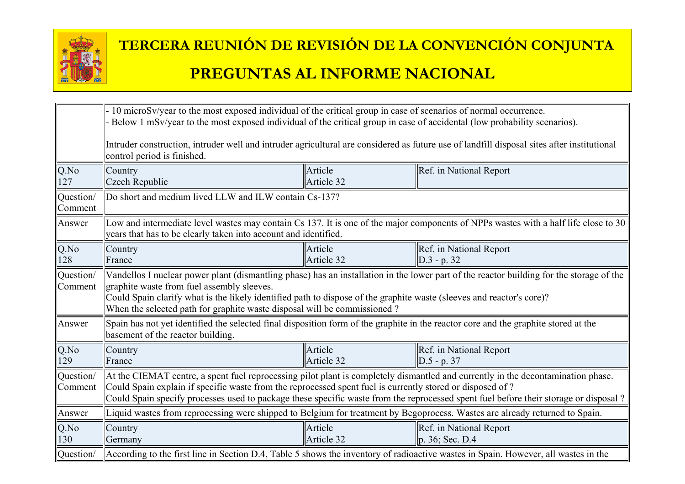

|                      | 10 microSv/year to the most exposed individual of the critical group in case of scenarios of normal occurrence.<br>Below 1 mSv/year to the most exposed individual of the critical group in case of accidental (low probability scenarios).                                                                                                                                                 |                                                                                                                                            |                                                                                                                                     |  |
|----------------------|---------------------------------------------------------------------------------------------------------------------------------------------------------------------------------------------------------------------------------------------------------------------------------------------------------------------------------------------------------------------------------------------|--------------------------------------------------------------------------------------------------------------------------------------------|-------------------------------------------------------------------------------------------------------------------------------------|--|
|                      | control period is finished.                                                                                                                                                                                                                                                                                                                                                                 | Intruder construction, intruder well and intruder agricultural are considered as future use of landfill disposal sites after institutional |                                                                                                                                     |  |
| Q.No<br>127          | Country<br>Czech Republic                                                                                                                                                                                                                                                                                                                                                                   | Article<br>Article 32                                                                                                                      | Ref. in National Report                                                                                                             |  |
| Question/<br>Comment | Do short and medium lived LLW and ILW contain Cs-137?                                                                                                                                                                                                                                                                                                                                       |                                                                                                                                            |                                                                                                                                     |  |
| Answer               | years that has to be clearly taken into account and identified.                                                                                                                                                                                                                                                                                                                             |                                                                                                                                            | Low and intermediate level wastes may contain Cs 137. It is one of the major components of NPPs wastes with a half life close to 30 |  |
| Q.No<br>128          | Country<br>France                                                                                                                                                                                                                                                                                                                                                                           | Article<br>Article 32                                                                                                                      | Ref. in National Report<br>$D.3 - p. 32$                                                                                            |  |
| Question/<br>Comment | Vandellos I nuclear power plant (dismantling phase) has an installation in the lower part of the reactor building for the storage of the<br>graphite waste from fuel assembly sleeves.<br>Could Spain clarify what is the likely identified path to dispose of the graphite waste (sleeves and reactor's core)?<br>When the selected path for graphite waste disposal will be commissioned? |                                                                                                                                            |                                                                                                                                     |  |
| Answer               | Spain has not yet identified the selected final disposition form of the graphite in the reactor core and the graphite stored at the<br>basement of the reactor building.                                                                                                                                                                                                                    |                                                                                                                                            |                                                                                                                                     |  |
| Q.No<br>129          | Country<br>France                                                                                                                                                                                                                                                                                                                                                                           | Article<br>Article 32                                                                                                                      | Ref. in National Report<br>$ D.5 - p. 37 $                                                                                          |  |
| Question/<br>Comment | At the CIEMAT centre, a spent fuel reprocessing pilot plant is completely dismantled and currently in the decontamination phase.<br>Could Spain explain if specific waste from the reprocessed spent fuel is currently stored or disposed of ?<br>Could Spain specify processes used to package these specific waste from the reprocessed spent fuel before their storage or disposal?      |                                                                                                                                            |                                                                                                                                     |  |
| Answer               | Liquid wastes from reprocessing were shipped to Belgium for treatment by Begoprocess. Wastes are already returned to Spain.                                                                                                                                                                                                                                                                 |                                                                                                                                            |                                                                                                                                     |  |
| Q.No<br>130          | Country<br>Germany                                                                                                                                                                                                                                                                                                                                                                          | Article<br>Article 32                                                                                                                      | Ref. in National Report<br>p. 36; Sec. D.4                                                                                          |  |
| Question/            | According to the first line in Section D.4, Table 5 shows the inventory of radioactive wastes in Spain. However, all wastes in the                                                                                                                                                                                                                                                          |                                                                                                                                            |                                                                                                                                     |  |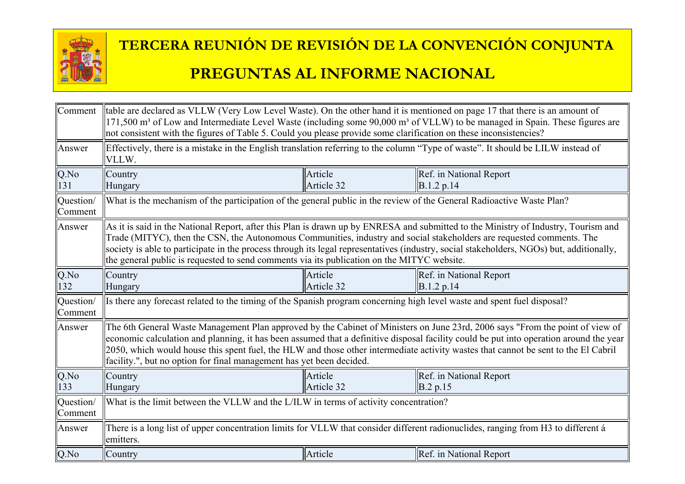

| Comment              | thable are declared as VLLW (Very Low Level Waste). On the other hand it is mentioned on page 17 that there is an amount of<br>171,500 m <sup>3</sup> of Low and Intermediate Level Waste (including some 90,000 m <sup>3</sup> of VLLW) to be managed in Spain. These figures are<br>not consistent with the figures of Table 5. Could you please provide some clarification on these inconsistencies?                                                                                               |                                                                                                                                  |                                       |  |
|----------------------|-------------------------------------------------------------------------------------------------------------------------------------------------------------------------------------------------------------------------------------------------------------------------------------------------------------------------------------------------------------------------------------------------------------------------------------------------------------------------------------------------------|----------------------------------------------------------------------------------------------------------------------------------|---------------------------------------|--|
| Answer               | VLLW.                                                                                                                                                                                                                                                                                                                                                                                                                                                                                                 | Effectively, there is a mistake in the English translation referring to the column "Type of waste". It should be LILW instead of |                                       |  |
| $Q$ .No<br>131       | Country<br>Hungary                                                                                                                                                                                                                                                                                                                                                                                                                                                                                    | Article<br>Article 32                                                                                                            | Ref. in National Report<br>B.1.2 p.14 |  |
| Question/<br>Comment | What is the mechanism of the participation of the general public in the review of the General Radioactive Waste Plan?                                                                                                                                                                                                                                                                                                                                                                                 |                                                                                                                                  |                                       |  |
| Answer               | As it is said in the National Report, after this Plan is drawn up by ENRESA and submitted to the Ministry of Industry, Tourism and<br>Trade (MITYC), then the CSN, the Autonomous Communities, industry and social stakeholders are requested comments. The<br>society is able to participate in the process through its legal representatives (industry, social stakeholders, NGOs) but, additionally,<br>the general public is requested to send comments via its publication on the MITYC website. |                                                                                                                                  |                                       |  |
| $Q$ .No<br>132       | Country<br>Hungary                                                                                                                                                                                                                                                                                                                                                                                                                                                                                    | Article<br>Article 32                                                                                                            | Ref. in National Report<br>B.1.2 p.14 |  |
| Question/<br>Comment | Is there any forecast related to the timing of the Spanish program concerning high level waste and spent fuel disposal?                                                                                                                                                                                                                                                                                                                                                                               |                                                                                                                                  |                                       |  |
| Answer               | The 6th General Waste Management Plan approved by the Cabinet of Ministers on June 23rd, 2006 says "From the point of view of<br>economic calculation and planning, it has been assumed that a definitive disposal facility could be put into operation around the year<br>2050, which would house this spent fuel, the HLW and those other intermediate activity wastes that cannot be sent to the El Cabril<br>facility.", but no option for final management has yet been decided.                 |                                                                                                                                  |                                       |  |
| Q.No<br>133          | Country<br>Hungary                                                                                                                                                                                                                                                                                                                                                                                                                                                                                    | Article<br>Article 32                                                                                                            | Ref. in National Report<br>B.2 p.15   |  |
| Question/<br>Comment | What is the limit between the VLLW and the L/ILW in terms of activity concentration?                                                                                                                                                                                                                                                                                                                                                                                                                  |                                                                                                                                  |                                       |  |
| Answer               | There is a long list of upper concentration limits for VLLW that consider different radionuclides, ranging from H3 to different á<br>emitters.                                                                                                                                                                                                                                                                                                                                                        |                                                                                                                                  |                                       |  |
| Q.No                 | Country                                                                                                                                                                                                                                                                                                                                                                                                                                                                                               | Article                                                                                                                          | Ref. in National Report               |  |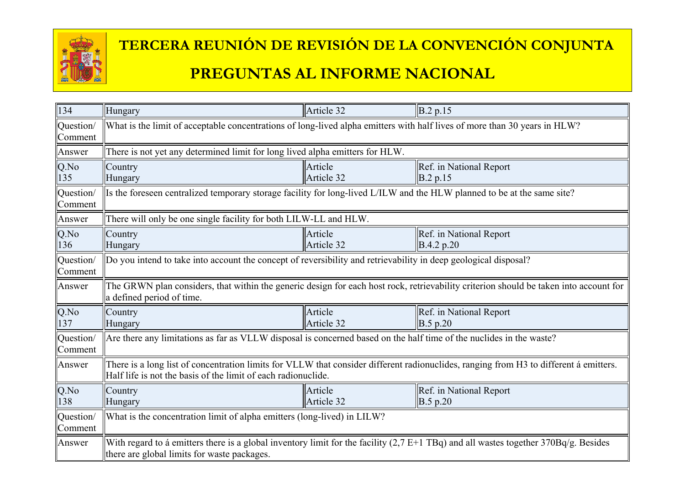

| 134                  | Hungary                                                                                                                                                                                                | Article 32            | B.2 p.15                                                                                                                              |  |
|----------------------|--------------------------------------------------------------------------------------------------------------------------------------------------------------------------------------------------------|-----------------------|---------------------------------------------------------------------------------------------------------------------------------------|--|
| Question/<br>Comment | What is the limit of acceptable concentrations of long-lived alpha emitters with half lives of more than 30 years in HLW?                                                                              |                       |                                                                                                                                       |  |
| Answer               | There is not yet any determined limit for long lived alpha emitters for HLW.                                                                                                                           |                       |                                                                                                                                       |  |
| $Q$ .No<br>135       | Country<br>Hungary                                                                                                                                                                                     | Article<br>Article 32 | Ref. in National Report<br>$\vert$ B.2 p.15                                                                                           |  |
| Question/<br>Comment | Is the foreseen centralized temporary storage facility for long-lived L/ILW and the HLW planned to be at the same site?                                                                                |                       |                                                                                                                                       |  |
| Answer               | There will only be one single facility for both LILW-LL and HLW.                                                                                                                                       |                       |                                                                                                                                       |  |
| $Q$ .No<br>136       | Country<br>Hungary                                                                                                                                                                                     | Article<br>Article 32 | Ref. in National Report<br>B.4.2 p.20                                                                                                 |  |
| Question/<br>Comment | Do you intend to take into account the concept of reversibility and retrievability in deep geological disposal?                                                                                        |                       |                                                                                                                                       |  |
| Answer               | a defined period of time.                                                                                                                                                                              |                       | The GRWN plan considers, that within the generic design for each host rock, retrievability criterion should be taken into account for |  |
| Q.No<br>137          | Country<br>Hungary                                                                                                                                                                                     | Article<br>Article 32 | Ref. in National Report<br>B.5 p.20                                                                                                   |  |
| Question/<br>Comment | Are there any limitations as far as VLLW disposal is concerned based on the half time of the nuclides in the waste?                                                                                    |                       |                                                                                                                                       |  |
| Answer               | There is a long list of concentration limits for VLLW that consider different radionuclides, ranging from H3 to different á emitters.<br>Half life is not the basis of the limit of each radionuclide. |                       |                                                                                                                                       |  |
| Q.No<br>138          | Country<br>Hungary                                                                                                                                                                                     | Article<br>Article 32 | Ref. in National Report<br>$\vert$ B.5 p.20                                                                                           |  |
| Question/<br>Comment | What is the concentration limit of alpha emitters (long-lived) in LILW?                                                                                                                                |                       |                                                                                                                                       |  |
| Answer               | With regard to a emitters there is a global inventory limit for the facility $(2,7 E+1 TBq)$ and all wastes together $370Bq/g$ . Besides<br>there are global limits for waste packages.                |                       |                                                                                                                                       |  |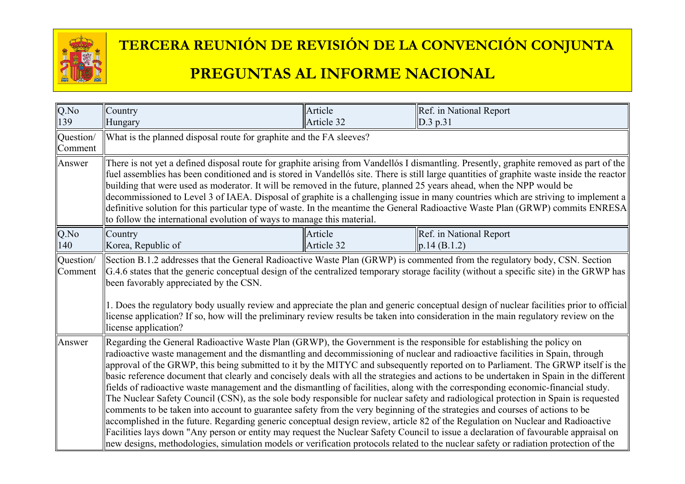

| Q.No                 | Country                                                                                                                                                                                                                                                                                                                                                                                                                                                                                                                                                                                                                                                                                                                                                                                                                                                                                                                                                                                                                                                                                                                                                                                                                                                                                                                                                            | Article               | Ref. in National Report                 |  |
|----------------------|--------------------------------------------------------------------------------------------------------------------------------------------------------------------------------------------------------------------------------------------------------------------------------------------------------------------------------------------------------------------------------------------------------------------------------------------------------------------------------------------------------------------------------------------------------------------------------------------------------------------------------------------------------------------------------------------------------------------------------------------------------------------------------------------------------------------------------------------------------------------------------------------------------------------------------------------------------------------------------------------------------------------------------------------------------------------------------------------------------------------------------------------------------------------------------------------------------------------------------------------------------------------------------------------------------------------------------------------------------------------|-----------------------|-----------------------------------------|--|
| 139                  | Hungary                                                                                                                                                                                                                                                                                                                                                                                                                                                                                                                                                                                                                                                                                                                                                                                                                                                                                                                                                                                                                                                                                                                                                                                                                                                                                                                                                            | Article 32            | $\vert$ D.3 p.31                        |  |
| Question/<br>Comment | What is the planned disposal route for graphite and the FA sleeves?                                                                                                                                                                                                                                                                                                                                                                                                                                                                                                                                                                                                                                                                                                                                                                                                                                                                                                                                                                                                                                                                                                                                                                                                                                                                                                |                       |                                         |  |
| Answer               | There is not yet a defined disposal route for graphite arising from Vandellós I dismantling. Presently, graphite removed as part of the<br>fuel assemblies has been conditioned and is stored in Vandellós site. There is still large quantities of graphite waste inside the reactor<br>building that were used as moderator. It will be removed in the future, planned 25 years ahead, when the NPP would be<br>decommissioned to Level 3 of IAEA. Disposal of graphite is a challenging issue in many countries which are striving to implement a<br>definitive solution for this particular type of waste. In the meantime the General Radioactive Waste Plan (GRWP) commits ENRESA<br>to follow the international evolution of ways to manage this material.                                                                                                                                                                                                                                                                                                                                                                                                                                                                                                                                                                                                  |                       |                                         |  |
| Q.No<br>140          | Country<br>Korea, Republic of                                                                                                                                                                                                                                                                                                                                                                                                                                                                                                                                                                                                                                                                                                                                                                                                                                                                                                                                                                                                                                                                                                                                                                                                                                                                                                                                      | Article<br>Article 32 | Ref. in National Report<br> p.14(B.1.2) |  |
| Question/<br>Comment | Section B.1.2 addresses that the General Radioactive Waste Plan (GRWP) is commented from the regulatory body, CSN. Section<br>G.4.6 states that the generic conceptual design of the centralized temporary storage facility (without a specific site) in the GRWP has<br>been favorably appreciated by the CSN.<br>1. Does the regulatory body usually review and appreciate the plan and generic conceptual design of nuclear facilities prior to official<br>license application? If so, how will the preliminary review results be taken into consideration in the main regulatory review on the<br>license application?                                                                                                                                                                                                                                                                                                                                                                                                                                                                                                                                                                                                                                                                                                                                        |                       |                                         |  |
| Answer               | Regarding the General Radioactive Waste Plan (GRWP), the Government is the responsible for establishing the policy on<br>radioactive waste management and the dismantling and decommissioning of nuclear and radioactive facilities in Spain, through<br>approval of the GRWP, this being submitted to it by the MITYC and subsequently reported on to Parliament. The GRWP itself is the<br>basic reference document that clearly and concisely deals with all the strategies and actions to be undertaken in Spain in the different<br>fields of radioactive waste management and the dismantling of facilities, along with the corresponding economic-financial study.<br>The Nuclear Safety Council (CSN), as the sole body responsible for nuclear safety and radiological protection in Spain is requested<br>comments to be taken into account to guarantee safety from the very beginning of the strategies and courses of actions to be<br>accomplished in the future. Regarding generic conceptual design review, article 82 of the Regulation on Nuclear and Radioactive<br>Facilities lays down "Any person or entity may request the Nuclear Safety Council to issue a declaration of favourable appraisal on<br>new designs, methodologies, simulation models or verification protocols related to the nuclear safety or radiation protection of the |                       |                                         |  |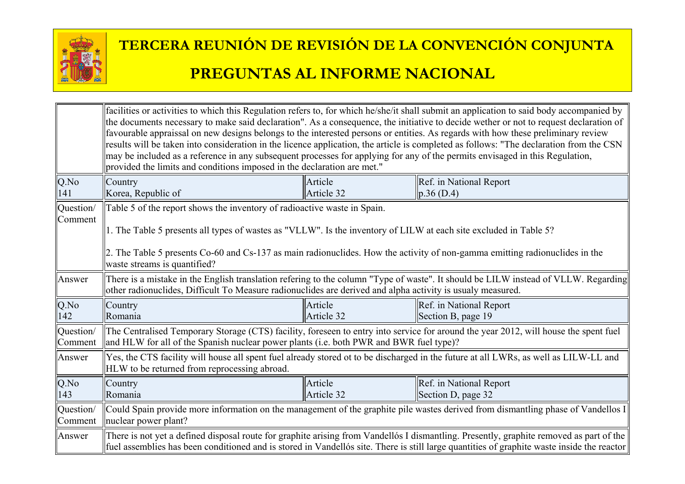

|                             | facilities or activities to which this Regulation refers to, for which he/she/it shall submit an application to said body accompanied by<br>the documents necessary to make said declaration". As a consequence, the initiative to decide wether or not to request declaration of<br>favourable appraissal on new designs belongs to the interested persons or entities. As regards with how these preliminary review<br>results will be taken into consideration in the licence application, the article is completed as follows: "The declaration from the CSN<br>may be included as a reference in any subsequent processes for applying for any of the permits envisaged in this Regulation,<br>provided the limits and conditions imposed in the declaration are met." |                       |                                                                                                                                      |  |
|-----------------------------|-----------------------------------------------------------------------------------------------------------------------------------------------------------------------------------------------------------------------------------------------------------------------------------------------------------------------------------------------------------------------------------------------------------------------------------------------------------------------------------------------------------------------------------------------------------------------------------------------------------------------------------------------------------------------------------------------------------------------------------------------------------------------------|-----------------------|--------------------------------------------------------------------------------------------------------------------------------------|--|
| Q.No                        | Country                                                                                                                                                                                                                                                                                                                                                                                                                                                                                                                                                                                                                                                                                                                                                                     | Article               | Ref. in National Report                                                                                                              |  |
| 141                         | Korea, Republic of                                                                                                                                                                                                                                                                                                                                                                                                                                                                                                                                                                                                                                                                                                                                                          | Article 32            | $\ p.36(D.4)\ $                                                                                                                      |  |
| Question/<br><b>Comment</b> | Table 5 of the report shows the inventory of radioactive waste in Spain.<br>1. The Table 5 presents all types of wastes as "VLLW". Is the inventory of LILW at each site excluded in Table 5?<br>2. The Table 5 presents Co-60 and Cs-137 as main radionuclides. How the activity of non-gamma emitting radionuclides in the<br>waste streams is quantified?                                                                                                                                                                                                                                                                                                                                                                                                                |                       |                                                                                                                                      |  |
| Answer                      | other radionuclides, Difficult To Measure radionuclides are derived and alpha activity is usualy measured.                                                                                                                                                                                                                                                                                                                                                                                                                                                                                                                                                                                                                                                                  |                       | There is a mistake in the English translation refering to the column "Type of waste". It should be LILW instead of VLLW. Regarding   |  |
| Q.No<br>142                 | Country<br>Romania                                                                                                                                                                                                                                                                                                                                                                                                                                                                                                                                                                                                                                                                                                                                                          | Article<br>Article 32 | Ref. in National Report<br>Section B, page $19$                                                                                      |  |
| Question/<br>Comment        | $\parallel$ and HLW for all of the Spanish nuclear power plants (i.e. both PWR and BWR fuel type)?                                                                                                                                                                                                                                                                                                                                                                                                                                                                                                                                                                                                                                                                          |                       | The Centralised Temporary Storage (CTS) facility, foreseen to entry into service for around the year 2012, will house the spent fuel |  |
| Answer                      | Yes, the CTS facility will house all spent fuel already stored ot to be discharged in the future at all LWRs, as well as LILW-LL and<br>HLW to be returned from reprocessing abroad.                                                                                                                                                                                                                                                                                                                                                                                                                                                                                                                                                                                        |                       |                                                                                                                                      |  |
| $Q$ .No<br>143              | Country<br>Romania                                                                                                                                                                                                                                                                                                                                                                                                                                                                                                                                                                                                                                                                                                                                                          | Article<br>Article 32 | Ref. in National Report<br>Section D, page 32                                                                                        |  |
| Question/<br>Comment        | Could Spain provide more information on the management of the graphite pile wastes derived from dismantling phase of Vandellos I<br>muclear power plant?                                                                                                                                                                                                                                                                                                                                                                                                                                                                                                                                                                                                                    |                       |                                                                                                                                      |  |
| Answer                      | There is not yet a defined disposal route for graphite arising from Vandellós I dismantling. Presently, graphite removed as part of the<br>fuel assemblies has been conditioned and is stored in Vandellós site. There is still large quantities of graphite waste inside the reactor                                                                                                                                                                                                                                                                                                                                                                                                                                                                                       |                       |                                                                                                                                      |  |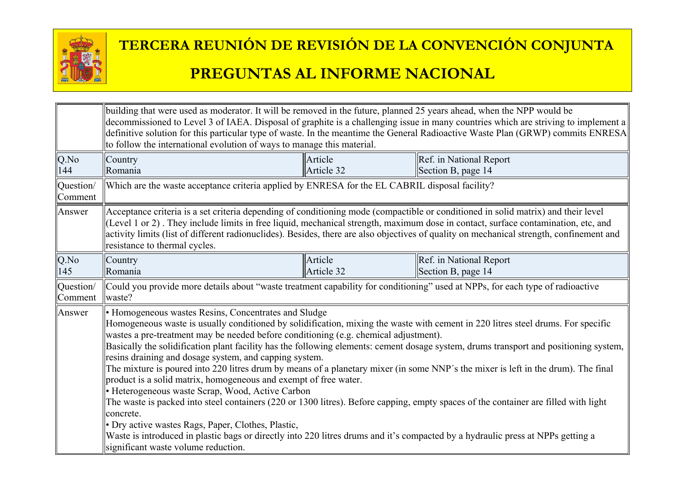

|                      | building that were used as moderator. It will be removed in the future, planned 25 years ahead, when the NPP would be<br>decommissioned to Level 3 of IAEA. Disposal of graphite is a challenging issue in many countries which are striving to implement a<br>definitive solution for this particular type of waste. In the meantime the General Radioactive Waste Plan (GRWP) commits ENRESA<br>to follow the international evolution of ways to manage this material.                                                                                                                                                                                                                                                                                                                                                                                                                                                                                                                                                                                                                                                             |                       |                                               |  |
|----------------------|--------------------------------------------------------------------------------------------------------------------------------------------------------------------------------------------------------------------------------------------------------------------------------------------------------------------------------------------------------------------------------------------------------------------------------------------------------------------------------------------------------------------------------------------------------------------------------------------------------------------------------------------------------------------------------------------------------------------------------------------------------------------------------------------------------------------------------------------------------------------------------------------------------------------------------------------------------------------------------------------------------------------------------------------------------------------------------------------------------------------------------------|-----------------------|-----------------------------------------------|--|
| Q.No<br>144          | Country<br>Romania                                                                                                                                                                                                                                                                                                                                                                                                                                                                                                                                                                                                                                                                                                                                                                                                                                                                                                                                                                                                                                                                                                                   | Article<br>Article 32 | Ref. in National Report<br>Section B, page 14 |  |
| Question/<br>Comment | Which are the waste acceptance criteria applied by ENRESA for the EL CABRIL disposal facility?                                                                                                                                                                                                                                                                                                                                                                                                                                                                                                                                                                                                                                                                                                                                                                                                                                                                                                                                                                                                                                       |                       |                                               |  |
| Answer               | Acceptance criteria is a set criteria depending of conditioning mode (compactible or conditioned in solid matrix) and their level<br>(Level 1 or 2). They include limits in free liquid, mechanical strength, maximum dose in contact, surface contamination, etc, and<br>activity limits (list of different radionuclides). Besides, there are also objectives of quality on mechanical strength, confinement and<br>resistance to thermal cycles.                                                                                                                                                                                                                                                                                                                                                                                                                                                                                                                                                                                                                                                                                  |                       |                                               |  |
| Q.No<br>145          | Article<br>Ref. in National Report<br>Country<br>Article 32<br>Section B, page 14<br>Romania                                                                                                                                                                                                                                                                                                                                                                                                                                                                                                                                                                                                                                                                                                                                                                                                                                                                                                                                                                                                                                         |                       |                                               |  |
| Question/<br>Comment | Could you provide more details about "waste treatment capability for conditioning" used at NPPs, for each type of radioactive<br>waste?                                                                                                                                                                                                                                                                                                                                                                                                                                                                                                                                                                                                                                                                                                                                                                                                                                                                                                                                                                                              |                       |                                               |  |
| Answer               | • Homogeneous wastes Resins, Concentrates and Sludge<br>Homogeneous waste is usually conditioned by solidification, mixing the waste with cement in 220 litres steel drums. For specific<br>wastes a pre-treatment may be needed before conditioning (e.g. chemical adjustment).<br>Basically the solidification plant facility has the following elements: cement dosage system, drums transport and positioning system,<br>resins draining and dosage system, and capping system.<br>The mixture is poured into 220 litres drum by means of a planetary mixer (in some NNP's the mixer is left in the drum). The final<br>product is a solid matrix, homogeneous and exempt of free water.<br>• Heterogeneous waste Scrap, Wood, Active Carbon<br>The waste is packed into steel containers (220 or 1300 litres). Before capping, empty spaces of the container are filled with light<br>concrete.<br>• Dry active wastes Rags, Paper, Clothes, Plastic,<br>Waste is introduced in plastic bags or directly into 220 litres drums and it's compacted by a hydraulic press at NPPs getting a<br>significant waste volume reduction. |                       |                                               |  |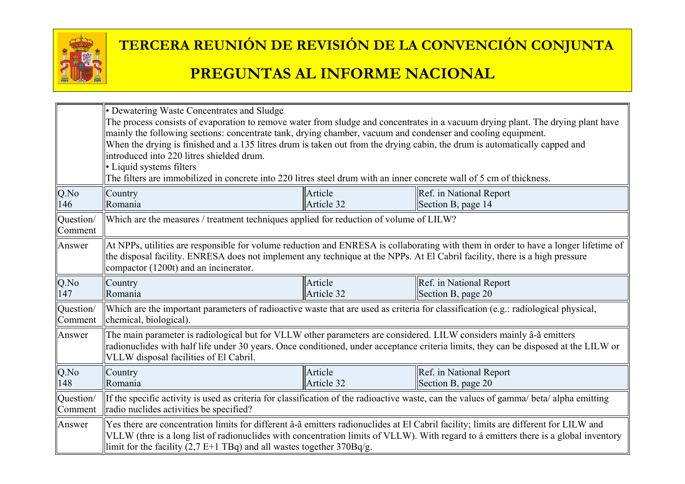

|                      | • Dewatering Waste Concentrates and Sludge<br>The process consists of evaporation to remove water from sludge and concentrates in a vacuum drying plant. The drying plant have<br>mainly the following sections: concentrate tank, drying chamber, vacuum and condenser and cooling equipment.<br>When the drying is finished and a 135 litres drum is taken out from the drying cabin, the drum is automatically capped and<br>introduced into 220 litres shielded drum.<br>• Liquid systems filters<br>The filters are immobilized in concrete into 220 litres steel drum with an inner concrete wall of 5 cm of thickness. |                       |                                               |  |  |
|----------------------|-------------------------------------------------------------------------------------------------------------------------------------------------------------------------------------------------------------------------------------------------------------------------------------------------------------------------------------------------------------------------------------------------------------------------------------------------------------------------------------------------------------------------------------------------------------------------------------------------------------------------------|-----------------------|-----------------------------------------------|--|--|
| Q.No<br>146          | Country<br>Romania                                                                                                                                                                                                                                                                                                                                                                                                                                                                                                                                                                                                            | Article<br>Article 32 | Ref. in National Report<br>Section B, page 14 |  |  |
| Question/<br>Comment | Which are the measures / treatment techniques applied for reduction of volume of LILW?                                                                                                                                                                                                                                                                                                                                                                                                                                                                                                                                        |                       |                                               |  |  |
| Answer               | At NPPs, utilities are responsible for volume reduction and ENRESA is collaborating with them in order to have a longer lifetime of<br>the disposal facility. ENRESA does not implement any technique at the NPPs. At El Cabril facility, there is a high pressure<br>compactor (1200t) and an incinerator.                                                                                                                                                                                                                                                                                                                   |                       |                                               |  |  |
| Q.No<br>147          | Country<br>Romania                                                                                                                                                                                                                                                                                                                                                                                                                                                                                                                                                                                                            | Article<br>Article 32 | Ref. in National Report<br>Section B, page 20 |  |  |
| Question/<br>Comment | Which are the important parameters of radioactive waste that are used as criteria for classification (e.g.: radiological physical,<br>chemical, biological).                                                                                                                                                                                                                                                                                                                                                                                                                                                                  |                       |                                               |  |  |
| Answer               | The main parameter is radiological but for VLLW other parameters are considered. LILW considers mainly â-ã emitters<br>radionuclides with half life under 30 years. Once conditioned, under acceptance criteria limits, they can be disposed at the LILW or<br>VLLW disposal facilities of El Cabril.                                                                                                                                                                                                                                                                                                                         |                       |                                               |  |  |
| Q.No<br>148          | Article<br>Ref. in National Report<br>Country<br>Article 32<br>Section B, page 20<br>Romania                                                                                                                                                                                                                                                                                                                                                                                                                                                                                                                                  |                       |                                               |  |  |
| Question/<br>Comment | If the specific activity is used as criteria for classification of the radioactive waste, can the values of gamma/ beta/ alpha emitting<br>radio nuclides activities be specified?                                                                                                                                                                                                                                                                                                                                                                                                                                            |                       |                                               |  |  |
| Answer               | Yes there are concentration limits for different â-ã emitters radionuclides at El Cabril facility; limits are different for LILW and<br>VLLW (thre is a long list of radionuclides with concentration limits of VLLW). With regard to a emitters there is a global inventory<br>limit for the facility $(2,7 E+1 TBq)$ and all wastes together $370Bq/g$ .                                                                                                                                                                                                                                                                    |                       |                                               |  |  |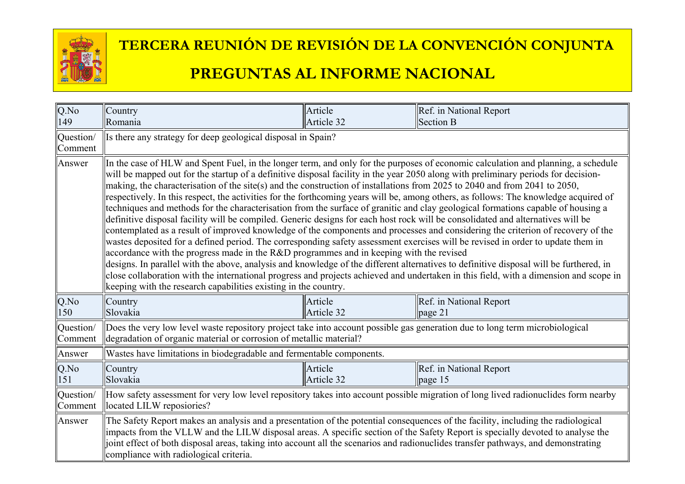

| Q.No<br>149          | Country<br>Romania                                                                                                                                                                                                                                                                                                                                                                                                                                                                                                                                                                                                                                                                                                                                                                                                                                                                                                                                                                                                                                                                                                                                                                                                                                                                                                                                                                                                                                                                                                                                     | Article<br>Article 32 | Ref. in National Report<br>Section B       |  |
|----------------------|--------------------------------------------------------------------------------------------------------------------------------------------------------------------------------------------------------------------------------------------------------------------------------------------------------------------------------------------------------------------------------------------------------------------------------------------------------------------------------------------------------------------------------------------------------------------------------------------------------------------------------------------------------------------------------------------------------------------------------------------------------------------------------------------------------------------------------------------------------------------------------------------------------------------------------------------------------------------------------------------------------------------------------------------------------------------------------------------------------------------------------------------------------------------------------------------------------------------------------------------------------------------------------------------------------------------------------------------------------------------------------------------------------------------------------------------------------------------------------------------------------------------------------------------------------|-----------------------|--------------------------------------------|--|
| Question/<br>Comment | Is there any strategy for deep geological disposal in Spain?                                                                                                                                                                                                                                                                                                                                                                                                                                                                                                                                                                                                                                                                                                                                                                                                                                                                                                                                                                                                                                                                                                                                                                                                                                                                                                                                                                                                                                                                                           |                       |                                            |  |
| Answer               | In the case of HLW and Spent Fuel, in the longer term, and only for the purposes of economic calculation and planning, a schedule<br>will be mapped out for the startup of a definitive disposal facility in the year 2050 along with preliminary periods for decision-<br>making, the characterisation of the site(s) and the construction of installations from 2025 to 2040 and from 2041 to 2050,<br>respectively. In this respect, the activities for the forthcoming years will be, among others, as follows: The knowledge acquired of<br>techniques and methods for the characterisation from the surface of granitic and clay geological formations capable of housing a<br>definitive disposal facility will be compiled. Generic designs for each host rock will be consolidated and alternatives will be<br>contemplated as a result of improved knowledge of the components and processes and considering the criterion of recovery of the<br>wastes deposited for a defined period. The corresponding safety assessment exercises will be revised in order to update them in<br>accordance with the progress made in the R&D programmes and in keeping with the revised<br>designs. In parallel with the above, analysis and knowledge of the different alternatives to definitive disposal will be furthered, in<br>close collaboration with the international progress and projects achieved and undertaken in this field, with a dimension and scope in<br>electrical keeping with the research capabilities existing in the country. |                       |                                            |  |
| Q.No<br>150          | Country<br>Slovakia                                                                                                                                                                                                                                                                                                                                                                                                                                                                                                                                                                                                                                                                                                                                                                                                                                                                                                                                                                                                                                                                                                                                                                                                                                                                                                                                                                                                                                                                                                                                    | Article<br>Article 32 | Ref. in National Report<br>page 21         |  |
| Question/<br>Comment | Does the very low level waste repository project take into account possible gas generation due to long term microbiological<br>degradation of organic material or corrosion of metallic material?                                                                                                                                                                                                                                                                                                                                                                                                                                                                                                                                                                                                                                                                                                                                                                                                                                                                                                                                                                                                                                                                                                                                                                                                                                                                                                                                                      |                       |                                            |  |
| Answer               | Wastes have limitations in biodegradable and fermentable components.                                                                                                                                                                                                                                                                                                                                                                                                                                                                                                                                                                                                                                                                                                                                                                                                                                                                                                                                                                                                                                                                                                                                                                                                                                                                                                                                                                                                                                                                                   |                       |                                            |  |
| Q.No<br>151          | Country<br>Slovakia                                                                                                                                                                                                                                                                                                                                                                                                                                                                                                                                                                                                                                                                                                                                                                                                                                                                                                                                                                                                                                                                                                                                                                                                                                                                                                                                                                                                                                                                                                                                    | Article<br>Article 32 | Ref. in National Report<br>$\vert$ page 15 |  |
| Question/<br>Comment | How safety assessment for very low level repository takes into account possible migration of long lived radionuclides form nearby<br>located LILW reposiories?                                                                                                                                                                                                                                                                                                                                                                                                                                                                                                                                                                                                                                                                                                                                                                                                                                                                                                                                                                                                                                                                                                                                                                                                                                                                                                                                                                                         |                       |                                            |  |
| Answer               | The Safety Report makes an analysis and a presentation of the potential consequences of the facility, including the radiological<br>impacts from the VLLW and the LILW disposal areas. A specific section of the Safety Report is specially devoted to analyse the<br>joint effect of both disposal areas, taking into account all the scenarios and radionuclides transfer pathways, and demonstrating<br>compliance with radiological criteria.                                                                                                                                                                                                                                                                                                                                                                                                                                                                                                                                                                                                                                                                                                                                                                                                                                                                                                                                                                                                                                                                                                      |                       |                                            |  |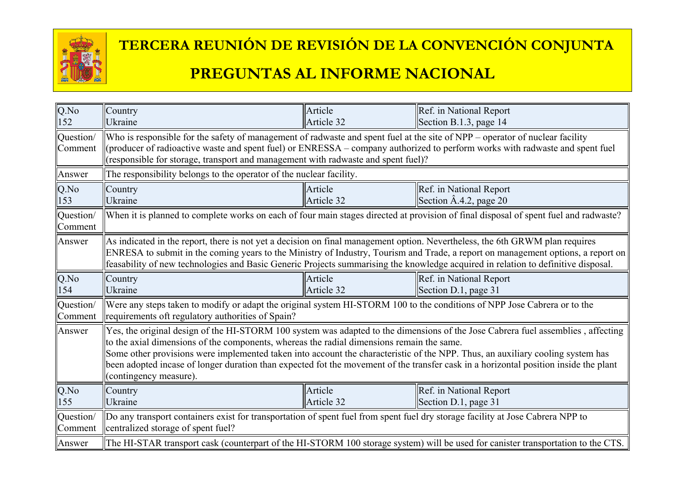

#### **TERCERA REUNIÓN DE REVISIÓN DE LA CONVENCIÓN CONJUNTA**

#### **PREGUNTAS AL INFORME NACIONAL**

| Q.No                        | Country                                                                                                                                                                                                                                                                                                                                                                                                                                                                                                                           | Article    | Ref. in National Report         |  |
|-----------------------------|-----------------------------------------------------------------------------------------------------------------------------------------------------------------------------------------------------------------------------------------------------------------------------------------------------------------------------------------------------------------------------------------------------------------------------------------------------------------------------------------------------------------------------------|------------|---------------------------------|--|
| 152                         | Ukraine                                                                                                                                                                                                                                                                                                                                                                                                                                                                                                                           | Article 32 | Section B.1.3, page 14          |  |
| Question/<br><b>Comment</b> | Who is responsible for the safety of management of radwaste and spent fuel at the site of NPP – operator of nuclear facility<br>(producer of radioactive waste and spent fuel) or ENRESSA – company authorized to perform works with radwaste and spent fuel<br>(responsible for storage, transport and management with radwaste and spent fuel)?                                                                                                                                                                                 |            |                                 |  |
| Answer                      | The responsibility belongs to the operator of the nuclear facility.                                                                                                                                                                                                                                                                                                                                                                                                                                                               |            |                                 |  |
| Q.No                        | Country                                                                                                                                                                                                                                                                                                                                                                                                                                                                                                                           | Article    | Ref. in National Report         |  |
| 153                         | Ukraine                                                                                                                                                                                                                                                                                                                                                                                                                                                                                                                           | Article 32 | Section $\hat{A}$ .4.2, page 20 |  |
| Question/<br>Comment        | When it is planned to complete works on each of four main stages directed at provision of final disposal of spent fuel and radwaste?                                                                                                                                                                                                                                                                                                                                                                                              |            |                                 |  |
| Answer                      | As indicated in the report, there is not yet a decision on final management option. Nevertheless, the 6th GRWM plan requires<br>ENRESA to submit in the coming years to the Ministry of Industry, Tourism and Trade, a report on management options, a report on<br>feasability of new technologies and Basic Generic Projects summarising the knowledge acquired in relation to definitive disposal.                                                                                                                             |            |                                 |  |
| $Q$ .No                     | Country                                                                                                                                                                                                                                                                                                                                                                                                                                                                                                                           | Article    | Ref. in National Report         |  |
| 154                         | Ukraine                                                                                                                                                                                                                                                                                                                                                                                                                                                                                                                           | Article 32 | Section D.1, page 31            |  |
| Question/                   | Were any steps taken to modify or adapt the original system HI-STORM 100 to the conditions of NPP Jose Cabrera or to the                                                                                                                                                                                                                                                                                                                                                                                                          |            |                                 |  |
| Comment                     | requirements oft regulatory authorities of Spain?                                                                                                                                                                                                                                                                                                                                                                                                                                                                                 |            |                                 |  |
| Answer                      | Yes, the original design of the HI-STORM 100 system was adapted to the dimensions of the Jose Cabrera fuel assemblies, affecting<br>to the axial dimensions of the components, whereas the radial dimensions remain the same.<br>Some other provisions were implemented taken into account the characteristic of the NPP. Thus, an auxiliary cooling system has<br>been adopted incase of longer duration than expected fot the movement of the transfer cask in a horizontal position inside the plant<br>(contingency measure). |            |                                 |  |
| Q.No                        | Country                                                                                                                                                                                                                                                                                                                                                                                                                                                                                                                           | Article    | Ref. in National Report         |  |
| 155                         | Ukraine                                                                                                                                                                                                                                                                                                                                                                                                                                                                                                                           | Article 32 | Section D.1, page 31            |  |
| Question/                   | Do any transport containers exist for transportation of spent fuel from spent fuel dry storage facility at Jose Cabrera NPP to                                                                                                                                                                                                                                                                                                                                                                                                    |            |                                 |  |
| Comment                     | centralized storage of spent fuel?                                                                                                                                                                                                                                                                                                                                                                                                                                                                                                |            |                                 |  |
| Answer                      | The HI-STAR transport cask (counterpart of the HI-STORM 100 storage system) will be used for canister transportation to the CTS.                                                                                                                                                                                                                                                                                                                                                                                                  |            |                                 |  |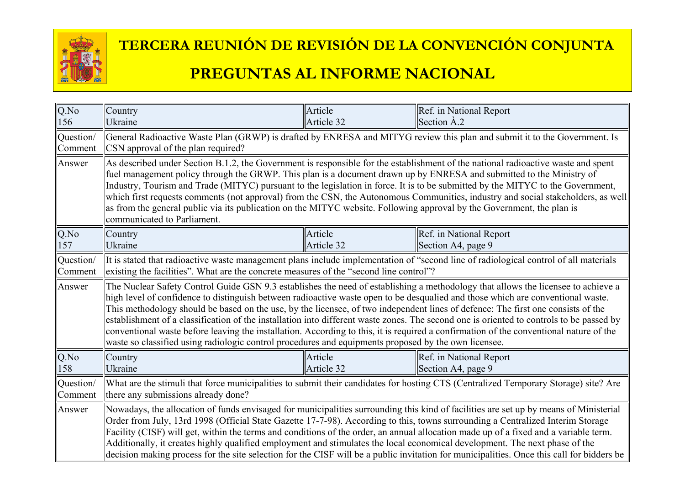

# **TERCERA REUNIÓN DE REVISIÓN DE LA CONVENCIÓN CONJUNTA**

#### **PREGUNTAS AL INFORME NACIONAL**

| $Q$ .No   | Country                                                                                                                                                                                                                                                                                                                                                                                                                                                                                                                                                                                                                                                                                                                                                                                                | Article    | Ref. in National Report |  |
|-----------|--------------------------------------------------------------------------------------------------------------------------------------------------------------------------------------------------------------------------------------------------------------------------------------------------------------------------------------------------------------------------------------------------------------------------------------------------------------------------------------------------------------------------------------------------------------------------------------------------------------------------------------------------------------------------------------------------------------------------------------------------------------------------------------------------------|------------|-------------------------|--|
| 156       | <b>Ukraine</b>                                                                                                                                                                                                                                                                                                                                                                                                                                                                                                                                                                                                                                                                                                                                                                                         | Article 32 | Section A.2             |  |
| Question/ | General Radioactive Waste Plan (GRWP) is drafted by ENRESA and MITYG review this plan and submit it to the Government. Is                                                                                                                                                                                                                                                                                                                                                                                                                                                                                                                                                                                                                                                                              |            |                         |  |
| Comment   | CSN approval of the plan required?                                                                                                                                                                                                                                                                                                                                                                                                                                                                                                                                                                                                                                                                                                                                                                     |            |                         |  |
| Answer    | As described under Section B.1.2, the Government is responsible for the establishment of the national radioactive waste and spent<br>fuel management policy through the GRWP. This plan is a document drawn up by ENRESA and submitted to the Ministry of<br>Industry, Tourism and Trade (MITYC) pursuant to the legislation in force. It is to be submitted by the MITYC to the Government,<br>which first requests comments (not approval) from the CSN, the Autonomous Communities, industry and social stakeholders, as well<br>as from the general public via its publication on the MITYC website. Following approval by the Government, the plan is<br>communicated to Parliament.                                                                                                              |            |                         |  |
| Q.No      | Country                                                                                                                                                                                                                                                                                                                                                                                                                                                                                                                                                                                                                                                                                                                                                                                                | Article    | Ref. in National Report |  |
| 157       | Ukraine                                                                                                                                                                                                                                                                                                                                                                                                                                                                                                                                                                                                                                                                                                                                                                                                | Article 32 | Section A4, page 9      |  |
| Question/ | It is stated that radioactive waste management plans include implementation of "second line of radiological control of all materials                                                                                                                                                                                                                                                                                                                                                                                                                                                                                                                                                                                                                                                                   |            |                         |  |
| Comment   | existing the facilities". What are the concrete measures of the "second line control"?                                                                                                                                                                                                                                                                                                                                                                                                                                                                                                                                                                                                                                                                                                                 |            |                         |  |
| Answer    | The Nuclear Safety Control Guide GSN 9.3 establishes the need of establishing a methodology that allows the licensee to achieve a<br>high level of confidence to distinguish between radioactive waste open to be desqualied and those which are conventional waste.<br>This methodology should be based on the use, by the licensee, of two independent lines of defence: The first one consists of the<br>establishment of a classification of the installation into different waste zones. The second one is oriented to controls to be passed by<br>conventional waste before leaving the installation. According to this, it is required a confirmation of the conventional nature of the<br>waste so classified using radiologic control procedures and equipments proposed by the own licensee. |            |                         |  |
| Q.No      | Country                                                                                                                                                                                                                                                                                                                                                                                                                                                                                                                                                                                                                                                                                                                                                                                                | Article    | Ref. in National Report |  |
| 158       | Ukraine                                                                                                                                                                                                                                                                                                                                                                                                                                                                                                                                                                                                                                                                                                                                                                                                | Article 32 | Section A4, page 9      |  |
| Question/ | What are the stimuli that force municipalities to submit their candidates for hosting CTS (Centralized Temporary Storage) site? Are                                                                                                                                                                                                                                                                                                                                                                                                                                                                                                                                                                                                                                                                    |            |                         |  |
| Comment   | there any submissions already done?                                                                                                                                                                                                                                                                                                                                                                                                                                                                                                                                                                                                                                                                                                                                                                    |            |                         |  |
| Answer    | Nowadays, the allocation of funds envisaged for municipalities surrounding this kind of facilities are set up by means of Ministerial<br>Order from July, 13rd 1998 (Official State Gazette 17-7-98). According to this, towns surrounding a Centralized Interim Storage<br>Facility (CISF) will get, within the terms and conditions of the order, an annual allocation made up of a fixed and a variable term.<br>Additionally, it creates highly qualified employment and stimulates the local economical development. The next phase of the<br>decision making process for the site selection for the CISF will be a public invitation for municipalities. Once this call for bidders be                                                                                                           |            |                         |  |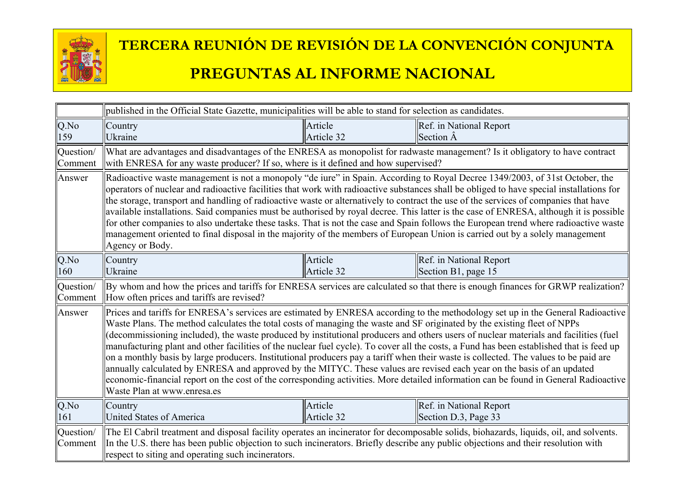

|                      | published in the Official State Gazette, municipalities will be able to stand for selection as candidates.                                                                                                                                                                                                                                                                                                                                                                                                                                                                                                                                                                                                                                                                                                                                                                                                                                                                               |                       |                                                 |  |  |
|----------------------|------------------------------------------------------------------------------------------------------------------------------------------------------------------------------------------------------------------------------------------------------------------------------------------------------------------------------------------------------------------------------------------------------------------------------------------------------------------------------------------------------------------------------------------------------------------------------------------------------------------------------------------------------------------------------------------------------------------------------------------------------------------------------------------------------------------------------------------------------------------------------------------------------------------------------------------------------------------------------------------|-----------------------|-------------------------------------------------|--|--|
| Q.No                 | Country                                                                                                                                                                                                                                                                                                                                                                                                                                                                                                                                                                                                                                                                                                                                                                                                                                                                                                                                                                                  | Article               | Ref. in National Report                         |  |  |
| 159                  | Ukraine                                                                                                                                                                                                                                                                                                                                                                                                                                                                                                                                                                                                                                                                                                                                                                                                                                                                                                                                                                                  | Article 32            | Section A                                       |  |  |
| Question/<br>Comment | What are advantages and disadvantages of the ENRESA as monopolist for radwaste management? Is it obligatory to have contract<br>with ENRESA for any waste producer? If so, where is it defined and how supervised?                                                                                                                                                                                                                                                                                                                                                                                                                                                                                                                                                                                                                                                                                                                                                                       |                       |                                                 |  |  |
| Answer               | Radioactive waste management is not a monopoly "de iure" in Spain. According to Royal Decree 1349/2003, of 31st October, the<br>operators of nuclear and radioactive facilities that work with radioactive substances shall be obliged to have special installations for<br>the storage, transport and handling of radioactive waste or alternatively to contract the use of the services of companies that have<br>available installations. Said companies must be authorised by royal decree. This latter is the case of ENRESA, although it is possible<br>for other companies to also undertake these tasks. That is not the case and Spain follows the European trend where radioactive waste<br>management oriented to final disposal in the majority of the members of European Union is carried out by a solely management<br>Agency or Body.                                                                                                                                    |                       |                                                 |  |  |
| $Q$ .No              | Country                                                                                                                                                                                                                                                                                                                                                                                                                                                                                                                                                                                                                                                                                                                                                                                                                                                                                                                                                                                  | Article               | Ref. in National Report                         |  |  |
| 160                  | Ukraine                                                                                                                                                                                                                                                                                                                                                                                                                                                                                                                                                                                                                                                                                                                                                                                                                                                                                                                                                                                  | Article 32            | Section B1, page 15                             |  |  |
| Question/<br>Comment | By whom and how the prices and tariffs for ENRESA services are calculated so that there is enough finances for GRWP realization?<br>How often prices and tariffs are revised?                                                                                                                                                                                                                                                                                                                                                                                                                                                                                                                                                                                                                                                                                                                                                                                                            |                       |                                                 |  |  |
| Answer               | Prices and tariffs for ENRESA's services are estimated by ENRESA according to the methodology set up in the General Radioactive<br>Waste Plans. The method calculates the total costs of managing the waste and SF originated by the existing fleet of NPPs<br>(decommissioning included), the waste produced by institutional producers and others users of nuclear materials and facilities (fuel<br>manufacturing plant and other facilities of the nuclear fuel cycle). To cover all the costs, a Fund has been established that is feed up<br>on a monthly basis by large producers. Institutional producers pay a tariff when their waste is collected. The values to be paid are<br>annually calculated by ENRESA and approved by the MITYC. These values are revised each year on the basis of an updated<br>economic-financial report on the cost of the corresponding activities. More detailed information can be found in General Radioactive<br>Waste Plan at www.enresa.es |                       |                                                 |  |  |
| $Q$ .No<br>161       | Country<br>United States of America                                                                                                                                                                                                                                                                                                                                                                                                                                                                                                                                                                                                                                                                                                                                                                                                                                                                                                                                                      | Article<br>Article 32 | Ref. in National Report<br>Section D.3, Page 33 |  |  |
| Question/<br>Comment | The El Cabril treatment and disposal facility operates an incinerator for decomposable solids, biohazards, liquids, oil, and solvents.<br>In the U.S. there has been public objection to such incinerators. Briefly describe any public objections and their resolution with<br>respect to siting and operating such incinerators.                                                                                                                                                                                                                                                                                                                                                                                                                                                                                                                                                                                                                                                       |                       |                                                 |  |  |